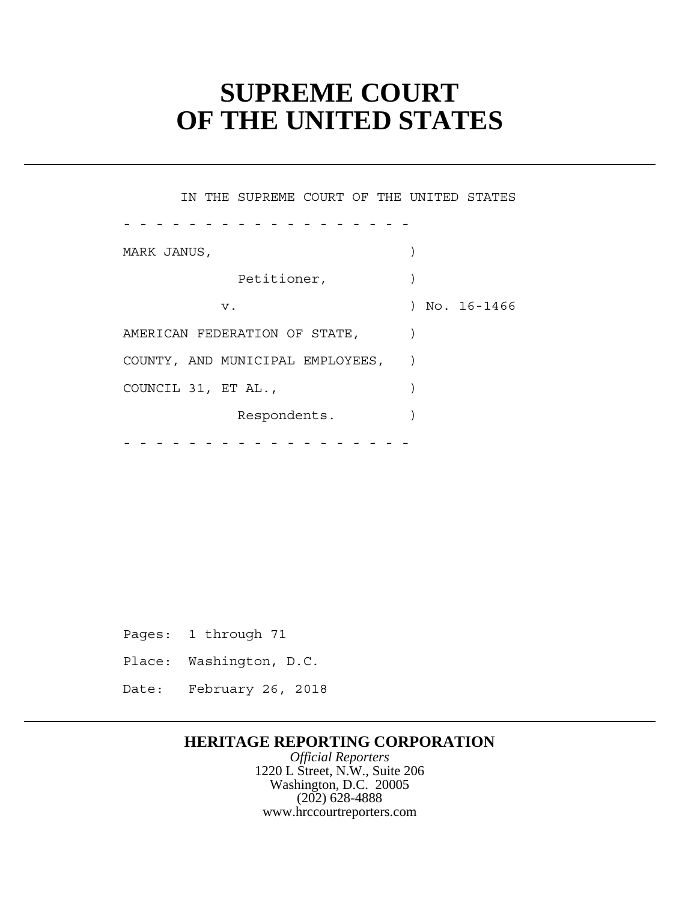# **SUPREME COURT OF THE UNITED STATES**

| IN THE SUPREME COURT OF THE UNITED STATES |             |
|-------------------------------------------|-------------|
|                                           |             |
| MARK JANUS,                               |             |
| Petitioner,                               |             |
| v.                                        | No. 16-1466 |
| AMERICAN FEDERATION OF STATE,             |             |
| COUNTY, AND MUNICIPAL EMPLOYEES,          |             |
| COUNCIL 31, ET AL.,                       |             |
| Respondents.                              |             |
|                                           |             |

Pages: 1 through 71

- Place: Washington, D.C.
- Date: February 26, 2018

### **HERITAGE REPORTING CORPORATION**

*Official Reporters* 1220 L Street, N.W., Suite 206 Washington, D.C. 20005 (202) 628-4888 www.hrccourtreporters.com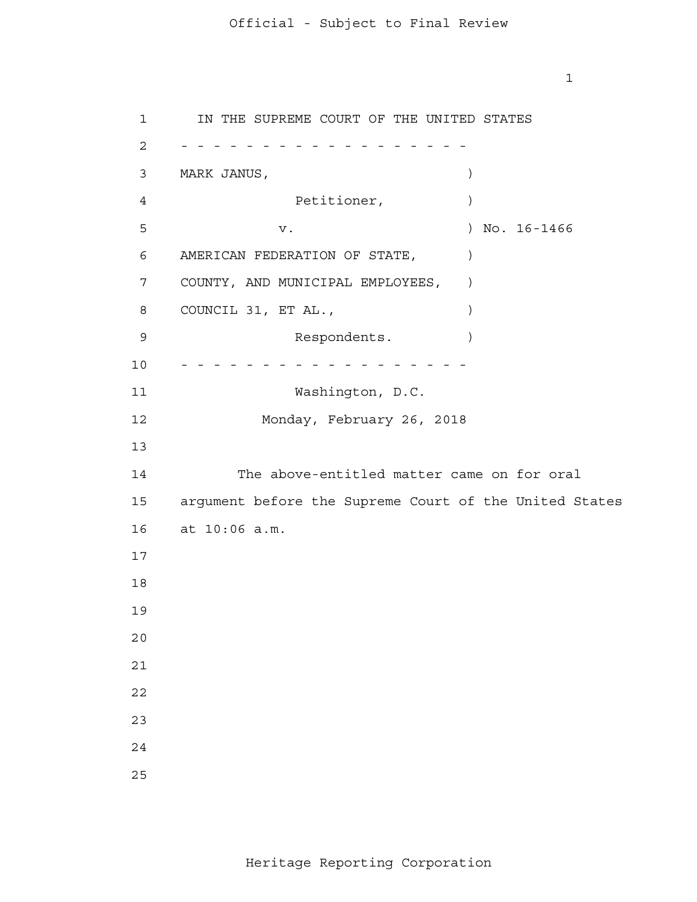IN THE SUPREME COURT OF THE UNITED STATES 2 - - - - - - - - - - - - - - - - - - MARK JANUS, ) AMERICAN FEDERATION OF STATE, ) COUNTY, AND MUNICIPAL EMPLOYEES, ) COUNCIL 31, ET AL.,  $\qquad \qquad$  argument before the Supreme Court of the United States at 10:06 a.m. 10 - - - - - - - - - - - - - - - - - - Petitioner,  $)$ v. ) No. 16-1466 Respondents. Washington, D.C. Monday, February 26, 2018 The above-entitled matter came on for oral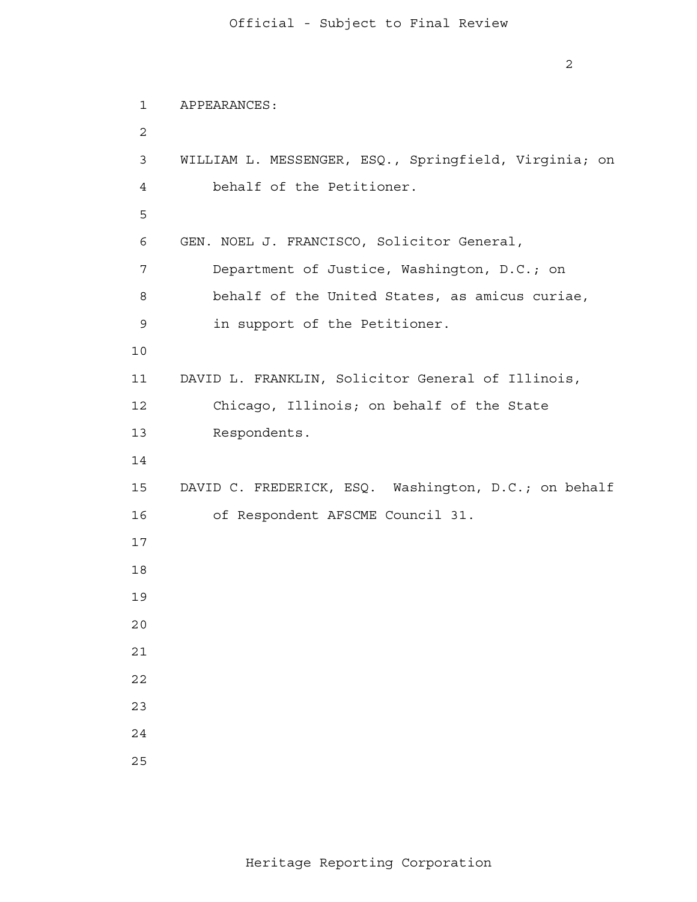```
 1 
 2
 3 
 4 
<u>5</u>
 6 
 7 
 8 
 9 
           10
           11 
           12 
           13 
           14
           15 
           16 
           17
           18
           19
           20
           21
           22
           23
           24
           25
               APPEARANCES:
               WILLIAM L. MESSENGER, ESQ., Springfield, Virginia; on
                   behalf of the Petitioner.
               GEN. NOEL J. FRANCISCO, Solicitor General,
                   Department of Justice, Washington, D.C.; on
                   behalf of the United States, as amicus curiae,
                   in support of the Petitioner.
               DAVID L. FRANKLIN, Solicitor General of Illinois,
                   Chicago, Illinois; on behalf of the State
                   Respondents.
               DAVID C. FREDERICK, ESQ. Washington, D.C.; on behalf
                   of Respondent AFSCME Council 31.
```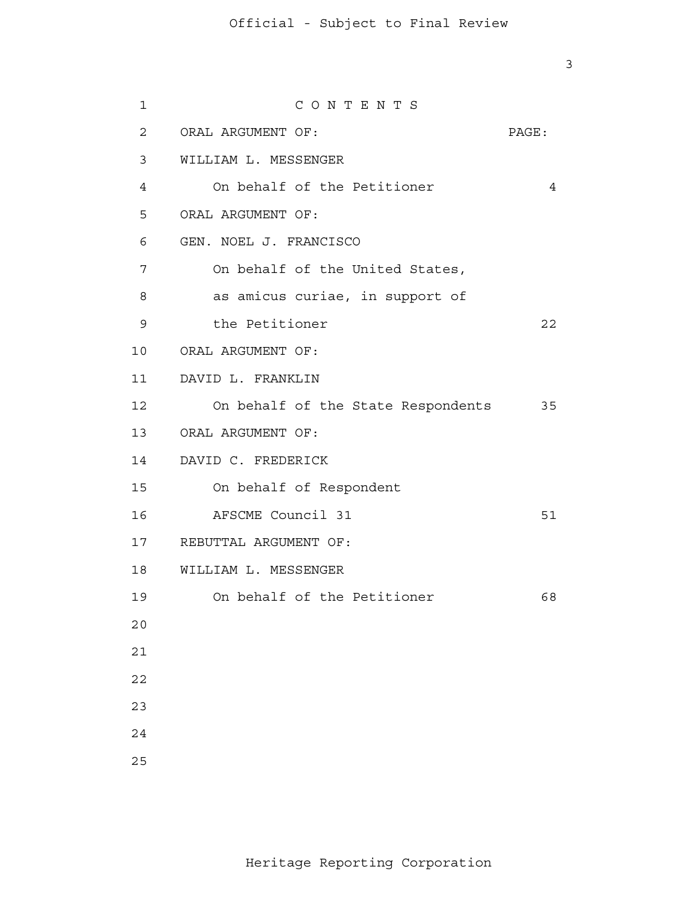| $\mathbf{1}$   | CONTENTS                           |       |
|----------------|------------------------------------|-------|
| $\overline{2}$ | ORAL ARGUMENT OF:                  | PAGE: |
| 3              | WILLIAM L. MESSENGER               |       |
| 4              | On behalf of the Petitioner        | 4     |
| 5              | ORAL ARGUMENT OF:                  |       |
| 6              | GEN. NOEL J. FRANCISCO             |       |
| 7              | On behalf of the United States,    |       |
| 8              | as amicus curiae, in support of    |       |
| 9              | the Petitioner                     | 22    |
|                | 10 ORAL ARGUMENT OF:               |       |
| 11             | DAVID L. FRANKLIN                  |       |
| 12             | On behalf of the State Respondents | 35    |
| 13             | ORAL ARGUMENT OF:                  |       |
| 14             | DAVID C. FREDERICK                 |       |
| 15             | On behalf of Respondent            |       |
| 16             | AFSCME Council 31                  | 51    |
| 17             | REBUTTAL ARGUMENT OF:              |       |
| 18             | WILLIAM L. MESSENGER               |       |
| 19             | On behalf of the Petitioner        | 68    |
| 20             |                                    |       |
| 21             |                                    |       |
| 22             |                                    |       |
| 23             |                                    |       |
| 24             |                                    |       |
| 25             |                                    |       |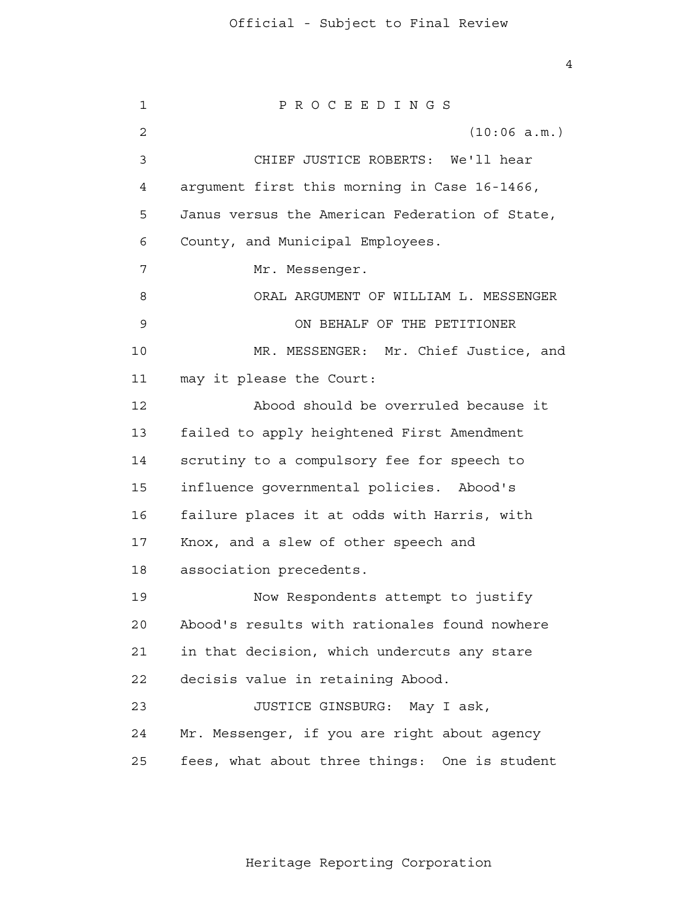1 2 3 4 **5**  6 7 8 9 10 11 12 13 14 15 16 17 18 19 20 21 22 23 24 25 P R O C E E D I N G S (10:06 a.m.) CHIEF JUSTICE ROBERTS: We'll hear argument first this morning in Case 16-1466, Janus versus the American Federation of State, County, and Municipal Employees. Mr. Messenger. ORAL ARGUMENT OF WILLIAM L. MESSENGER ON BEHALF OF THE PETITIONER MR. MESSENGER: Mr. Chief Justice, and may it please the Court: Abood should be overruled because it failed to apply heightened First Amendment scrutiny to a compulsory fee for speech to influence governmental policies. Abood's failure places it at odds with Harris, with Knox, and a slew of other speech and association precedents. Now Respondents attempt to justify Abood's results with rationales found nowhere in that decision, which undercuts any stare decisis value in retaining Abood. JUSTICE GINSBURG: May I ask, Mr. Messenger, if you are right about agency fees, what about three things: One is student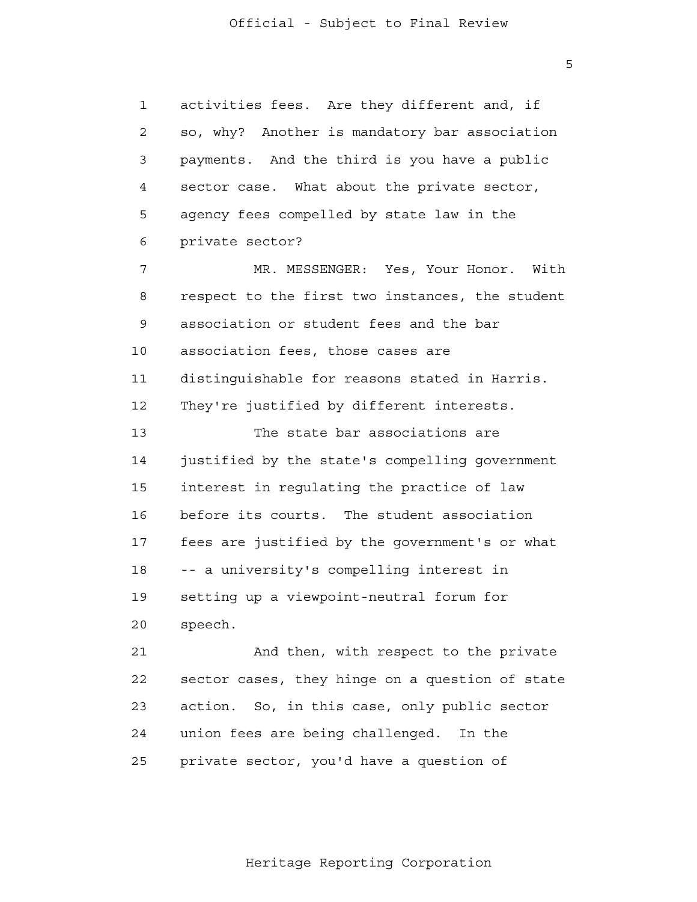$\overline{5}$ 

 1 2 3 4 **5**  6 7 8 9 10 11 12 13 14 15 16 17 18 19 20 21 **22**  23 24 25 activities fees. Are they different and, if so, why? Another is mandatory bar association payments. And the third is you have a public sector case. What about the private sector, agency fees compelled by state law in the private sector? MR. MESSENGER: Yes, Your Honor. With respect to the first two instances, the student association or student fees and the bar association fees, those cases are distinguishable for reasons stated in Harris. They're justified by different interests. The state bar associations are justified by the state's compelling government interest in regulating the practice of law before its courts. The student association fees are justified by the government's or what -- a university's compelling interest in setting up a viewpoint-neutral forum for speech. And then, with respect to the private sector cases, they hinge on a question of state action. So, in this case, only public sector union fees are being challenged. In the private sector, you'd have a question of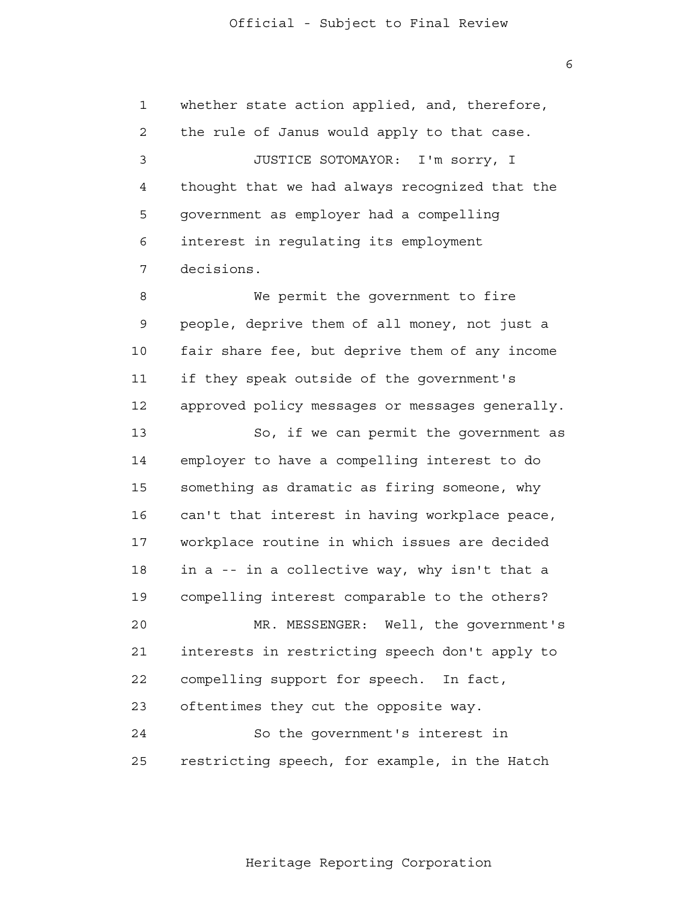1 2 3 4 **5**  6 7 8 9 10 11 12 13 14 15 16 17 18 19 20 21 22 23 whether state action applied, and, therefore, the rule of Janus would apply to that case. JUSTICE SOTOMAYOR: I'm sorry, I thought that we had always recognized that the government as employer had a compelling interest in regulating its employment decisions. We permit the government to fire people, deprive them of all money, not just a fair share fee, but deprive them of any income if they speak outside of the government's approved policy messages or messages generally. So, if we can permit the government as employer to have a compelling interest to do something as dramatic as firing someone, why can't that interest in having workplace peace, workplace routine in which issues are decided in a -- in a collective way, why isn't that a compelling interest comparable to the others? MR. MESSENGER: Well, the government's interests in restricting speech don't apply to compelling support for speech. In fact, oftentimes they cut the opposite way.

 24 25 So the government's interest in restricting speech, for example, in the Hatch

Heritage Reporting Corporation

 $\overline{6}$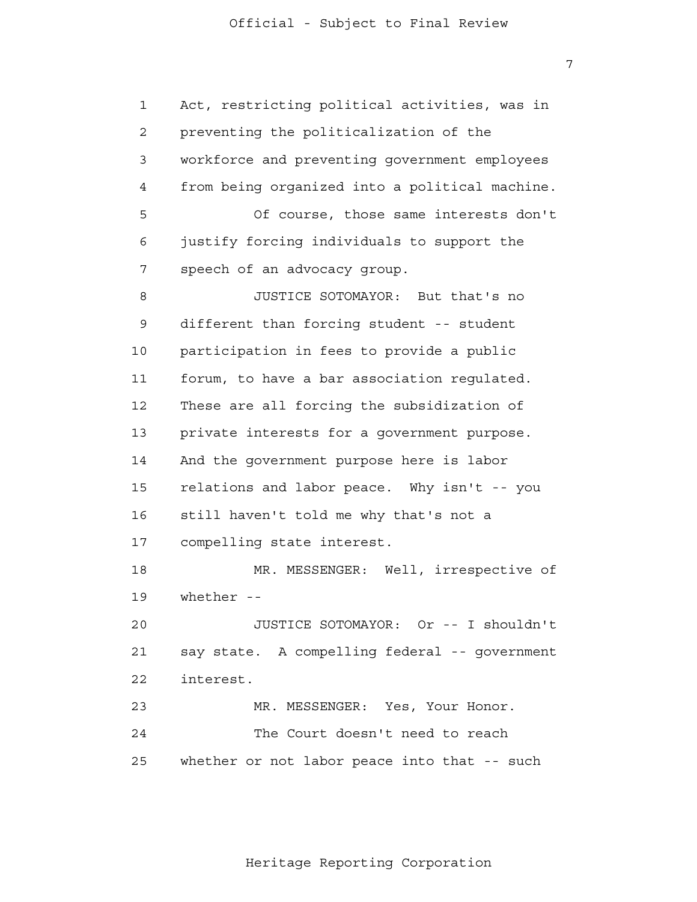1 2 3 4 **5**  6 7 8 9 10 11 12 13 14 15 16 17 18 19 20 21 22 23 24 25 Act, restricting political activities, was in preventing the politicalization of the workforce and preventing government employees from being organized into a political machine. Of course, those same interests don't justify forcing individuals to support the speech of an advocacy group. JUSTICE SOTOMAYOR: But that's no different than forcing student -- student participation in fees to provide a public forum, to have a bar association regulated. These are all forcing the subsidization of private interests for a government purpose. And the government purpose here is labor relations and labor peace. Why isn't -- you still haven't told me why that's not a compelling state interest. MR. MESSENGER: Well, irrespective of whether --JUSTICE SOTOMAYOR: Or -- I shouldn't say state. A compelling federal -- government interest. MR. MESSENGER: Yes, Your Honor. The Court doesn't need to reach whether or not labor peace into that -- such

7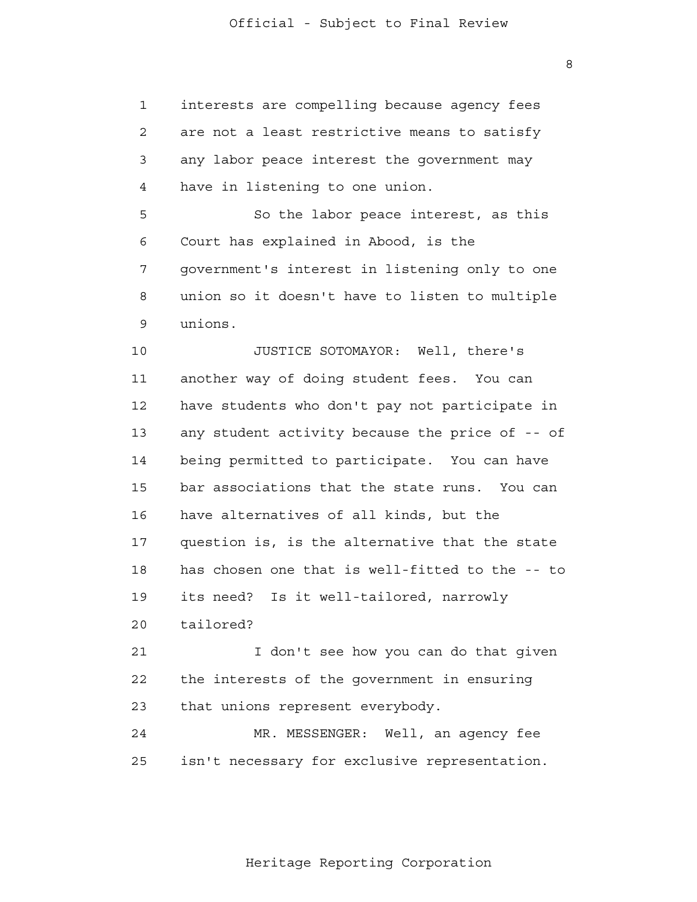8

| $\mathbf 1$ | interests are compelling because agency fees    |
|-------------|-------------------------------------------------|
| 2           | are not a least restrictive means to satisfy    |
| 3           | any labor peace interest the government may     |
| 4           | have in listening to one union.                 |
| 5           | So the labor peace interest, as this            |
| 6           | Court has explained in Abood, is the            |
| 7           | government's interest in listening only to one  |
| 8           | union so it doesn't have to listen to multiple  |
| 9           | unions.                                         |
| 10          | JUSTICE SOTOMAYOR: Well, there's                |
| 11          | another way of doing student fees. You can      |
| 12          | have students who don't pay not participate in  |
| 13          | any student activity because the price of -- of |
| 14          | being permitted to participate. You can have    |
| 15          | bar associations that the state runs. You can   |
| 16          | have alternatives of all kinds, but the         |
| 17          | question is, is the alternative that the state  |
| 18          | has chosen one that is well-fitted to the -- to |
| 19          | its need?<br>Is it well-tailored, narrowly      |
| 20          | tailored?                                       |
| 21          | I don't see how you can do that given           |
| 22          | the interests of the government in ensuring     |
| 23          | that unions represent everybody.                |
| 24          | MR. MESSENGER: Well, an agency fee              |
| 25          | isn't necessary for exclusive representation.   |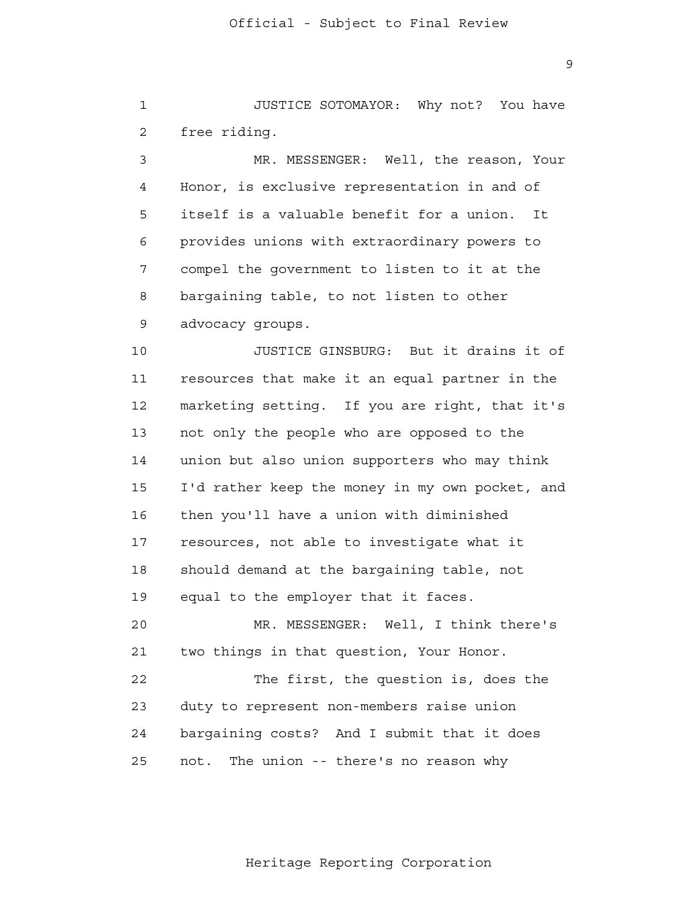1 2 JUSTICE SOTOMAYOR: Why not? You have free riding.

 3 4 **5**  6 7 8 9 MR. MESSENGER: Well, the reason, Your Honor, is exclusive representation in and of itself is a valuable benefit for a union. It provides unions with extraordinary powers to compel the government to listen to it at the bargaining table, to not listen to other advocacy groups.

 10 11 12 13 14 15 16 17 18 19 20 21 22 23 JUSTICE GINSBURG: But it drains it of resources that make it an equal partner in the marketing setting. If you are right, that it's not only the people who are opposed to the union but also union supporters who may think I'd rather keep the money in my own pocket, and then you'll have a union with diminished resources, not able to investigate what it should demand at the bargaining table, not equal to the employer that it faces. MR. MESSENGER: Well, I think there's two things in that question, Your Honor. The first, the question is, does the duty to represent non-members raise union

 24 <u>25</u> bargaining costs? And I submit that it does not. The union -- there's no reason why

Heritage Reporting Corporation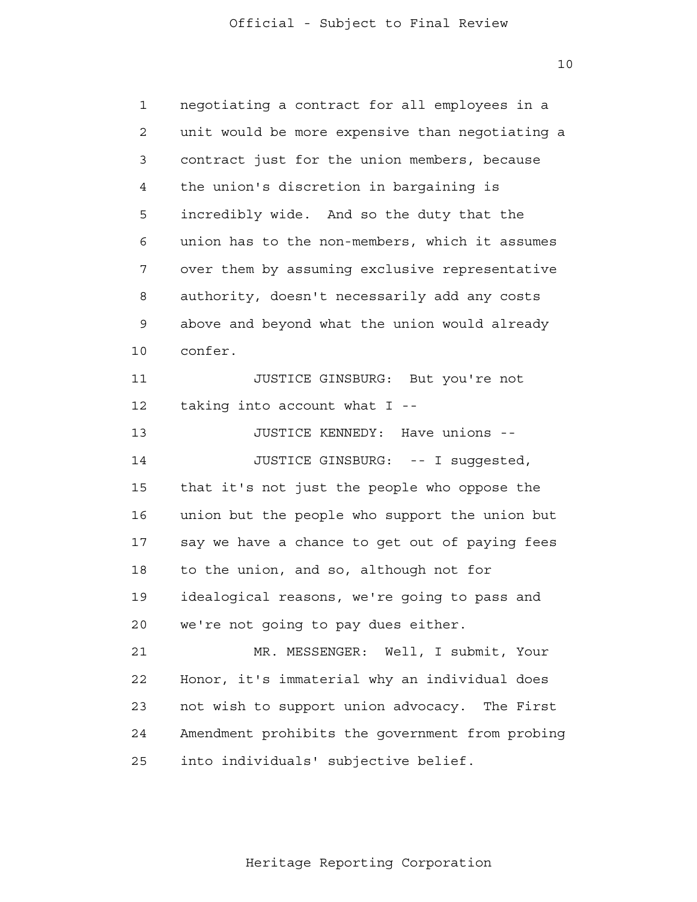10

 1 2 3 4 **5**  6 7 8 9 10 11 12 13 14 15 16 17 18 19 20 21 **22**  23 24 <u>25</u> negotiating a contract for all employees in a unit would be more expensive than negotiating a contract just for the union members, because the union's discretion in bargaining is incredibly wide. And so the duty that the union has to the non-members, which it assumes over them by assuming exclusive representative authority, doesn't necessarily add any costs above and beyond what the union would already confer. JUSTICE GINSBURG: But you're not taking into account what I - JUSTICE KENNEDY: Have unions - JUSTICE GINSBURG: -- I suggested, that it's not just the people who oppose the union but the people who support the union but say we have a chance to get out of paying fees to the union, and so, although not for idealogical reasons, we're going to pass and we're not going to pay dues either. MR. MESSENGER: Well, I submit, Your Honor, it's immaterial why an individual does not wish to support union advocacy. The First Amendment prohibits the government from probing into individuals' subjective belief.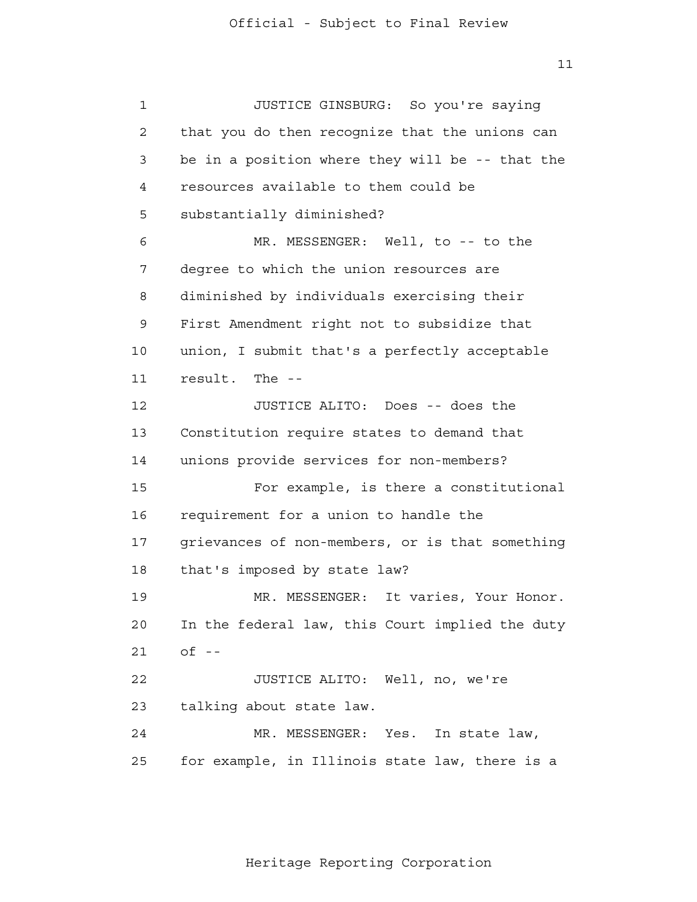1 2 3 4 **5**  6 7 8 9 10 11 12 13 14 15 16 17 18 19 20 21 22 23 24 25 JUSTICE GINSBURG: So you're saying that you do then recognize that the unions can be in a position where they will be -- that the resources available to them could be substantially diminished? MR. MESSENGER: Well, to -- to the degree to which the union resources are diminished by individuals exercising their First Amendment right not to subsidize that union, I submit that's a perfectly acceptable result. The - JUSTICE ALITO: Does -- does the Constitution require states to demand that unions provide services for non-members? For example, is there a constitutional requirement for a union to handle the grievances of non-members, or is that something that's imposed by state law? MR. MESSENGER: It varies, Your Honor. In the federal law, this Court implied the duty  $of$   $-$ JUSTICE ALITO: Well, no, we're talking about state law. MR. MESSENGER: Yes. In state law, for example, in Illinois state law, there is a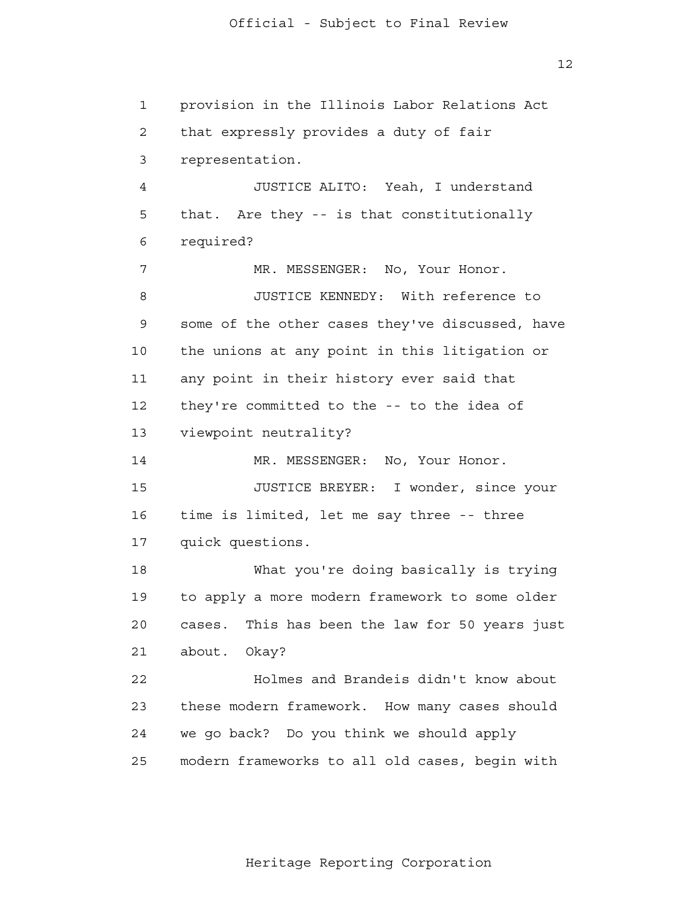1 2 3 4 **5**  6 7 8 9 10 11 12 13 14 15 16 17 18 19 20 21 22 23 24 25 provision in the Illinois Labor Relations Act that expressly provides a duty of fair representation. JUSTICE ALITO: Yeah, I understand that. Are they -- is that constitutionally required? MR. MESSENGER: No, Your Honor. JUSTICE KENNEDY: With reference to some of the other cases they've discussed, have the unions at any point in this litigation or any point in their history ever said that they're committed to the -- to the idea of viewpoint neutrality? MR. MESSENGER: No, Your Honor. JUSTICE BREYER: I wonder, since your time is limited, let me say three -- three quick questions. What you're doing basically is trying to apply a more modern framework to some older cases. This has been the law for 50 years just about. Okay? Holmes and Brandeis didn't know about these modern framework. How many cases should we go back? Do you think we should apply modern frameworks to all old cases, begin with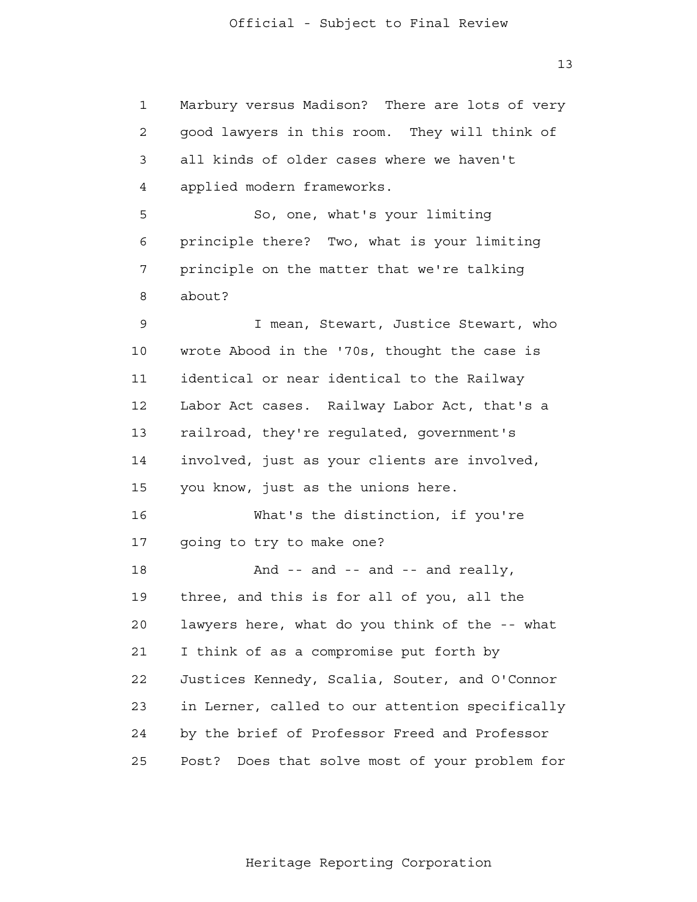1 2 3 4 **5**  6 7 8 9 10 11 12 13 14 15 16 17 18 19 20 21 **22**  23 24 25 Marbury versus Madison? There are lots of very good lawyers in this room. They will think of all kinds of older cases where we haven't applied modern frameworks. So, one, what's your limiting principle there? Two, what is your limiting principle on the matter that we're talking about? I mean, Stewart, Justice Stewart, who wrote Abood in the '70s, thought the case is identical or near identical to the Railway Labor Act cases. Railway Labor Act, that's a railroad, they're regulated, government's involved, just as your clients are involved, you know, just as the unions here. What's the distinction, if you're going to try to make one? And -- and -- and -- and really, three, and this is for all of you, all the lawyers here, what do you think of the -- what I think of as a compromise put forth by Justices Kennedy, Scalia, Souter, and O'Connor in Lerner, called to our attention specifically by the brief of Professor Freed and Professor Post? Does that solve most of your problem for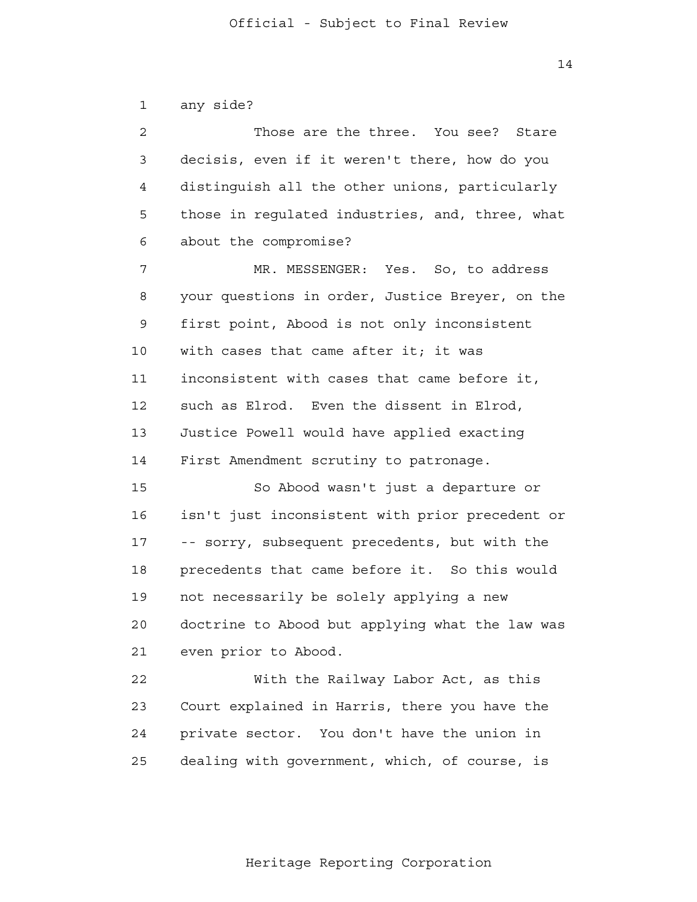2

3

4

**5** 

6

7

8

9

11

14

10

12

13

 14 any side? Those are the three. You see? Stare decisis, even if it weren't there, how do you distinguish all the other unions, particularly those in regulated industries, and, three, what about the compromise? MR. MESSENGER: Yes. So, to address your questions in order, Justice Breyer, on the first point, Abood is not only inconsistent with cases that came after it; it was inconsistent with cases that came before it, such as Elrod. Even the dissent in Elrod, Justice Powell would have applied exacting First Amendment scrutiny to patronage.

> 15 16 17 18 19 20 21 So Abood wasn't just a departure or isn't just inconsistent with prior precedent or -- sorry, subsequent precedents, but with the precedents that came before it. So this would not necessarily be solely applying a new doctrine to Abood but applying what the law was even prior to Abood.

 22 23 24 25 With the Railway Labor Act, as this Court explained in Harris, there you have the private sector. You don't have the union in dealing with government, which, of course, is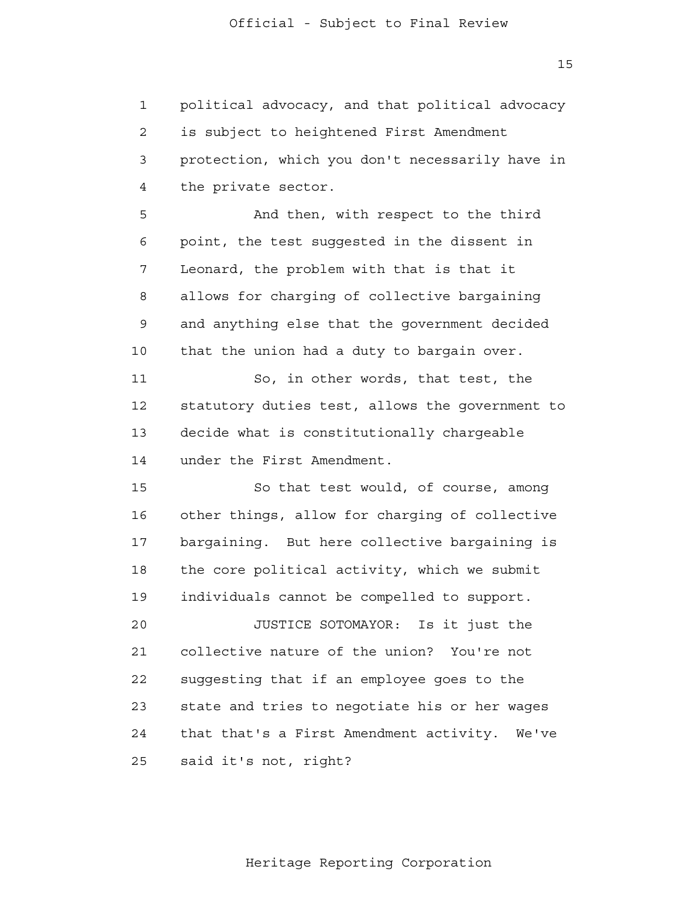1 2 3 4 political advocacy, and that political advocacy is subject to heightened First Amendment protection, which you don't necessarily have in the private sector.

**5**  6 7 8 9 10 And then, with respect to the third point, the test suggested in the dissent in Leonard, the problem with that is that it allows for charging of collective bargaining and anything else that the government decided that the union had a duty to bargain over.

 11 12 13 14 So, in other words, that test, the statutory duties test, allows the government to decide what is constitutionally chargeable under the First Amendment.

> 15 16 17 18 19 So that test would, of course, among other things, allow for charging of collective bargaining. But here collective bargaining is the core political activity, which we submit individuals cannot be compelled to support.

> 20 21 22 23 24 25 JUSTICE SOTOMAYOR: Is it just the collective nature of the union? You're not suggesting that if an employee goes to the state and tries to negotiate his or her wages that that's a First Amendment activity. We've said it's not, right?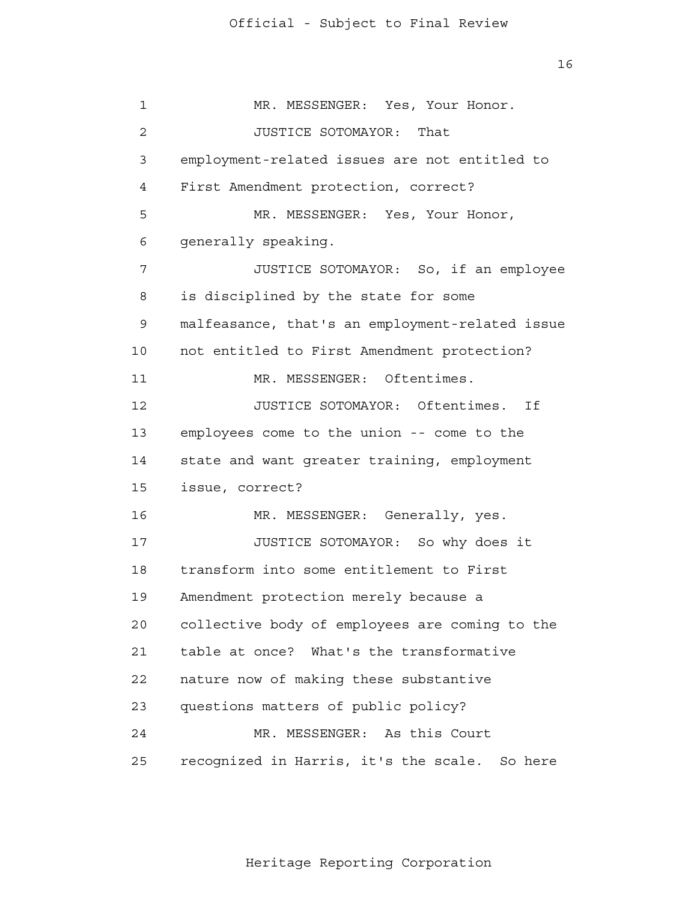16

 1 2 3 4 **5**  6 7 8 9 10 11 12 13 14 15 16 17 18 19 20 21 22 23 24 25 MR. MESSENGER: Yes, Your Honor. JUSTICE SOTOMAYOR: That employment-related issues are not entitled to First Amendment protection, correct? MR. MESSENGER: Yes, Your Honor, generally speaking. JUSTICE SOTOMAYOR: So, if an employee is disciplined by the state for some malfeasance, that's an employment-related issue not entitled to First Amendment protection? MR. MESSENGER: Oftentimes. JUSTICE SOTOMAYOR: Oftentimes. If employees come to the union -- come to the state and want greater training, employment issue, correct? MR. MESSENGER: Generally, yes. JUSTICE SOTOMAYOR: So why does it transform into some entitlement to First Amendment protection merely because a collective body of employees are coming to the table at once? What's the transformative nature now of making these substantive questions matters of public policy? MR. MESSENGER: As this Court recognized in Harris, it's the scale. So here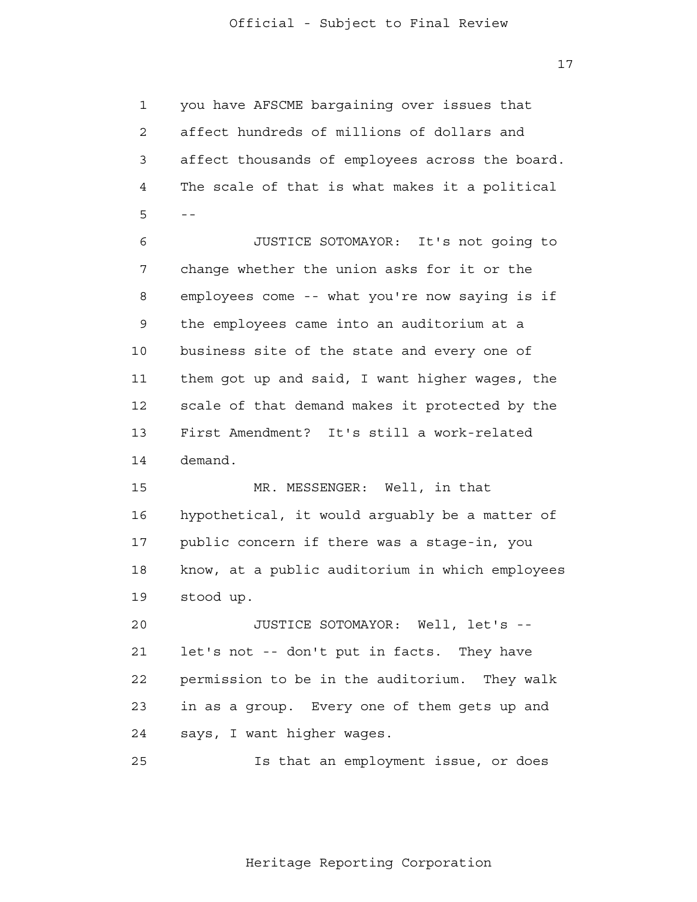1 2 3 4  $5 -$ you have AFSCME bargaining over issues that affect hundreds of millions of dollars and affect thousands of employees across the board. The scale of that is what makes it a political

 6 7 8 9 10 11 12 13 14 JUSTICE SOTOMAYOR: It's not going to change whether the union asks for it or the employees come -- what you're now saying is if the employees came into an auditorium at a business site of the state and every one of them got up and said, I want higher wages, the scale of that demand makes it protected by the First Amendment? It's still a work-related demand.

> 15 16 17 18 19 MR. MESSENGER: Well, in that hypothetical, it would arguably be a matter of public concern if there was a stage-in, you know, at a public auditorium in which employees stood up.

 20 21 22 23 24 JUSTICE SOTOMAYOR: Well, let's let's not -- don't put in facts. They have permission to be in the auditorium. They walk in as a group. Every one of them gets up and says, I want higher wages.

 25 Is that an employment issue, or does

Heritage Reporting Corporation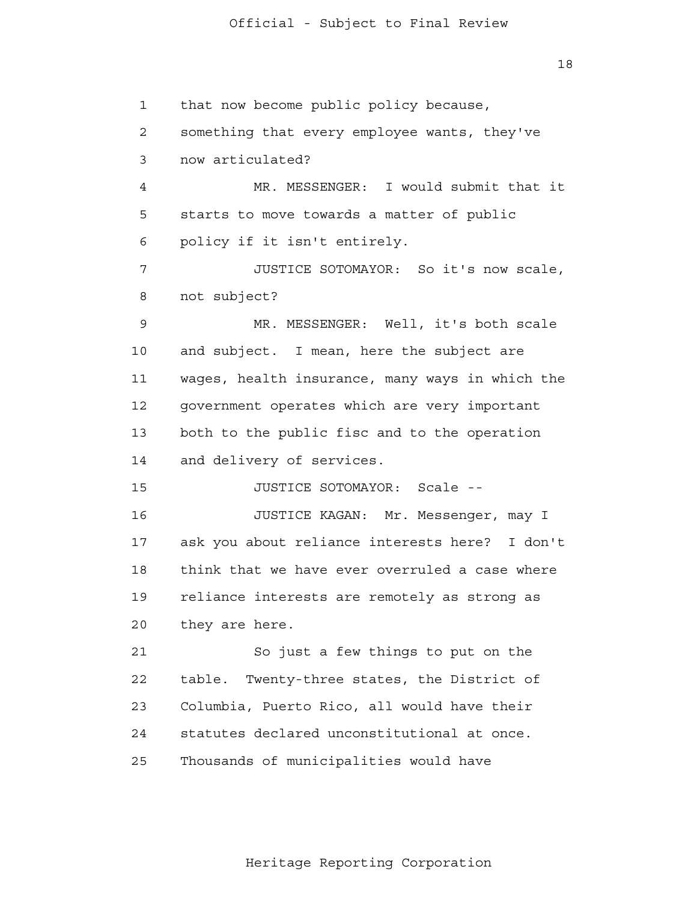18

 1 2 3 4 **5**  6 7 8 9 10 11 12 13 14 15 16 17 18 19 20 21 **22**  23 24 25 that now become public policy because, something that every employee wants, they've now articulated? MR. MESSENGER: I would submit that it starts to move towards a matter of public policy if it isn't entirely. JUSTICE SOTOMAYOR: So it's now scale, not subject? MR. MESSENGER: Well, it's both scale and subject. I mean, here the subject are wages, health insurance, many ways in which the government operates which are very important both to the public fisc and to the operation and delivery of services. JUSTICE SOTOMAYOR: Scale - JUSTICE KAGAN: Mr. Messenger, may I ask you about reliance interests here? I don't think that we have ever overruled a case where reliance interests are remotely as strong as they are here. So just a few things to put on the table. Twenty-three states, the District of Columbia, Puerto Rico, all would have their statutes declared unconstitutional at once. Thousands of municipalities would have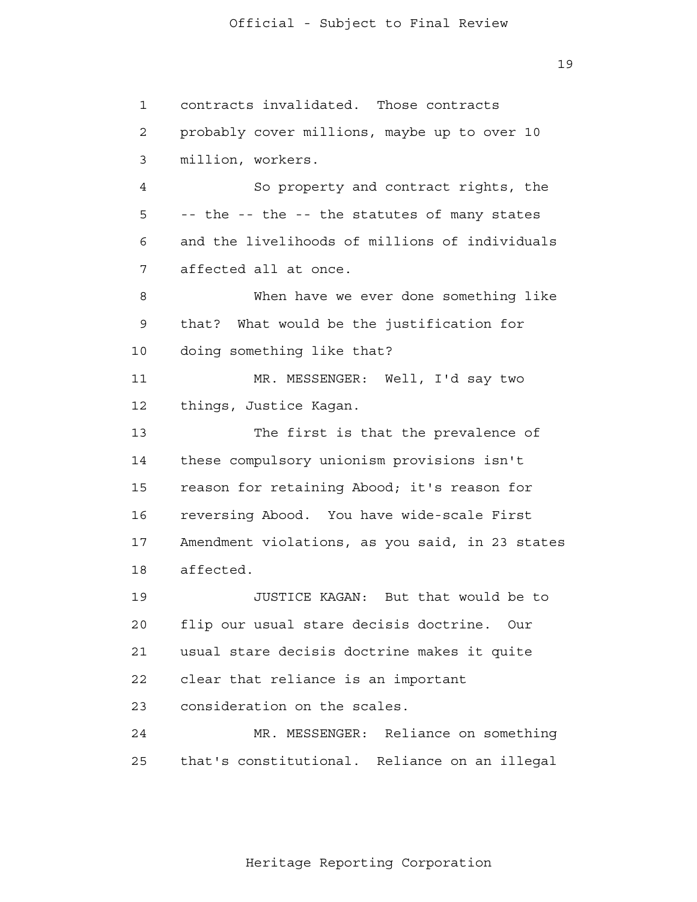1

2

3

4

**5** 

6

7

8

9

11

14

10

12

13

15

16

17

18

19

20

21

22

23

24

25

contracts invalidated. Those contracts probably cover millions, maybe up to over 10 million, workers. So property and contract rights, the -- the -- the -- the statutes of many states and the livelihoods of millions of individuals affected all at once. When have we ever done something like that? What would be the justification for doing something like that? MR. MESSENGER: Well, I'd say two things, Justice Kagan. The first is that the prevalence of these compulsory unionism provisions isn't reason for retaining Abood; it's reason for reversing Abood. You have wide-scale First Amendment violations, as you said, in 23 states affected. JUSTICE KAGAN: But that would be to flip our usual stare decisis doctrine. Our usual stare decisis doctrine makes it quite clear that reliance is an important consideration on the scales. MR. MESSENGER: Reliance on something

Heritage Reporting Corporation

that's constitutional. Reliance on an illegal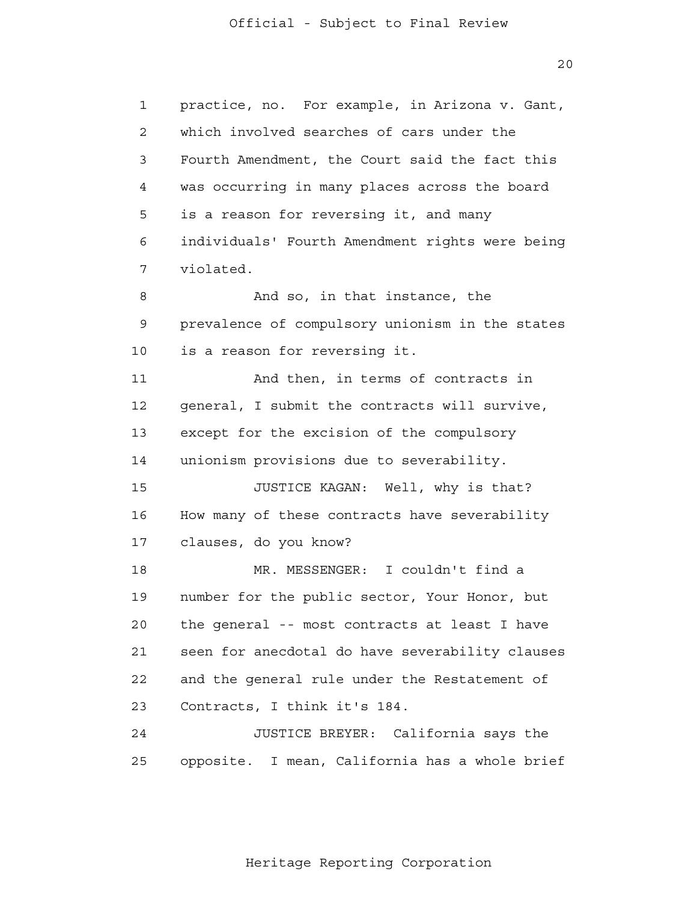20

 1 2 3 4 **5**  6 7 8 9 10 11 12 13 14 15 16 17 18 19 20 21 22 23 24 25 practice, no. For example, in Arizona v. Gant, which involved searches of cars under the Fourth Amendment, the Court said the fact this was occurring in many places across the board is a reason for reversing it, and many individuals' Fourth Amendment rights were being violated. And so, in that instance, the prevalence of compulsory unionism in the states is a reason for reversing it. And then, in terms of contracts in general, I submit the contracts will survive, except for the excision of the compulsory unionism provisions due to severability. JUSTICE KAGAN: Well, why is that? How many of these contracts have severability clauses, do you know? MR. MESSENGER: I couldn't find a number for the public sector, Your Honor, but the general -- most contracts at least I have seen for anecdotal do have severability clauses and the general rule under the Restatement of Contracts, I think it's 184. JUSTICE BREYER: California says the opposite. I mean, California has a whole brief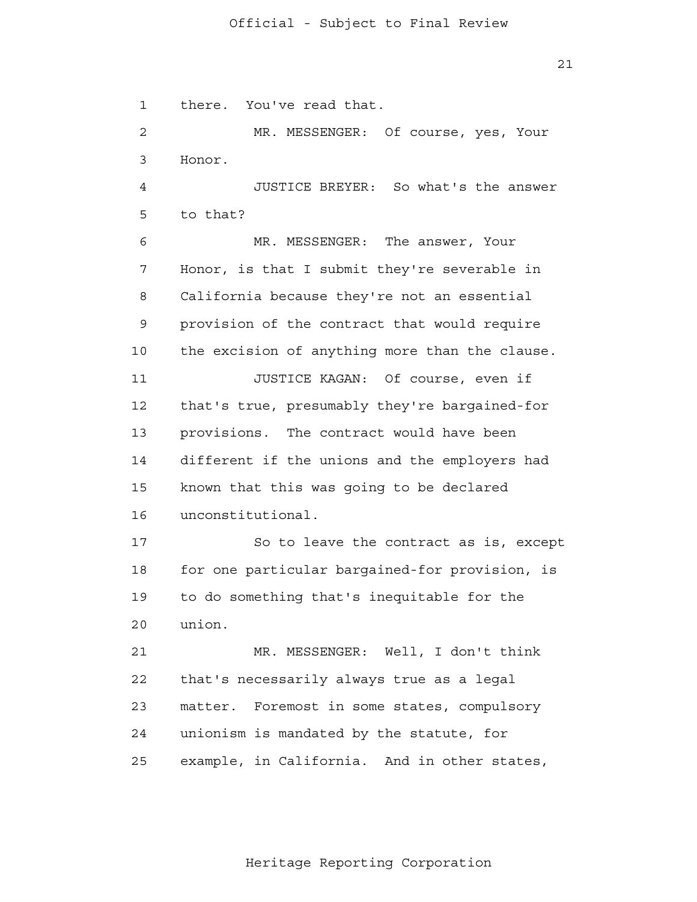21

 1 2 3 4 **5**  6 7 8 9 10 11 12 13 14 15 16 17 18 19 20 21 22 23 24 25 there. You've read that. MR. MESSENGER: Of course, yes, Your Honor. JUSTICE BREYER: So what's the answer to that? MR. MESSENGER: The answer, Your Honor, is that I submit they're severable in California because they're not an essential provision of the contract that would require the excision of anything more than the clause. JUSTICE KAGAN: Of course, even if that's true, presumably they're bargained-for provisions. The contract would have been different if the unions and the employers had known that this was going to be declared unconstitutional. So to leave the contract as is, except for one particular bargained-for provision, is to do something that's inequitable for the union. MR. MESSENGER: Well, I don't think that's necessarily always true as a legal matter. Foremost in some states, compulsory unionism is mandated by the statute, for example, in California. And in other states,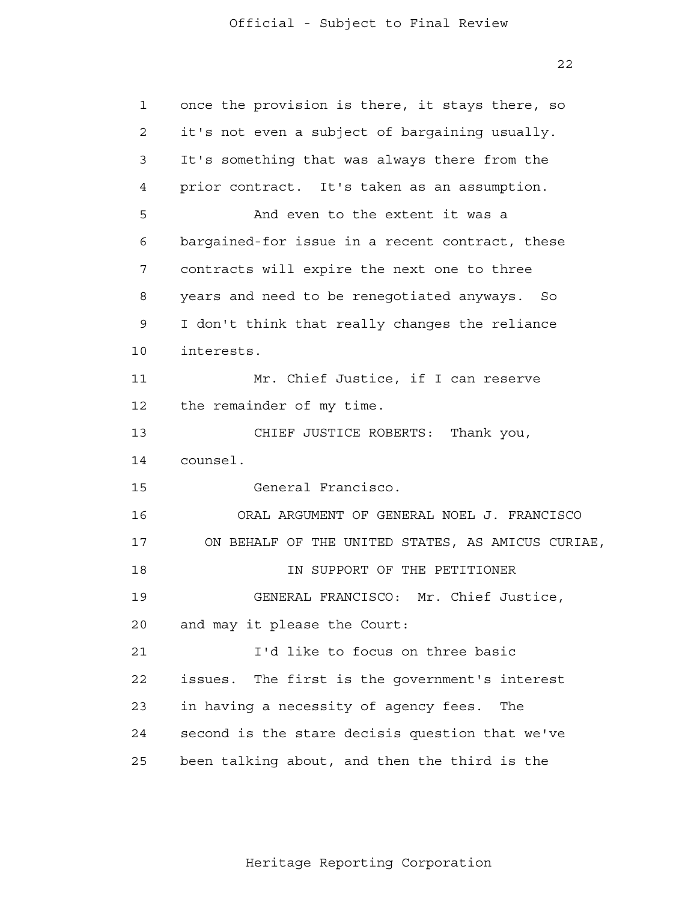22

| $\mathbf{1}$   | once the provision is there, it stays there, so   |
|----------------|---------------------------------------------------|
| $\overline{2}$ | it's not even a subject of bargaining usually.    |
| 3              | It's something that was always there from the     |
| 4              | prior contract. It's taken as an assumption.      |
| 5              | And even to the extent it was a                   |
| 6              | bargained-for issue in a recent contract, these   |
| 7              | contracts will expire the next one to three       |
| 8              | years and need to be renegotiated anyways. So     |
| 9              | I don't think that really changes the reliance    |
| 10             | interests.                                        |
| 11             | Mr. Chief Justice, if I can reserve               |
| 12             | the remainder of my time.                         |
| 13             | CHIEF JUSTICE ROBERTS: Thank you,                 |
| 14             | counsel.                                          |
| 15             | General Francisco.                                |
| 16             | ORAL ARGUMENT OF GENERAL NOEL J. FRANCISCO        |
| 17             | ON BEHALF OF THE UNITED STATES, AS AMICUS CURIAE, |
| 18             | IN SUPPORT OF THE PETITIONER                      |
| 19             | GENERAL FRANCISCO: Mr. Chief Justice,             |
| 20             | and may it please the Court:                      |
| 21             | I'd like to focus on three basic                  |
| 22             | The first is the government's interest<br>issues. |
| 23             | in having a necessity of agency fees.<br>The      |
| 24             | second is the stare decisis question that we've   |
| 25             | been talking about, and then the third is the     |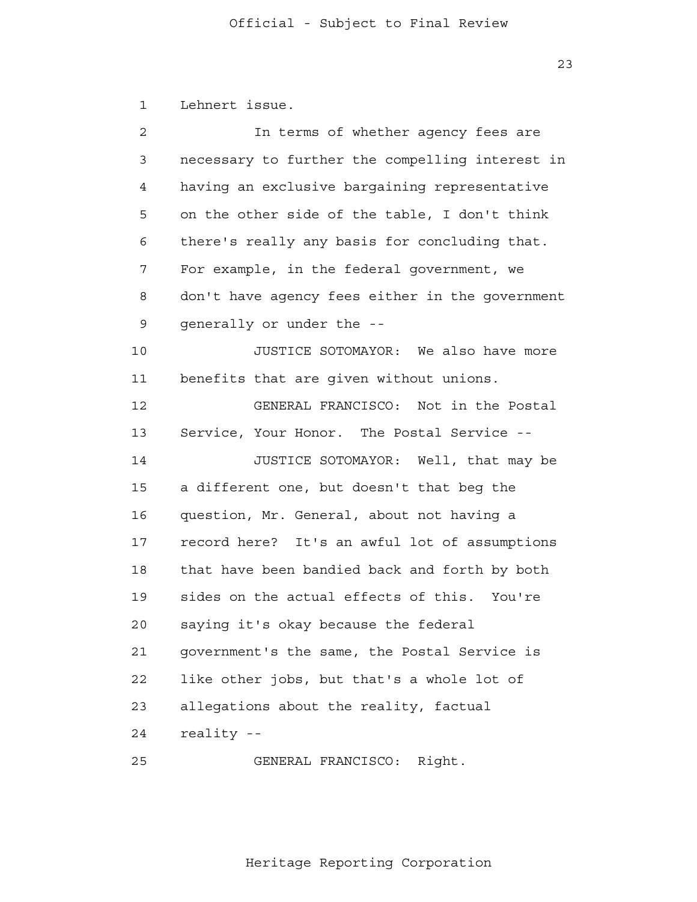1 2 3 4 **5**  6 7 8 9 10 11 12 13 14 15 16 17 18 19 20 21 **22**  23 24 Lehnert issue. In terms of whether agency fees are necessary to further the compelling interest in having an exclusive bargaining representative on the other side of the table, I don't think there's really any basis for concluding that. For example, in the federal government, we don't have agency fees either in the government generally or under the - JUSTICE SOTOMAYOR: We also have more benefits that are given without unions. GENERAL FRANCISCO: Not in the Postal Service, Your Honor. The Postal Service - JUSTICE SOTOMAYOR: Well, that may be a different one, but doesn't that beg the question, Mr. General, about not having a record here? It's an awful lot of assumptions that have been bandied back and forth by both sides on the actual effects of this. You're saying it's okay because the federal government's the same, the Postal Service is like other jobs, but that's a whole lot of allegations about the reality, factual reality -

> 25 GENERAL FRANCISCO: Right.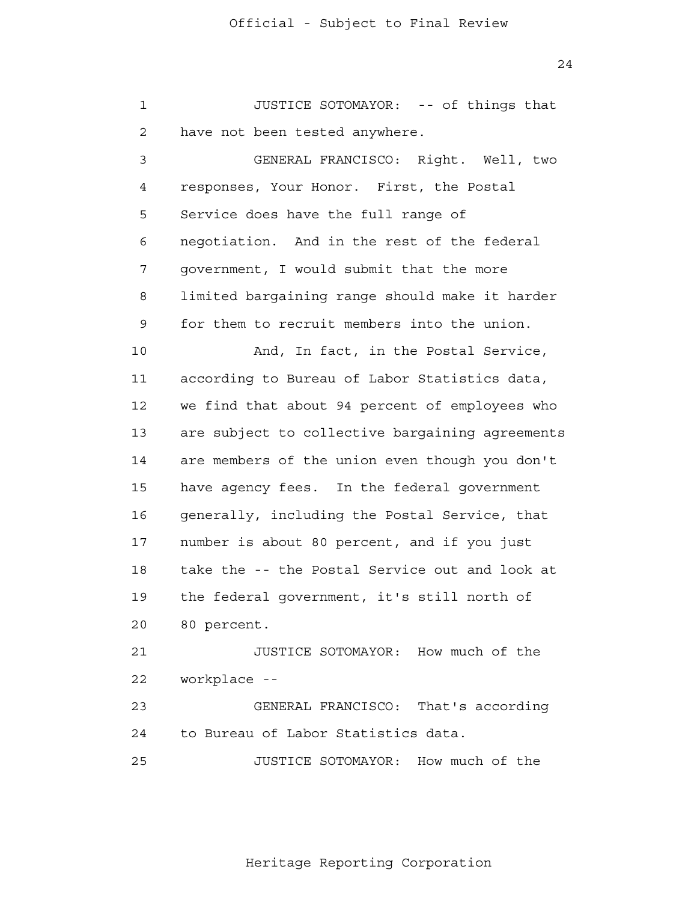24

 1 2 3 4 **5**  6 7 8 9 10 11 12 13 14 15 16 17 18 19 20 21 **22**  23 24 25 JUSTICE SOTOMAYOR: -- of things that have not been tested anywhere. GENERAL FRANCISCO: Right. Well, two responses, Your Honor. First, the Postal Service does have the full range of negotiation. And in the rest of the federal government, I would submit that the more limited bargaining range should make it harder for them to recruit members into the union. And, In fact, in the Postal Service, according to Bureau of Labor Statistics data, we find that about 94 percent of employees who are subject to collective bargaining agreements are members of the union even though you don't have agency fees. In the federal government generally, including the Postal Service, that number is about 80 percent, and if you just take the -- the Postal Service out and look at the federal government, it's still north of 80 percent. JUSTICE SOTOMAYOR: How much of the workplace - GENERAL FRANCISCO: That's according to Bureau of Labor Statistics data. JUSTICE SOTOMAYOR: How much of the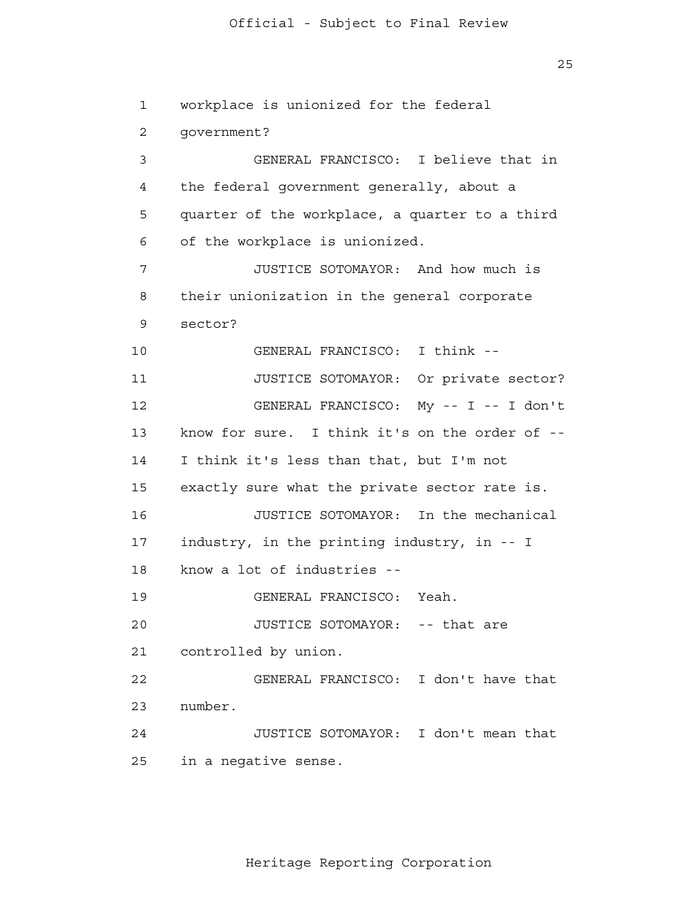25

 1 2 3 4 **5**  6 7 8 9 10 11 12 13 14 15 16 17 18 19 20 21 22 23 24 25 workplace is unionized for the federal government? GENERAL FRANCISCO: I believe that in the federal government generally, about a quarter of the workplace, a quarter to a third of the workplace is unionized. JUSTICE SOTOMAYOR: And how much is their unionization in the general corporate sector? GENERAL FRANCISCO: I think - JUSTICE SOTOMAYOR: Or private sector? GENERAL FRANCISCO: My -- I -- I don't know for sure. I think it's on the order of - I think it's less than that, but I'm not exactly sure what the private sector rate is. JUSTICE SOTOMAYOR: In the mechanical industry, in the printing industry, in -- I know a lot of industries - GENERAL FRANCISCO: Yeah. JUSTICE SOTOMAYOR: -- that are controlled by union. GENERAL FRANCISCO: I don't have that number. JUSTICE SOTOMAYOR: I don't mean that in a negative sense.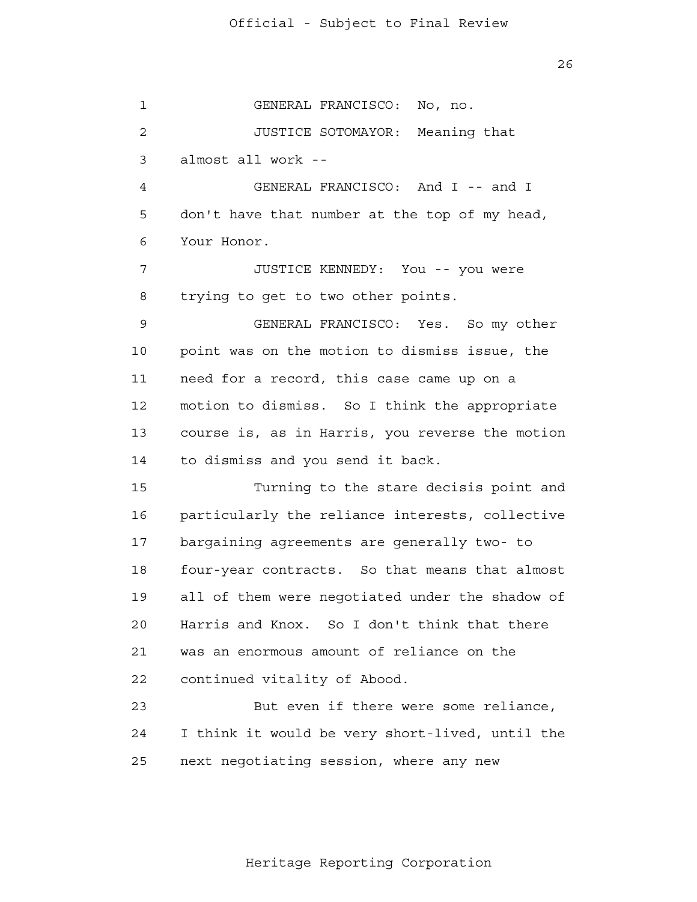26

 1 2 3 4 **5**  6 7 8 9 10 11 12 13 14 15 16 17 18 19 20 21 **22**  23 24 25 GENERAL FRANCISCO: No, no. JUSTICE SOTOMAYOR: Meaning that almost all work - GENERAL FRANCISCO: And I -- and I don't have that number at the top of my head, Your Honor. JUSTICE KENNEDY: You -- you were trying to get to two other points. GENERAL FRANCISCO: Yes. So my other point was on the motion to dismiss issue, the need for a record, this case came up on a motion to dismiss. So I think the appropriate course is, as in Harris, you reverse the motion to dismiss and you send it back. Turning to the stare decisis point and particularly the reliance interests, collective bargaining agreements are generally two- to four-year contracts. So that means that almost all of them were negotiated under the shadow of Harris and Knox. So I don't think that there was an enormous amount of reliance on the continued vitality of Abood. But even if there were some reliance, I think it would be very short-lived, until the next negotiating session, where any new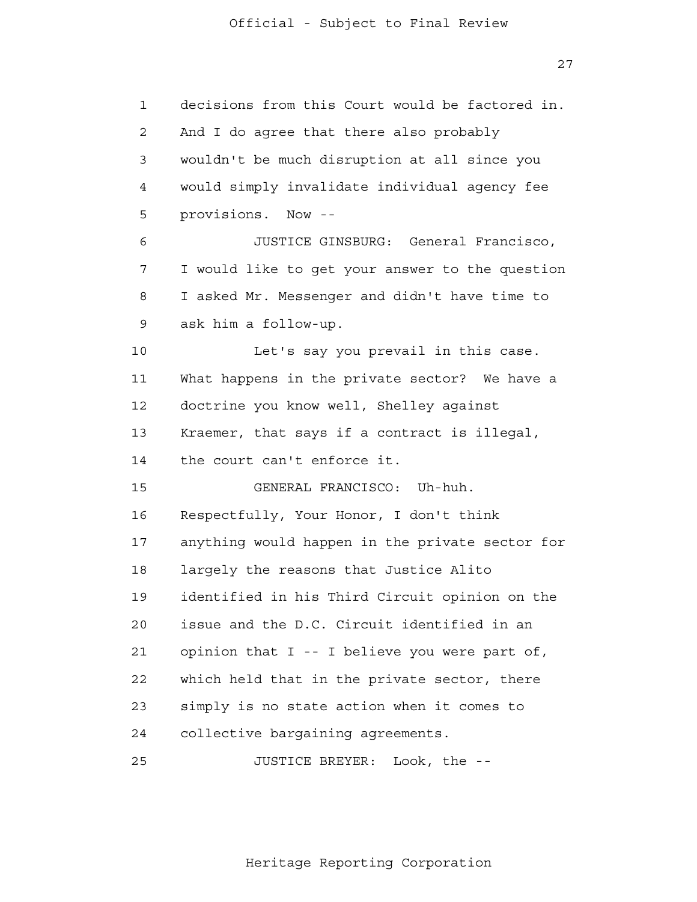27

| $\mathbf{1}$ | decisions from this Court would be factored in. |
|--------------|-------------------------------------------------|
| 2            | And I do agree that there also probably         |
| 3            | wouldn't be much disruption at all since you    |
| 4            | would simply invalidate individual agency fee   |
| 5            | provisions. Now --                              |
| 6            | JUSTICE GINSBURG: General Francisco,            |
| 7            | I would like to get your answer to the question |
| 8            | I asked Mr. Messenger and didn't have time to   |
| 9            | ask him a follow-up.                            |
| 10           | Let's say you prevail in this case.             |
| 11           | What happens in the private sector? We have a   |
| 12           | doctrine you know well, Shelley against         |
| 13           | Kraemer, that says if a contract is illegal,    |
| 14           | the court can't enforce it.                     |
| 15           | GENERAL FRANCISCO: Uh-huh.                      |
| 16           | Respectfully, Your Honor, I don't think         |
| 17           | anything would happen in the private sector for |
| 18           | largely the reasons that Justice Alito          |
| 19           | identified in his Third Circuit opinion on the  |
| 20           | issue and the D.C. Circuit identified in an     |
| 21           | opinion that I -- I believe you were part of,   |
| 22           | which held that in the private sector, there    |
| 23           | simply is no state action when it comes to      |
| 24           | collective bargaining agreements.               |
| 25           | JUSTICE BREYER:<br>Look, the $-$                |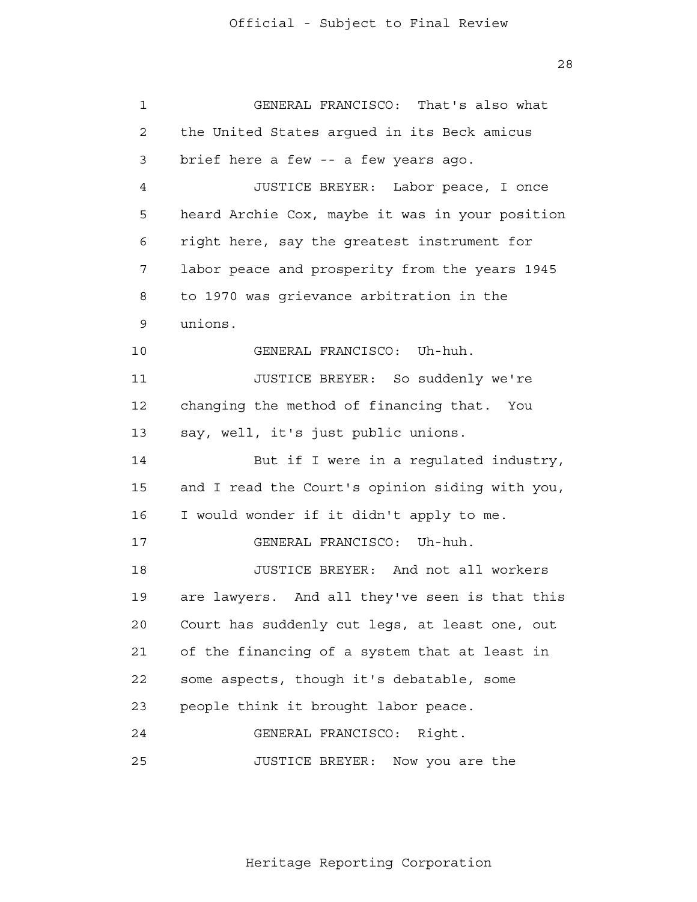| $\mathbf{1}$   | GENERAL FRANCISCO: That's also what               |
|----------------|---------------------------------------------------|
| $\overline{2}$ | the United States argued in its Beck amicus       |
| 3              | brief here a few -- a few years ago.              |
| 4              | JUSTICE BREYER: Labor peace, I once               |
| 5              | heard Archie Cox, maybe it was in your position   |
| 6              | right here, say the greatest instrument for       |
| 7              | labor peace and prosperity from the years 1945    |
| 8              | to 1970 was grievance arbitration in the          |
| 9              | unions.                                           |
| 10             | GENERAL FRANCISCO: Uh-huh.                        |
| 11             | JUSTICE BREYER: So suddenly we're                 |
| 12             | changing the method of financing that. You        |
| 13             | say, well, it's just public unions.               |
| 14             | But if I were in a regulated industry,            |
| 15             | and I read the Court's opinion siding with you,   |
| 16             | I would wonder if it didn't apply to me.          |
| 17             | GENERAL FRANCISCO: Uh-huh.                        |
| 18             | JUSTICE BREYER: And not all workers               |
| 19             | And all they've seen is that this<br>are lawyers. |
| 20             | Court has suddenly cut legs, at least one, out    |
| 21             | of the financing of a system that at least in     |
| 22             | some aspects, though it's debatable, some         |
| 23             | people think it brought labor peace.              |
| 24             | GENERAL FRANCISCO:<br>Right.                      |
| 25             | JUSTICE BREYER:<br>Now you are the                |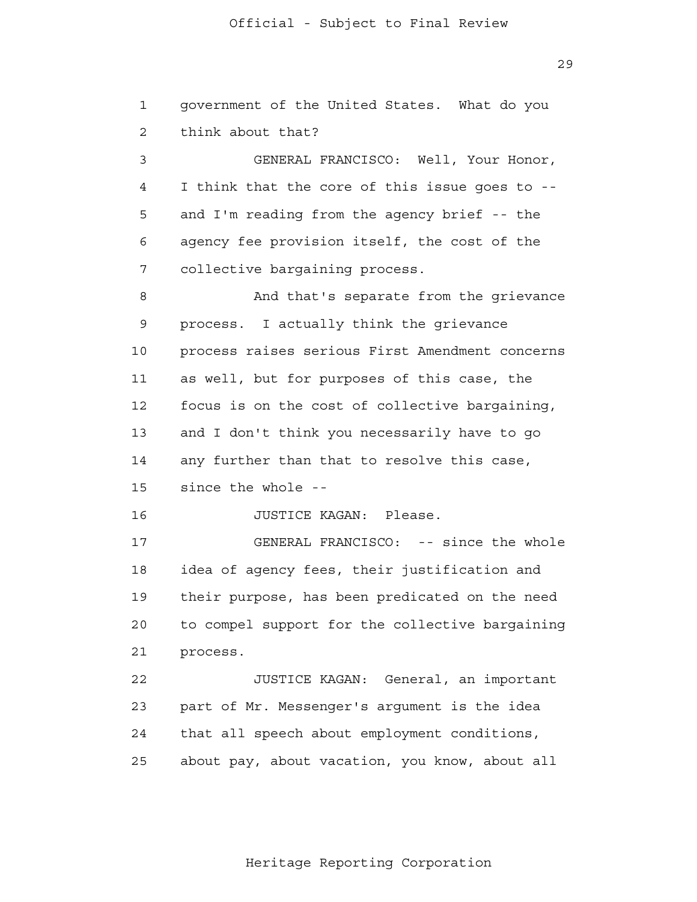29

| $\mathbf 1$ | government of the United States. What do you    |
|-------------|-------------------------------------------------|
| 2           | think about that?                               |
|             |                                                 |
| 3           | GENERAL FRANCISCO: Well, Your Honor,            |
| 4           | I think that the core of this issue goes to --  |
| 5           | and I'm reading from the agency brief -- the    |
| 6           | agency fee provision itself, the cost of the    |
| 7           | collective bargaining process.                  |
| 8           | And that's separate from the grievance          |
| 9           | process. I actually think the grievance         |
| 10          | process raises serious First Amendment concerns |
| 11          | as well, but for purposes of this case, the     |
| 12          | focus is on the cost of collective bargaining,  |
| 13          | and I don't think you necessarily have to go    |
| 14          | any further than that to resolve this case,     |
| 15          | since the whole --                              |
| 16          | JUSTICE KAGAN: Please.                          |
| 17          | GENERAL FRANCISCO: -- since the whole           |
| 18          | idea of agency fees, their justification and    |
| 19          | their purpose, has been predicated on the need  |
| 20          | to compel support for the collective bargaining |
| 21          | process.                                        |
| 22          | JUSTICE KAGAN: General, an important            |
| 23          | part of Mr. Messenger's argument is the idea    |
| 24          | that all speech about employment conditions,    |
| 25          | about pay, about vacation, you know, about all  |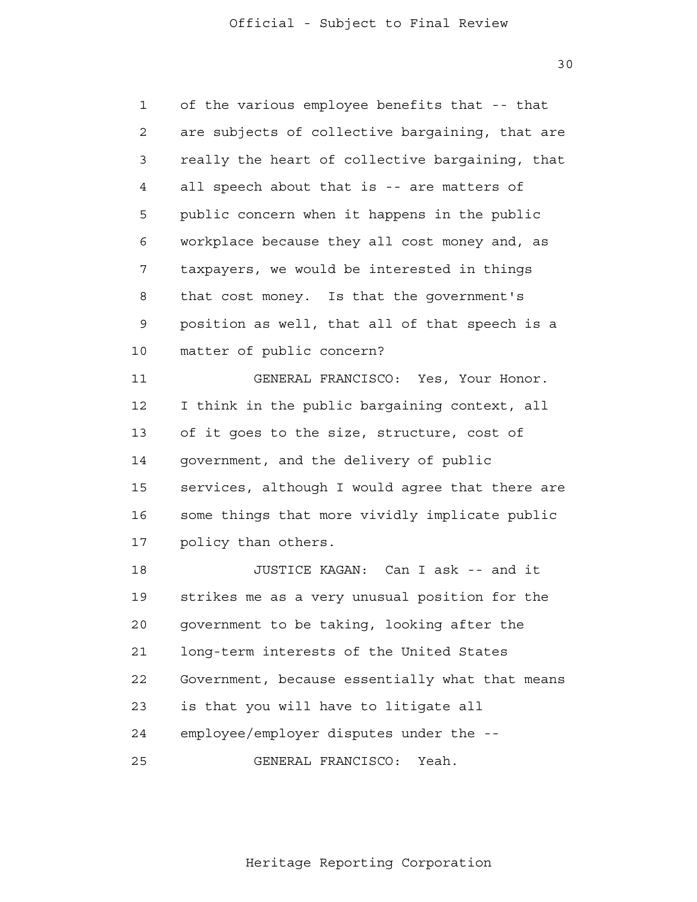30

 1 2 3 4 **5**  6 7 8 9 10 11 12 13 14 15 16 17 18 19 20 21 **22**  23 24 25 of the various employee benefits that -- that are subjects of collective bargaining, that are really the heart of collective bargaining, that all speech about that is -- are matters of public concern when it happens in the public workplace because they all cost money and, as taxpayers, we would be interested in things that cost money. Is that the government's position as well, that all of that speech is a matter of public concern? GENERAL FRANCISCO: Yes, Your Honor. I think in the public bargaining context, all of it goes to the size, structure, cost of government, and the delivery of public services, although I would agree that there are some things that more vividly implicate public policy than others. JUSTICE KAGAN: Can I ask -- and it strikes me as a very unusual position for the government to be taking, looking after the long-term interests of the United States Government, because essentially what that means is that you will have to litigate all employee/employer disputes under the - GENERAL FRANCISCO: Yeah.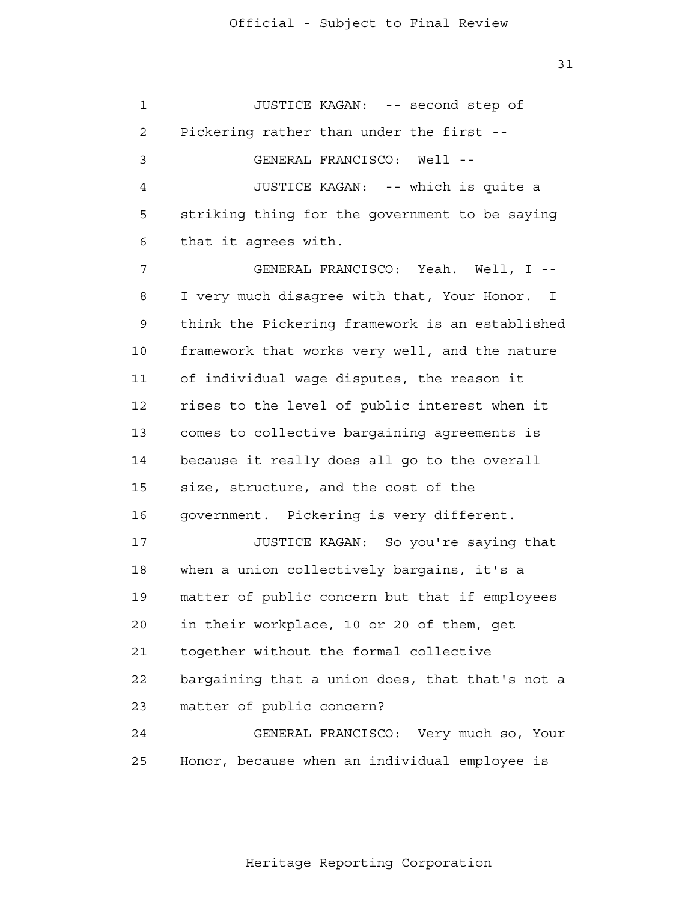| $\mathbf 1$ | JUSTICE KAGAN: -- second step of                |
|-------------|-------------------------------------------------|
| 2           | Pickering rather than under the first --        |
| 3           | GENERAL FRANCISCO: Well --                      |
| 4           | JUSTICE KAGAN: -- which is quite a              |
| 5           | striking thing for the government to be saying  |
| 6           | that it agrees with.                            |
| 7           | GENERAL FRANCISCO: Yeah. Well, I --             |
| 8           | I very much disagree with that, Your Honor. I   |
| 9           | think the Pickering framework is an established |
| 10          | framework that works very well, and the nature  |
| 11          | of individual wage disputes, the reason it      |
| 12          | rises to the level of public interest when it   |
| 13          | comes to collective bargaining agreements is    |
| 14          | because it really does all go to the overall    |
| 15          | size, structure, and the cost of the            |
| 16          | government. Pickering is very different.        |
| 17          | JUSTICE KAGAN: So you're saying that            |
| 18          | when a union collectively bargains, it's a      |
| 19          | matter of public concern but that if employees  |
| 20          | in their workplace, 10 or 20 of them, get       |
| 21          | together without the formal collective          |
| 22          | bargaining that a union does, that that's not a |
| 23          | matter of public concern?                       |
| 24          | GENERAL FRANCISCO: Very much so, Your           |
| 25          | Honor, because when an individual employee is   |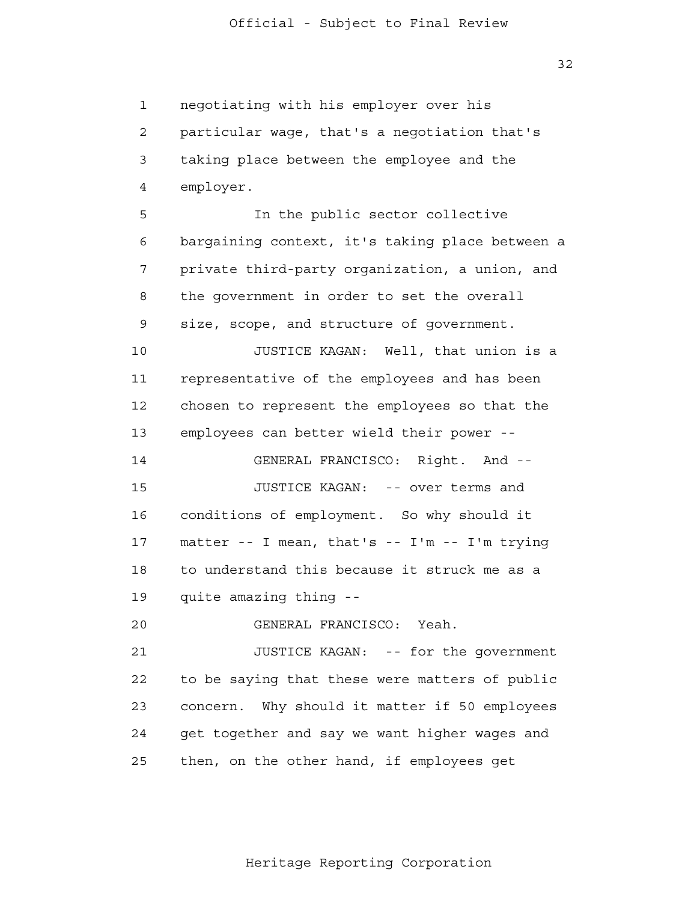32

 1 2 3 4 **5**  6 7 8 9 10 11 12 13 14 15 16 17 18 19 20 21 22 23 24 25 negotiating with his employer over his particular wage, that's a negotiation that's taking place between the employee and the employer. In the public sector collective bargaining context, it's taking place between a private third-party organization, a union, and the government in order to set the overall size, scope, and structure of government. JUSTICE KAGAN: Well, that union is a representative of the employees and has been chosen to represent the employees so that the employees can better wield their power - GENERAL FRANCISCO: Right. And - JUSTICE KAGAN: -- over terms and conditions of employment. So why should it matter -- I mean, that's -- I'm -- I'm trying to understand this because it struck me as a quite amazing thing - GENERAL FRANCISCO: Yeah. JUSTICE KAGAN: -- for the government to be saying that these were matters of public concern. Why should it matter if 50 employees get together and say we want higher wages and then, on the other hand, if employees get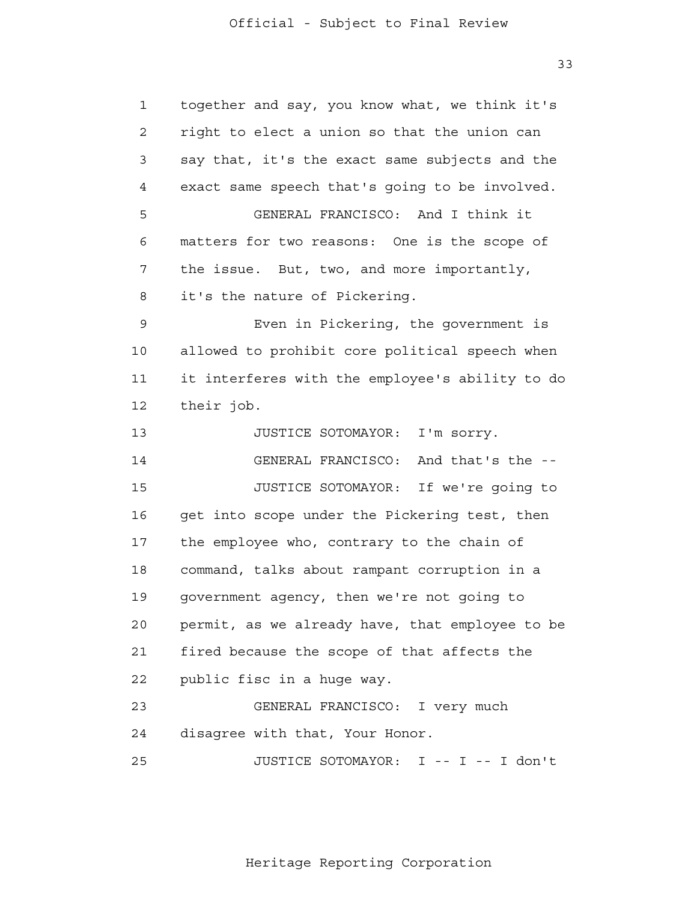1 2 3 4 **5**  6 7 8 9 10 11 12 13 14 15 16 17 18 19 20 21 **22**  23 24 25 together and say, you know what, we think it's right to elect a union so that the union can say that, it's the exact same subjects and the exact same speech that's going to be involved. GENERAL FRANCISCO: And I think it matters for two reasons: One is the scope of the issue. But, two, and more importantly, it's the nature of Pickering. Even in Pickering, the government is allowed to prohibit core political speech when it interferes with the employee's ability to do their job. JUSTICE SOTOMAYOR: I'm sorry. GENERAL FRANCISCO: And that's the - JUSTICE SOTOMAYOR: If we're going to get into scope under the Pickering test, then the employee who, contrary to the chain of command, talks about rampant corruption in a government agency, then we're not going to permit, as we already have, that employee to be fired because the scope of that affects the public fisc in a huge way. GENERAL FRANCISCO: I very much disagree with that, Your Honor. JUSTICE SOTOMAYOR: I -- I -- I don't

Heritage Reporting Corporation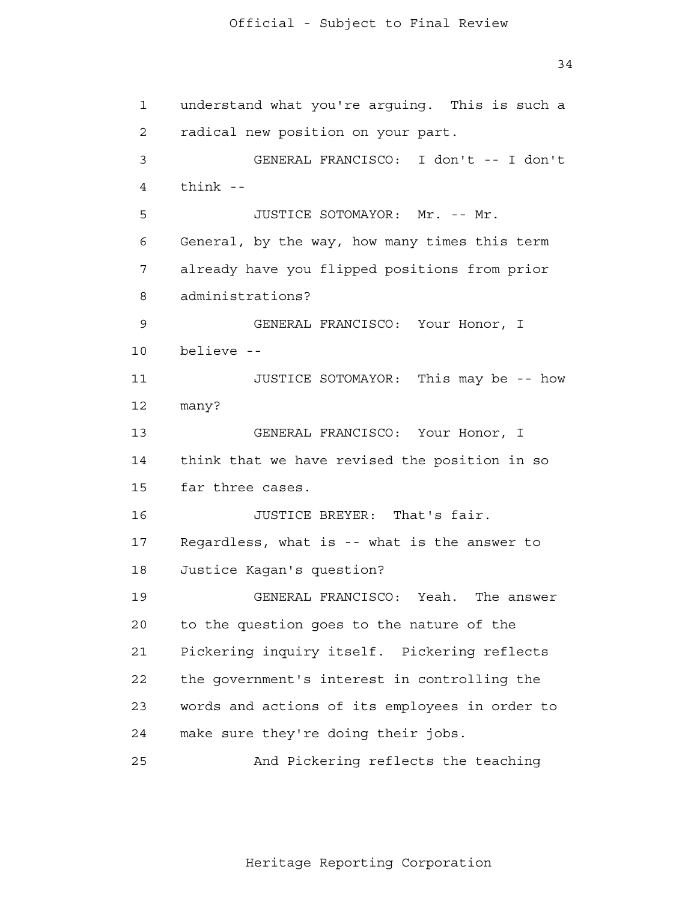1 2 3 4 **5**  6 7 8 9 10 11 12 13 14 15 16 17 18 19 20 21 22 23 24 25 understand what you're arguing. This is such a radical new position on your part. GENERAL FRANCISCO: I don't -- I don't think - JUSTICE SOTOMAYOR: Mr. -- Mr. General, by the way, how many times this term already have you flipped positions from prior administrations? GENERAL FRANCISCO: Your Honor, I believe - JUSTICE SOTOMAYOR: This may be -- how many? GENERAL FRANCISCO: Your Honor, I think that we have revised the position in so far three cases. JUSTICE BREYER: That's fair. Regardless, what is -- what is the answer to Justice Kagan's question? GENERAL FRANCISCO: Yeah. The answer to the question goes to the nature of the Pickering inquiry itself. Pickering reflects the government's interest in controlling the words and actions of its employees in order to make sure they're doing their jobs. And Pickering reflects the teaching

Heritage Reporting Corporation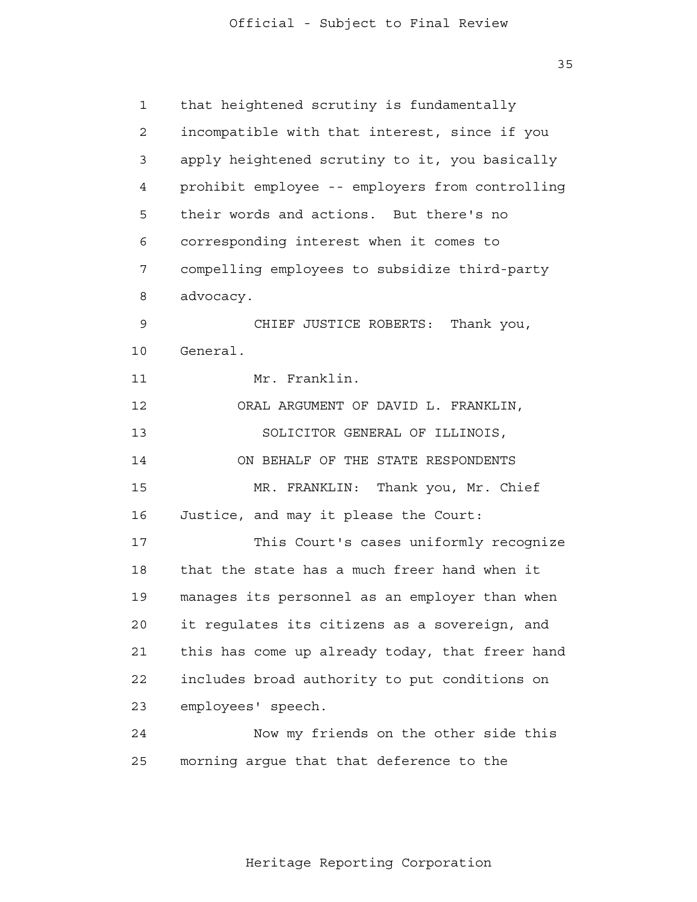35

| $\mathbf{1}$   | that heightened scrutiny is fundamentally       |
|----------------|-------------------------------------------------|
| $\overline{a}$ | incompatible with that interest, since if you   |
| 3              | apply heightened scrutiny to it, you basically  |
| 4              | prohibit employee -- employers from controlling |
| 5              | their words and actions. But there's no         |
| 6              | corresponding interest when it comes to         |
| 7              | compelling employees to subsidize third-party   |
| 8              | advocacy.                                       |
| 9              | CHIEF JUSTICE ROBERTS:<br>Thank you,            |
| 10             | General.                                        |
| 11             | Mr. Franklin.                                   |
| 12             | ORAL ARGUMENT OF DAVID L. FRANKLIN,             |
| 13             | SOLICITOR GENERAL OF ILLINOIS,                  |
| 14             | ON BEHALF OF THE STATE RESPONDENTS              |
| 15             | Thank you, Mr. Chief<br>MR. FRANKLIN:           |
| 16             | Justice, and may it please the Court:           |
| 17             | This Court's cases uniformly recognize          |
| 18             | that the state has a much freer hand when it    |
| 19             | manages its personnel as an employer than when  |
| 20             | it regulates its citizens as a sovereign, and   |
| 21             | this has come up already today, that freer hand |
| 22             | includes broad authority to put conditions on   |
| 23             | employees' speech.                              |
| 24             | Now my friends on the other side this           |
| 25             | morning argue that that deference to the        |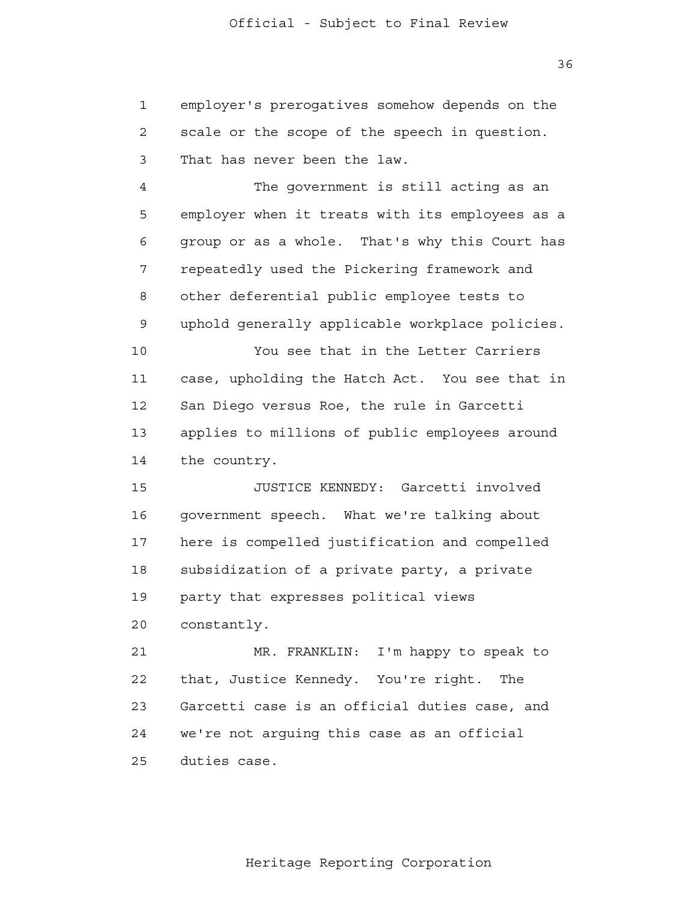1 2 3 employer's prerogatives somehow depends on the scale or the scope of the speech in question. That has never been the law.

 4 **5**  6 7 8 9 The government is still acting as an employer when it treats with its employees as a group or as a whole. That's why this Court has repeatedly used the Pickering framework and other deferential public employee tests to uphold generally applicable workplace policies.

> 10 11 12 13 14 You see that in the Letter Carriers case, upholding the Hatch Act. You see that in San Diego versus Roe, the rule in Garcetti applies to millions of public employees around the country.

 15 16 17 18 19 20 JUSTICE KENNEDY: Garcetti involved government speech. What we're talking about here is compelled justification and compelled subsidization of a private party, a private party that expresses political views constantly.

 21 22 23 24 25 MR. FRANKLIN: I'm happy to speak to that, Justice Kennedy. You're right. The Garcetti case is an official duties case, and we're not arguing this case as an official duties case.

Heritage Reporting Corporation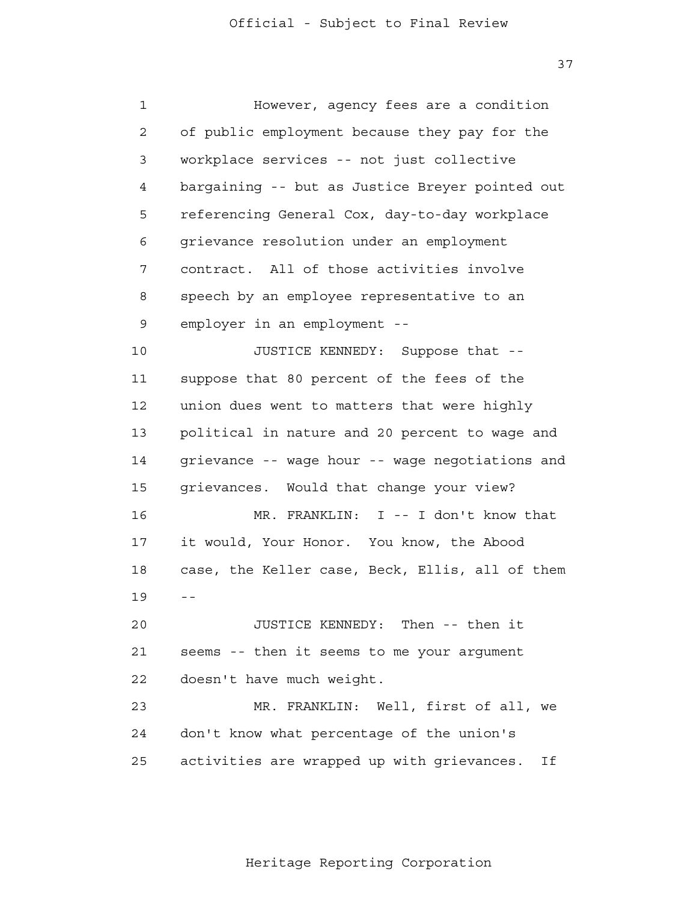37

 1 2 3 4 **5**  6 7 8 9 10 11 12 13 14 15 16 17 18 19 -- 20 21 22 23 24 25 However, agency fees are a condition of public employment because they pay for the workplace services -- not just collective bargaining -- but as Justice Breyer pointed out referencing General Cox, day-to-day workplace grievance resolution under an employment contract. All of those activities involve speech by an employee representative to an employer in an employment - JUSTICE KENNEDY: Suppose that suppose that 80 percent of the fees of the union dues went to matters that were highly political in nature and 20 percent to wage and grievance -- wage hour -- wage negotiations and grievances. Would that change your view? MR. FRANKLIN: I -- I don't know that it would, Your Honor. You know, the Abood case, the Keller case, Beck, Ellis, all of them JUSTICE KENNEDY: Then -- then it seems -- then it seems to me your argument doesn't have much weight. MR. FRANKLIN: Well, first of all, we don't know what percentage of the union's activities are wrapped up with grievances. If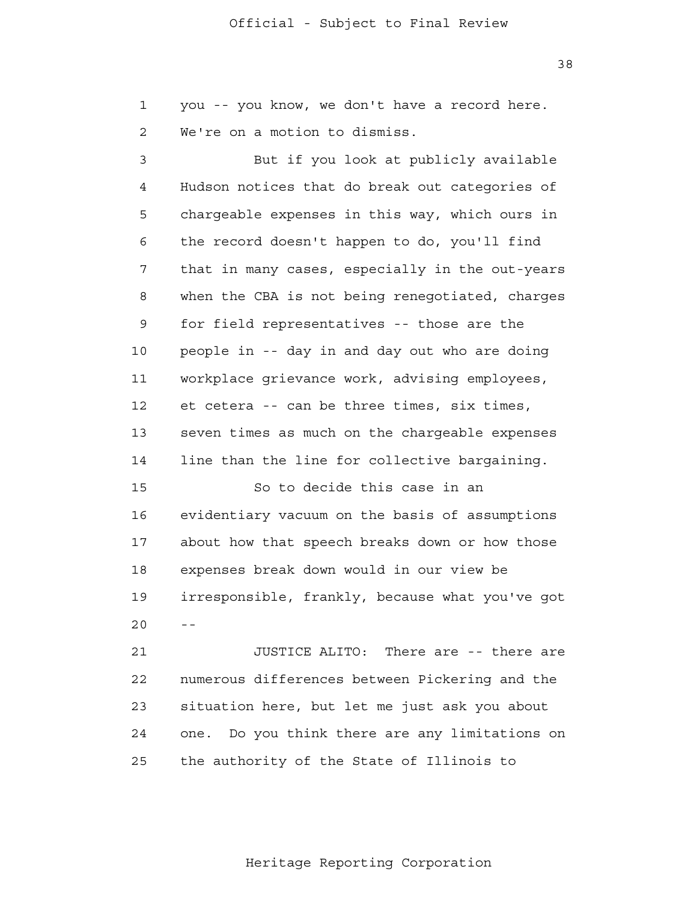1 2 you -- you know, we don't have a record here. We're on a motion to dismiss.

 3 4 **5**  6 7 8 9 10 11 12 13 14 But if you look at publicly available Hudson notices that do break out categories of chargeable expenses in this way, which ours in the record doesn't happen to do, you'll find that in many cases, especially in the out-years when the CBA is not being renegotiated, charges for field representatives -- those are the people in -- day in and day out who are doing workplace grievance work, advising employees, et cetera -- can be three times, six times, seven times as much on the chargeable expenses line than the line for collective bargaining.

 15 16 17 18 19  $20$  --So to decide this case in an evidentiary vacuum on the basis of assumptions about how that speech breaks down or how those expenses break down would in our view be irresponsible, frankly, because what you've got

 21 **22**  23 24 25 JUSTICE ALITO: There are -- there are numerous differences between Pickering and the situation here, but let me just ask you about one. Do you think there are any limitations on the authority of the State of Illinois to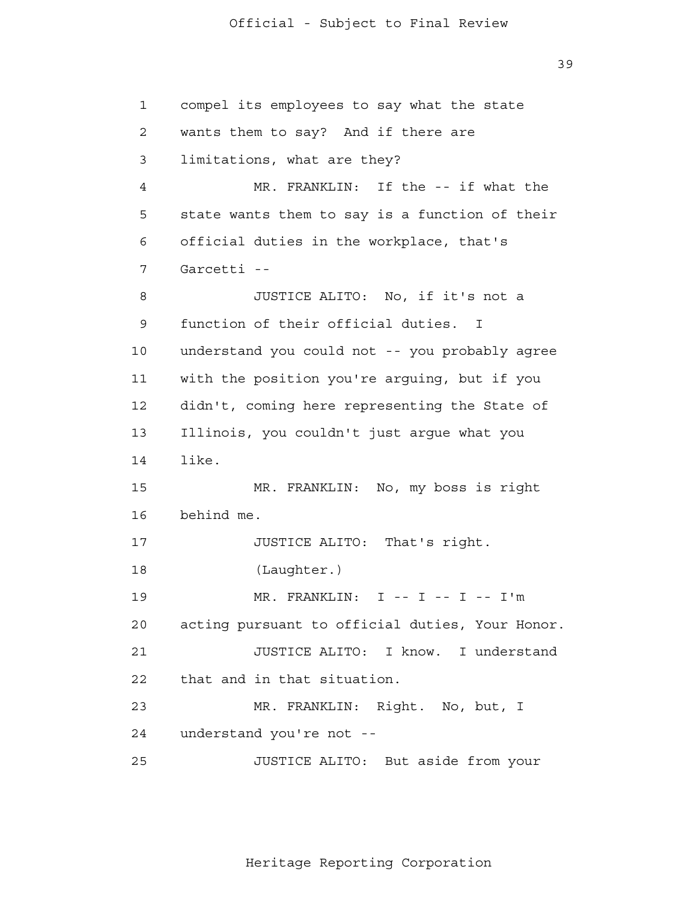39

 1 2 3 4 **5**  6 7 8 9 10 11 12 13 14 15 16 17 18 19 20 21 22 23 24 25 compel its employees to say what the state wants them to say? And if there are limitations, what are they? MR. FRANKLIN: If the -- if what the state wants them to say is a function of their official duties in the workplace, that's Garcetti - JUSTICE ALITO: No, if it's not a function of their official duties. I understand you could not -- you probably agree with the position you're arguing, but if you didn't, coming here representing the State of Illinois, you couldn't just argue what you like. MR. FRANKLIN: No, my boss is right behind me. JUSTICE ALITO: That's right. (Laughter.) MR. FRANKLIN: I -- I -- I -- I'm acting pursuant to official duties, Your Honor. JUSTICE ALITO: I know. I understand that and in that situation. MR. FRANKLIN: Right. No, but, I understand you're not - JUSTICE ALITO: But aside from your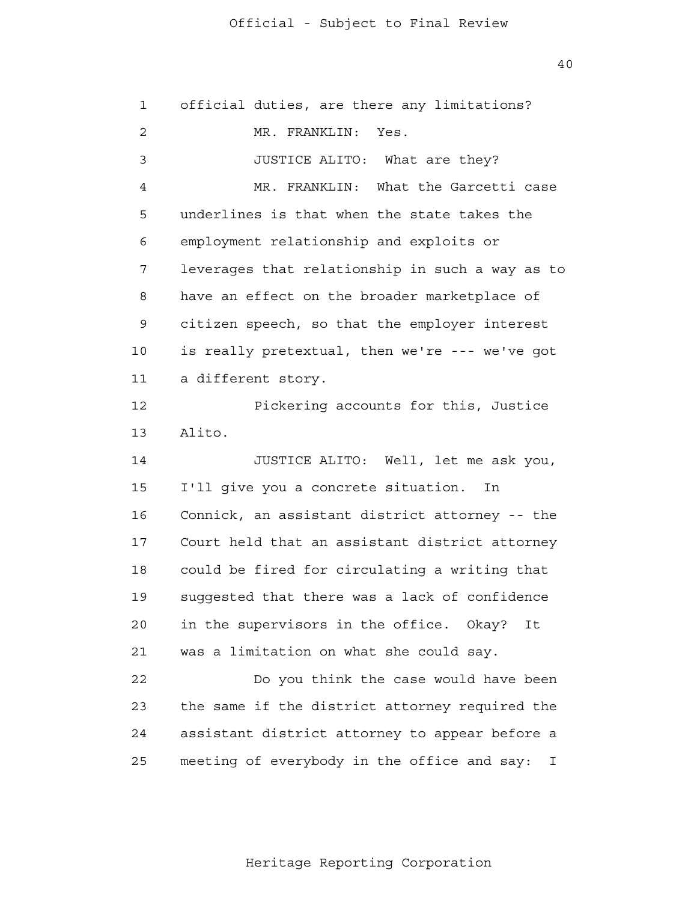40

| What the Garcetti case                                                                     |
|--------------------------------------------------------------------------------------------|
|                                                                                            |
|                                                                                            |
| leverages that relationship in such a way as to                                            |
| have an effect on the broader marketplace of                                               |
| citizen speech, so that the employer interest                                              |
| is really pretextual, then we're --- we've got                                             |
|                                                                                            |
| Pickering accounts for this, Justice                                                       |
|                                                                                            |
| JUSTICE ALITO: Well, let me ask you,                                                       |
|                                                                                            |
| Connick, an assistant district attorney -- the                                             |
| Court held that an assistant district attorney                                             |
| could be fired for circulating a writing that                                              |
| suggested that there was a lack of confidence                                              |
| It                                                                                         |
|                                                                                            |
| Do you think the case would have been                                                      |
| the same if the district attorney required the                                             |
| assistant district attorney to appear before a                                             |
| I                                                                                          |
| underlines is that when the state takes the<br>meeting of everybody in the office and say: |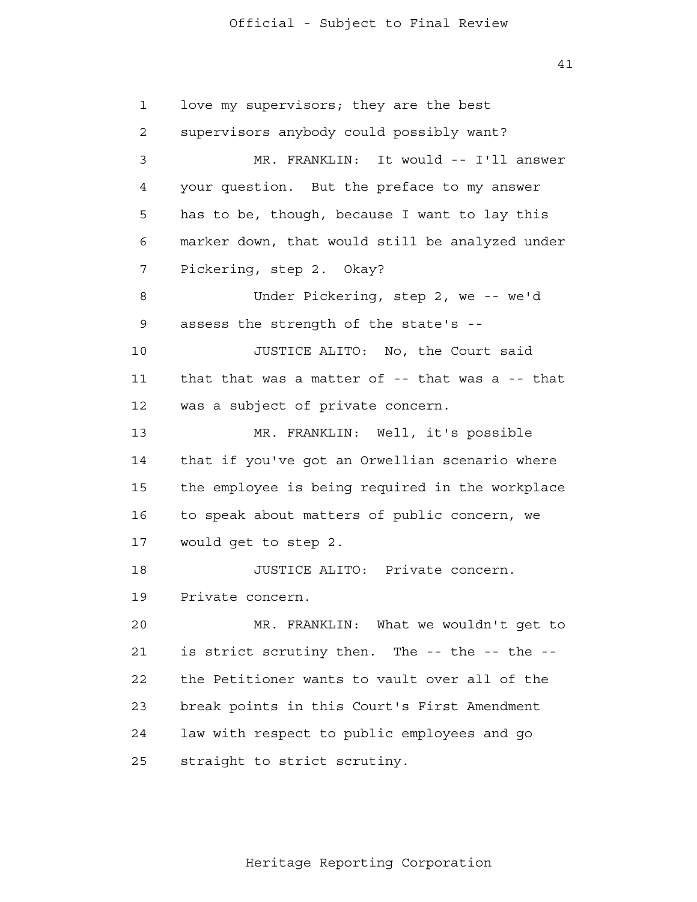41

 1 2 3 4 **5**  6 7 8 9 10 11 12 13 14 15 16 17 18 19 20 21 22 23 24 25 love my supervisors; they are the best supervisors anybody could possibly want? MR. FRANKLIN: It would -- I'll answer your question. But the preface to my answer has to be, though, because I want to lay this marker down, that would still be analyzed under Pickering, step 2. Okay? Under Pickering, step 2, we -- we'd assess the strength of the state's - JUSTICE ALITO: No, the Court said that that was a matter of -- that was a -- that was a subject of private concern. MR. FRANKLIN: Well, it's possible that if you've got an Orwellian scenario where the employee is being required in the workplace to speak about matters of public concern, we would get to step 2. JUSTICE ALITO: Private concern. Private concern. MR. FRANKLIN: What we wouldn't get to is strict scrutiny then. The -- the -- the the Petitioner wants to vault over all of the break points in this Court's First Amendment law with respect to public employees and go straight to strict scrutiny.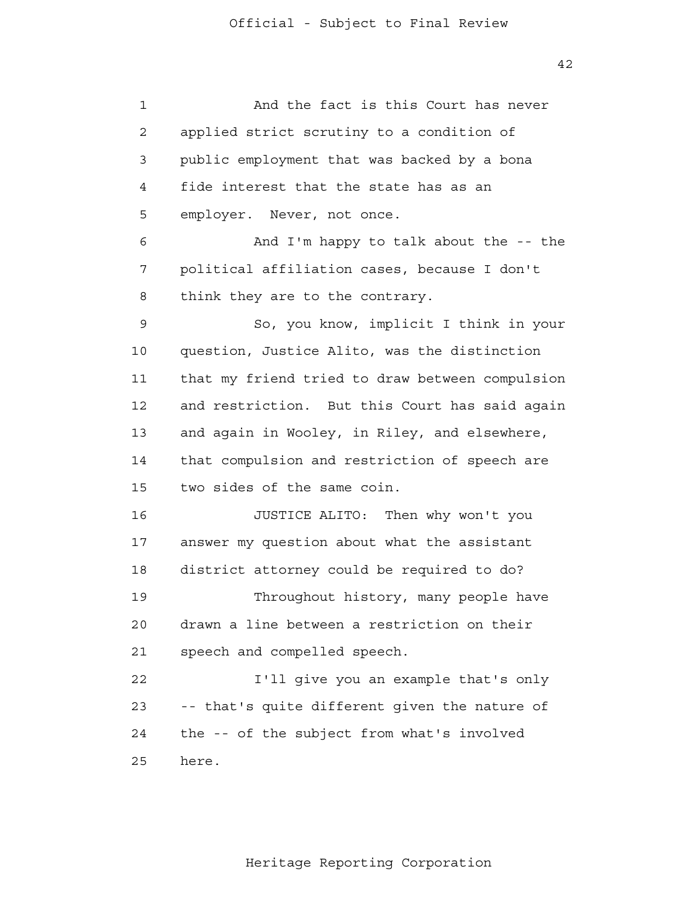| $\mathbf 1$    | And the fact is this Court has never            |
|----------------|-------------------------------------------------|
| $\overline{2}$ | applied strict scrutiny to a condition of       |
| 3              | public employment that was backed by a bona     |
| 4              | fide interest that the state has as an          |
| 5              | employer. Never, not once.                      |
| 6              | And I'm happy to talk about the -- the          |
| 7              | political affiliation cases, because I don't    |
| 8              | think they are to the contrary.                 |
| 9              | So, you know, implicit I think in your          |
| 10             | question, Justice Alito, was the distinction    |
| 11             | that my friend tried to draw between compulsion |
| 12             | and restriction. But this Court has said again  |
| 13             | and again in Wooley, in Riley, and elsewhere,   |
| 14             | that compulsion and restriction of speech are   |
| 15             | two sides of the same coin.                     |
| 16             | JUSTICE ALITO: Then why won't you               |
| 17             | answer my question about what the assistant     |
| 18             | district attorney could be required to do?      |
| 19             | Throughout history, many people have            |
| 20             | drawn a line between a restriction on their     |
| 21             | speech and compelled speech.                    |
| 22             | I'll give you an example that's only            |
| 23             | -- that's quite different given the nature of   |
| 24             | the -- of the subject from what's involved      |
| 25             | here.                                           |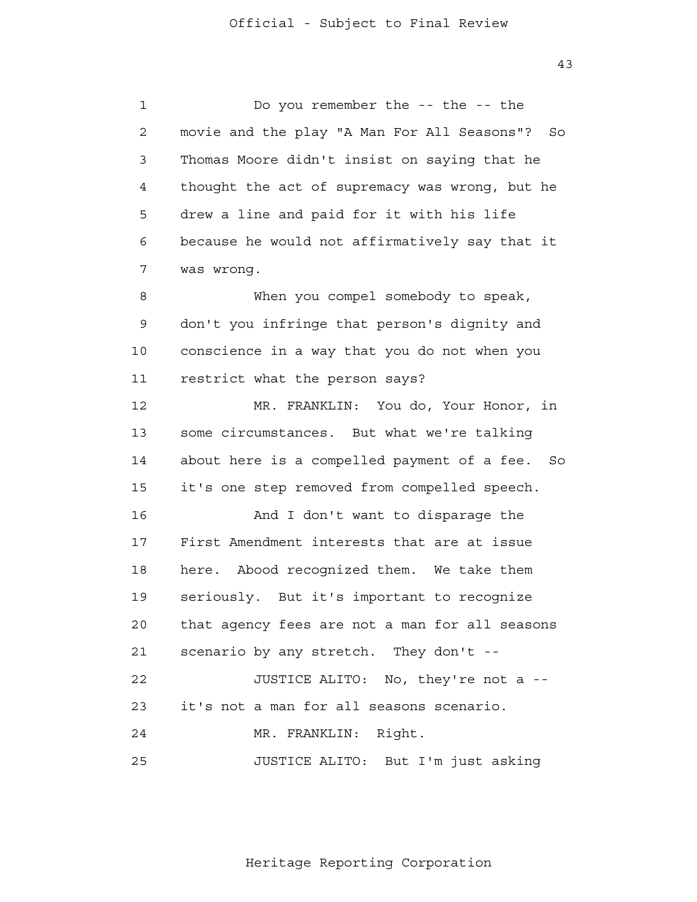43

 1 2 3 4 **5**  6 7 8 9 10 11 12 13 14 15 16 17 18 19 20 21 22 23 24 25 Do you remember the -- the -- the movie and the play "A Man For All Seasons"? So Thomas Moore didn't insist on saying that he thought the act of supremacy was wrong, but he drew a line and paid for it with his life because he would not affirmatively say that it was wrong. When you compel somebody to speak, don't you infringe that person's dignity and conscience in a way that you do not when you restrict what the person says? MR. FRANKLIN: You do, Your Honor, in some circumstances. But what we're talking about here is a compelled payment of a fee. So it's one step removed from compelled speech. And I don't want to disparage the First Amendment interests that are at issue here. Abood recognized them. We take them seriously. But it's important to recognize that agency fees are not a man for all seasons scenario by any stretch. They don't - JUSTICE ALITO: No, they're not a it's not a man for all seasons scenario. MR. FRANKLIN: Right. JUSTICE ALITO: But I'm just asking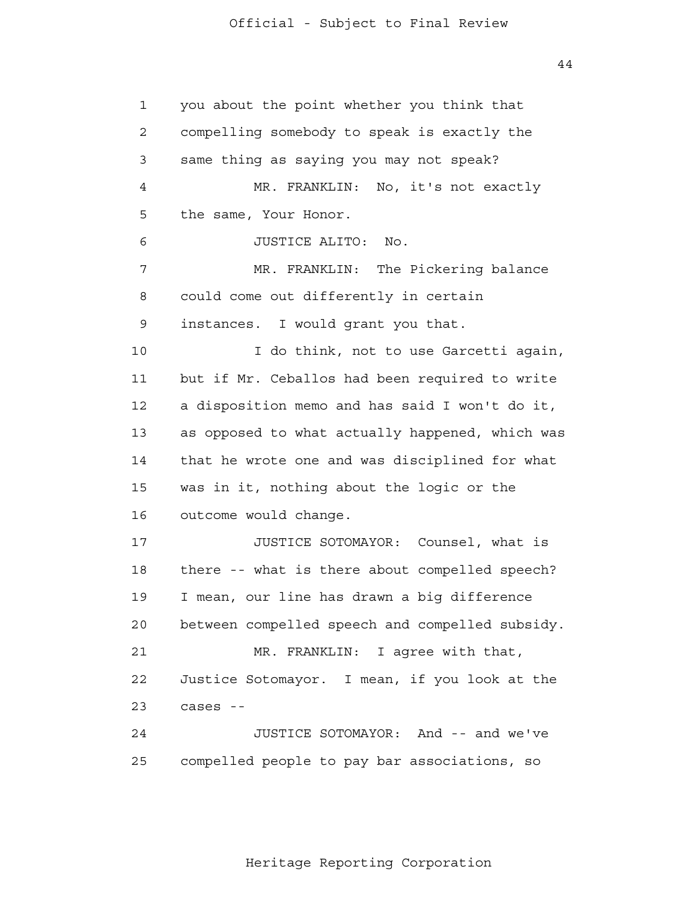44

 1 2 3 4 **5**  6 7 8 9 10 11 12 13 14 15 16 17 18 19 20 21 22 23 24 25 you about the point whether you think that compelling somebody to speak is exactly the same thing as saying you may not speak? MR. FRANKLIN: No, it's not exactly the same, Your Honor. JUSTICE ALITO: No. MR. FRANKLIN: The Pickering balance could come out differently in certain instances. I would grant you that. I do think, not to use Garcetti again, but if Mr. Ceballos had been required to write a disposition memo and has said I won't do it, as opposed to what actually happened, which was that he wrote one and was disciplined for what was in it, nothing about the logic or the outcome would change. JUSTICE SOTOMAYOR: Counsel, what is there -- what is there about compelled speech? I mean, our line has drawn a big difference between compelled speech and compelled subsidy. MR. FRANKLIN: I agree with that, Justice Sotomayor. I mean, if you look at the cases - JUSTICE SOTOMAYOR: And -- and we've compelled people to pay bar associations, so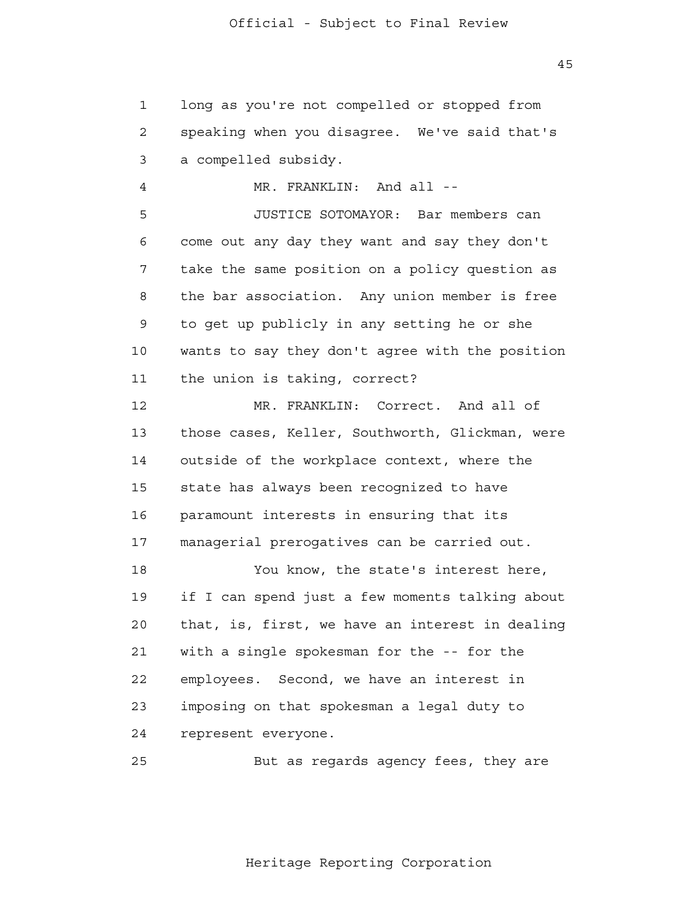45

 1 2 3 4 **5** long as you're not compelled or stopped from speaking when you disagree. We've said that's a compelled subsidy. MR. FRANKLIN: And all --JUSTICE SOTOMAYOR: Bar members can

 6 7 8 9 10 11 come out any day they want and say they don't take the same position on a policy question as the bar association. Any union member is free to get up publicly in any setting he or she wants to say they don't agree with the position the union is taking, correct?

 12 13 14 15 16 17 MR. FRANKLIN: Correct. And all of those cases, Keller, Southworth, Glickman, were outside of the workplace context, where the state has always been recognized to have paramount interests in ensuring that its managerial prerogatives can be carried out.

> 18 19 20 21 22 23 24 You know, the state's interest here, if I can spend just a few moments talking about that, is, first, we have an interest in dealing with a single spokesman for the -- for the employees. Second, we have an interest in imposing on that spokesman a legal duty to represent everyone.

<u>25</u> But as regards agency fees, they are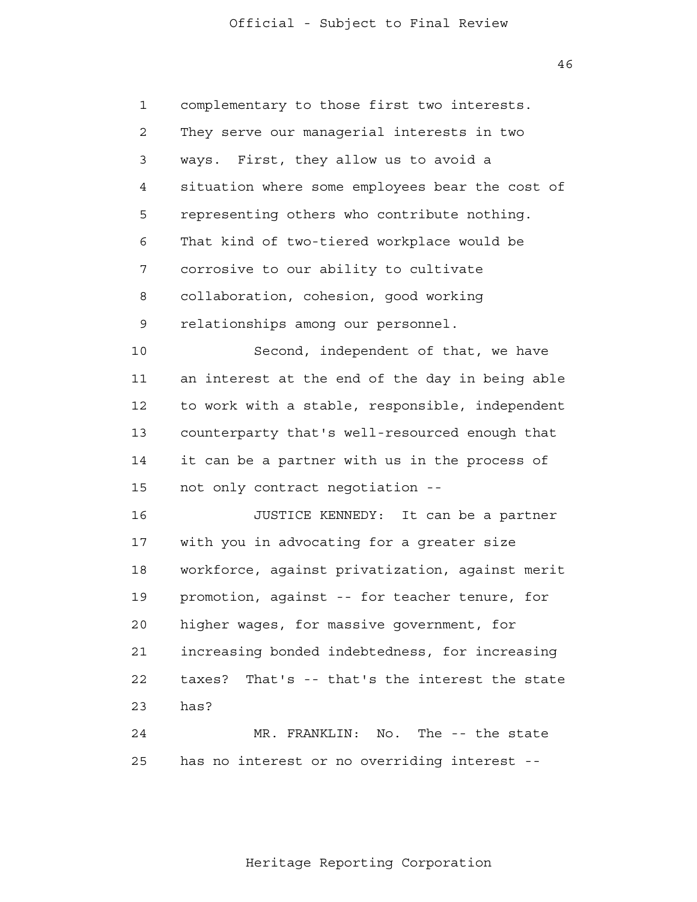46

 1 2 3 4 **5**  6 7 8 9 10 11 12 13 14 15 16 17 18 19 20 21 22 23 24 <u>25</u> complementary to those first two interests. They serve our managerial interests in two ways. First, they allow us to avoid a situation where some employees bear the cost of representing others who contribute nothing. That kind of two-tiered workplace would be corrosive to our ability to cultivate collaboration, cohesion, good working relationships among our personnel. Second, independent of that, we have an interest at the end of the day in being able to work with a stable, responsible, independent counterparty that's well-resourced enough that it can be a partner with us in the process of not only contract negotiation - JUSTICE KENNEDY: It can be a partner with you in advocating for a greater size workforce, against privatization, against merit promotion, against -- for teacher tenure, for higher wages, for massive government, for increasing bonded indebtedness, for increasing taxes? That's -- that's the interest the state has? MR. FRANKLIN: No. The -- the state has no interest or no overriding interest -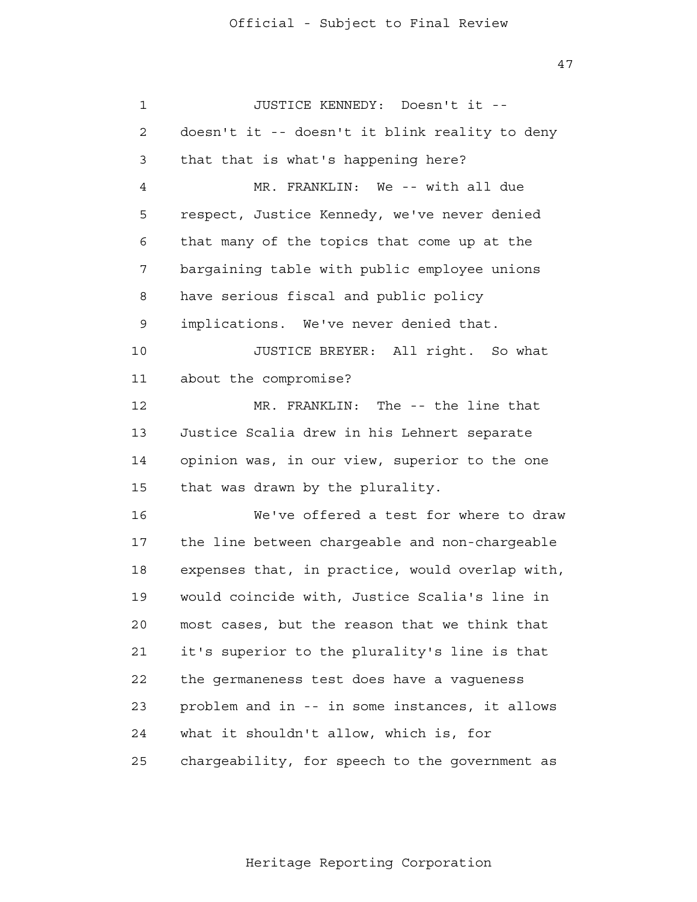| 1  | JUSTICE KENNEDY: Doesn't it --                  |
|----|-------------------------------------------------|
| 2  | doesn't it -- doesn't it blink reality to deny  |
| 3  | that that is what's happening here?             |
| 4  | MR. FRANKLIN: We -- with all due                |
| 5  | respect, Justice Kennedy, we've never denied    |
| 6  | that many of the topics that come up at the     |
| 7  | bargaining table with public employee unions    |
| 8  | have serious fiscal and public policy           |
| 9  | implications. We've never denied that.          |
| 10 | JUSTICE BREYER: All right. So what              |
| 11 | about the compromise?                           |
| 12 | MR. FRANKLIN: The -- the line that              |
| 13 | Justice Scalia drew in his Lehnert separate     |
| 14 | opinion was, in our view, superior to the one   |
| 15 | that was drawn by the plurality.                |
| 16 | We've offered a test for where to draw          |
| 17 | the line between chargeable and non-chargeable  |
| 18 | expenses that, in practice, would overlap with, |
| 19 | would coincide with, Justice Scalia's line in   |
| 20 | most cases, but the reason that we think that   |
| 21 | it's superior to the plurality's line is that   |
| 22 | the germaneness test does have a vagueness      |
| 23 | problem and in -- in some instances, it allows  |
| 24 | what it shouldn't allow, which is, for          |
| 25 | chargeability, for speech to the government as  |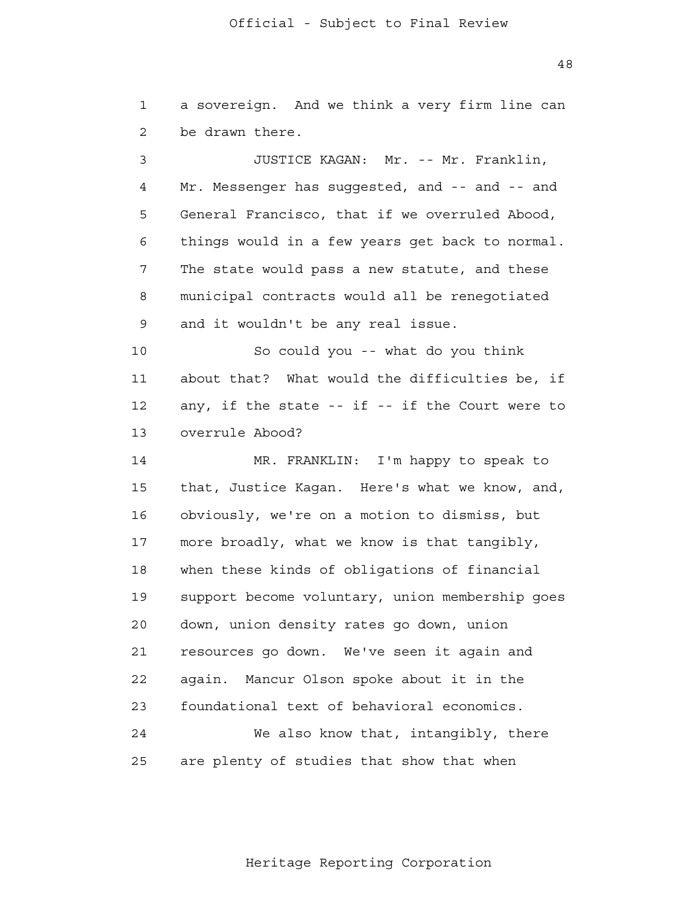48

 1 2 a sovereign. And we think a very firm line can be drawn there.

 3 4 **5**  6 7 8 9 JUSTICE KAGAN: Mr. -- Mr. Franklin, Mr. Messenger has suggested, and -- and -- and General Francisco, that if we overruled Abood, things would in a few years get back to normal. The state would pass a new statute, and these municipal contracts would all be renegotiated and it wouldn't be any real issue.

 10 11 12 13 So could you -- what do you think about that? What would the difficulties be, if any, if the state -- if -- if the Court were to overrule Abood?

 14 15 16 17 18 19 20 21 **22**  23 24 25 MR. FRANKLIN: I'm happy to speak to that, Justice Kagan. Here's what we know, and, obviously, we're on a motion to dismiss, but more broadly, what we know is that tangibly, when these kinds of obligations of financial support become voluntary, union membership goes down, union density rates go down, union resources go down. We've seen it again and again. Mancur Olson spoke about it in the foundational text of behavioral economics. We also know that, intangibly, there are plenty of studies that show that when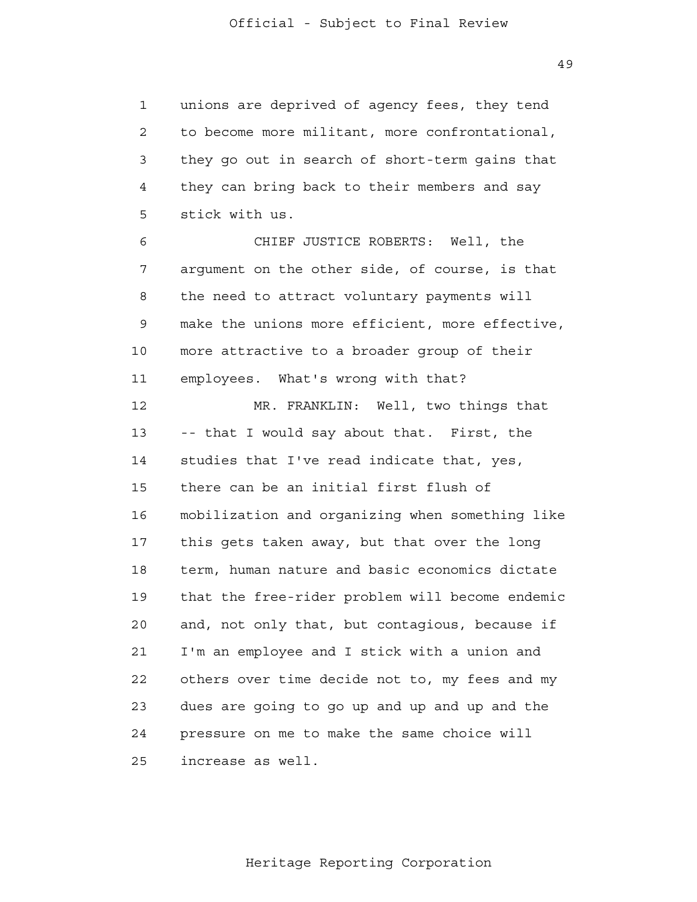1 2 3 4 **5** unions are deprived of agency fees, they tend to become more militant, more confrontational, they go out in search of short-term gains that they can bring back to their members and say stick with us.

 6 7 8 9 10 11 CHIEF JUSTICE ROBERTS: Well, the argument on the other side, of course, is that the need to attract voluntary payments will make the unions more efficient, more effective, more attractive to a broader group of their employees. What's wrong with that?

 12 13 14 15 16 17 18 19 20 21 **22**  23 24 <u>25</u> MR. FRANKLIN: Well, two things that -- that I would say about that. First, the studies that I've read indicate that, yes, there can be an initial first flush of mobilization and organizing when something like this gets taken away, but that over the long term, human nature and basic economics dictate that the free-rider problem will become endemic and, not only that, but contagious, because if I'm an employee and I stick with a union and others over time decide not to, my fees and my dues are going to go up and up and up and the pressure on me to make the same choice will increase as well.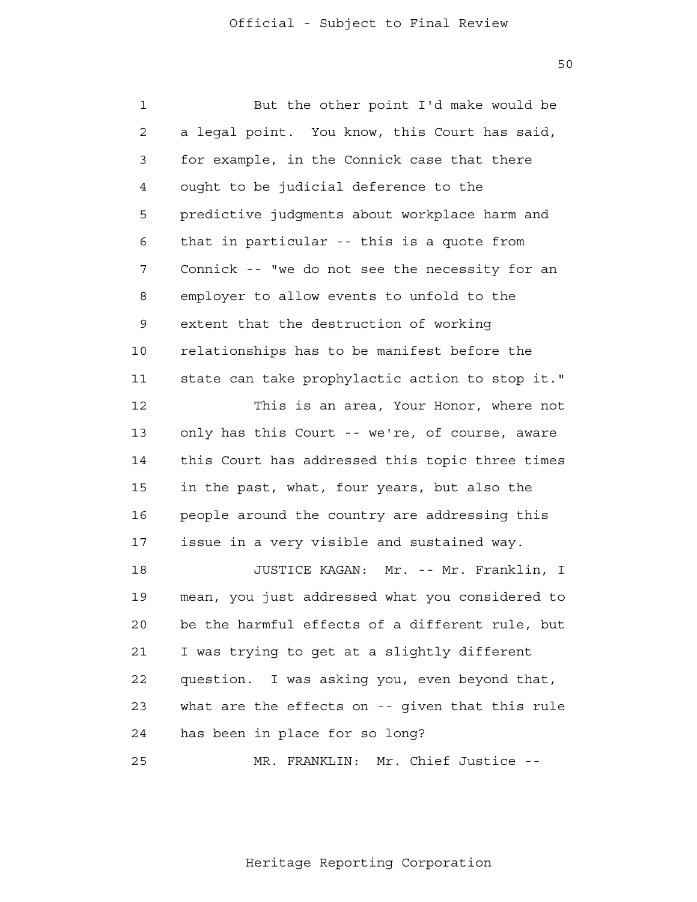| $\mathbf 1$    | But the other point I'd make would be           |
|----------------|-------------------------------------------------|
| $\overline{a}$ | a legal point. You know, this Court has said,   |
| 3              | for example, in the Connick case that there     |
| 4              | ought to be judicial deference to the           |
| 5              | predictive judqments about workplace harm and   |
| 6              | that in particular -- this is a quote from      |
| 7              | Connick -- "we do not see the necessity for an  |
| 8              | employer to allow events to unfold to the       |
| 9              | extent that the destruction of working          |
| 10             | relationships has to be manifest before the     |
| 11             | state can take prophylactic action to stop it." |
| 12             | This is an area, Your Honor, where not          |
| 13             | only has this Court -- we're, of course, aware  |
| 14             | this Court has addressed this topic three times |
| 15             | in the past, what, four years, but also the     |
| 16             | people around the country are addressing this   |
| 17             | issue in a very visible and sustained way.      |
| 18             | JUSTICE KAGAN:<br>Mr. -- Mr. Franklin, I        |
| 19             | mean, you just addressed what you considered to |
| 20             | be the harmful effects of a different rule, but |
| 21             | I was trying to get at a slightly different     |
| 22             | question. I was asking you, even beyond that,   |
| 23             | what are the effects on -- given that this rule |
| 24             | has been in place for so long?                  |
| 25             | MR. FRANKLIN: Mr. Chief Justice --              |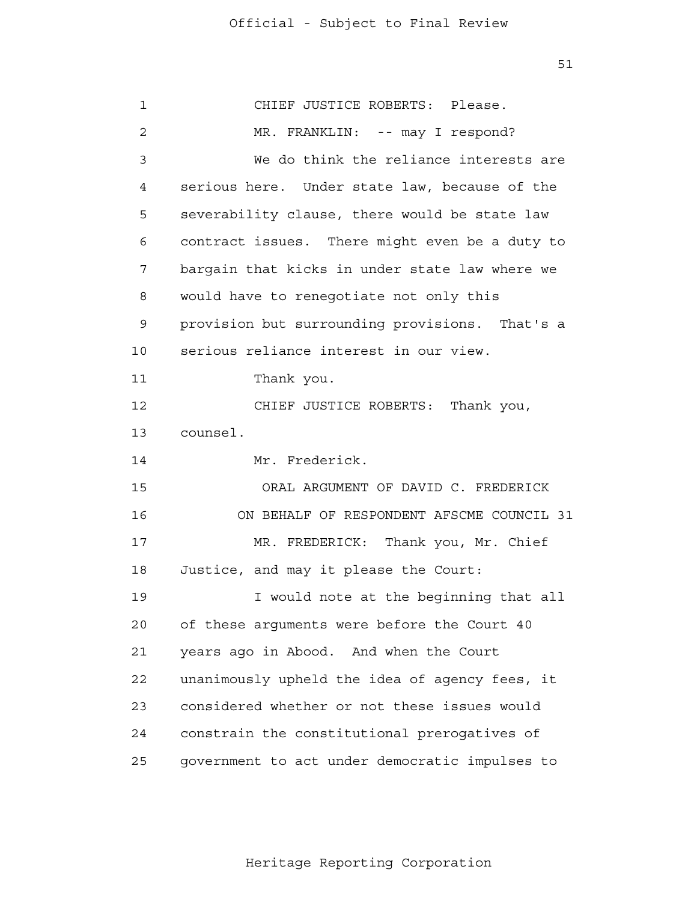| 1  | CHIEF JUSTICE ROBERTS: Please.                 |
|----|------------------------------------------------|
| 2  | MR. FRANKLIN: -- may I respond?                |
| 3  | We do think the reliance interests are         |
| 4  | serious here. Under state law, because of the  |
| 5  | severability clause, there would be state law  |
| 6  | contract issues. There might even be a duty to |
| 7  | bargain that kicks in under state law where we |
| 8  | would have to renegotiate not only this        |
| 9  | provision but surrounding provisions. That's a |
| 10 | serious reliance interest in our view.         |
| 11 | Thank you.                                     |
| 12 | CHIEF JUSTICE ROBERTS: Thank you,              |
| 13 | counsel.                                       |
| 14 | Mr. Frederick.                                 |
| 15 | ORAL ARGUMENT OF DAVID C. FREDERICK            |
| 16 | ON BEHALF OF RESPONDENT AFSCME COUNCIL 31      |
| 17 | MR. FREDERICK: Thank you, Mr. Chief            |
| 18 | Justice, and may it please the Court:          |
| 19 | I would note at the beginning that all         |
| 20 | of these arguments were before the Court 40    |
| 21 | years ago in Abood. And when the Court         |
| 22 | unanimously upheld the idea of agency fees, it |
| 23 | considered whether or not these issues would   |
| 24 | constrain the constitutional prerogatives of   |
| 25 | government to act under democratic impulses to |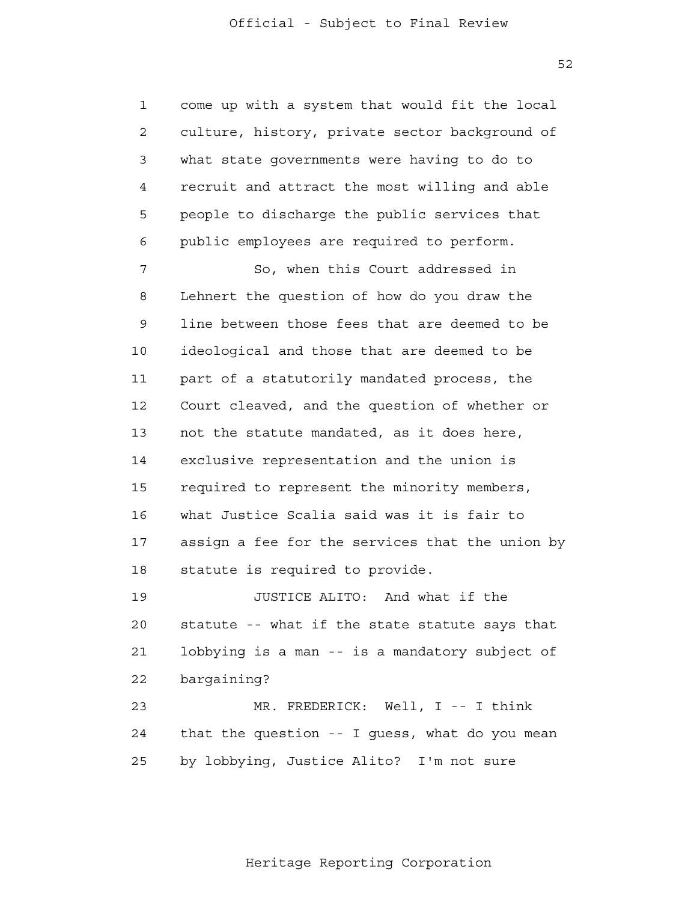1 2 3 4 **5**  6 come up with a system that would fit the local culture, history, private sector background of what state governments were having to do to recruit and attract the most willing and able people to discharge the public services that public employees are required to perform.

 7 8 9 10 11 12 13 14 15 16 17 18 So, when this Court addressed in Lehnert the question of how do you draw the line between those fees that are deemed to be ideological and those that are deemed to be part of a statutorily mandated process, the Court cleaved, and the question of whether or not the statute mandated, as it does here, exclusive representation and the union is required to represent the minority members, what Justice Scalia said was it is fair to assign a fee for the services that the union by statute is required to provide.

> 19 20 21 22 23 24 25 JUSTICE ALITO: And what if the statute -- what if the state statute says that lobbying is a man -- is a mandatory subject of bargaining? MR. FREDERICK: Well, I -- I think that the question -- I guess, what do you mean by lobbying, Justice Alito? I'm not sure

> > Heritage Reporting Corporation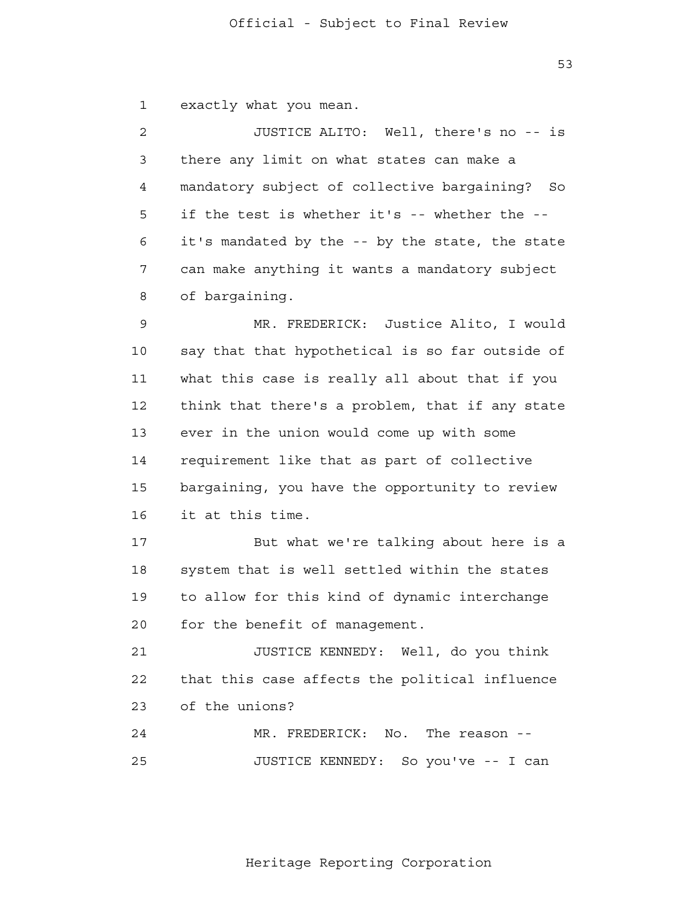53

 1 exactly what you mean.

 2 3 4 **5**  6 7 8 JUSTICE ALITO: Well, there's no -- is there any limit on what states can make a mandatory subject of collective bargaining? So if the test is whether it's -- whether the it's mandated by the -- by the state, the state can make anything it wants a mandatory subject of bargaining.

 9 10 11 12 13 14 15 16 MR. FREDERICK: Justice Alito, I would say that that hypothetical is so far outside of what this case is really all about that if you think that there's a problem, that if any state ever in the union would come up with some requirement like that as part of collective bargaining, you have the opportunity to review it at this time.

> 17 18 19 20 But what we're talking about here is a system that is well settled within the states to allow for this kind of dynamic interchange for the benefit of management.

 21 **22**  23 JUSTICE KENNEDY: Well, do you think that this case affects the political influence of the unions?

> 24 25 MR. FREDERICK: No. The reason --JUSTICE KENNEDY: So you've -- I can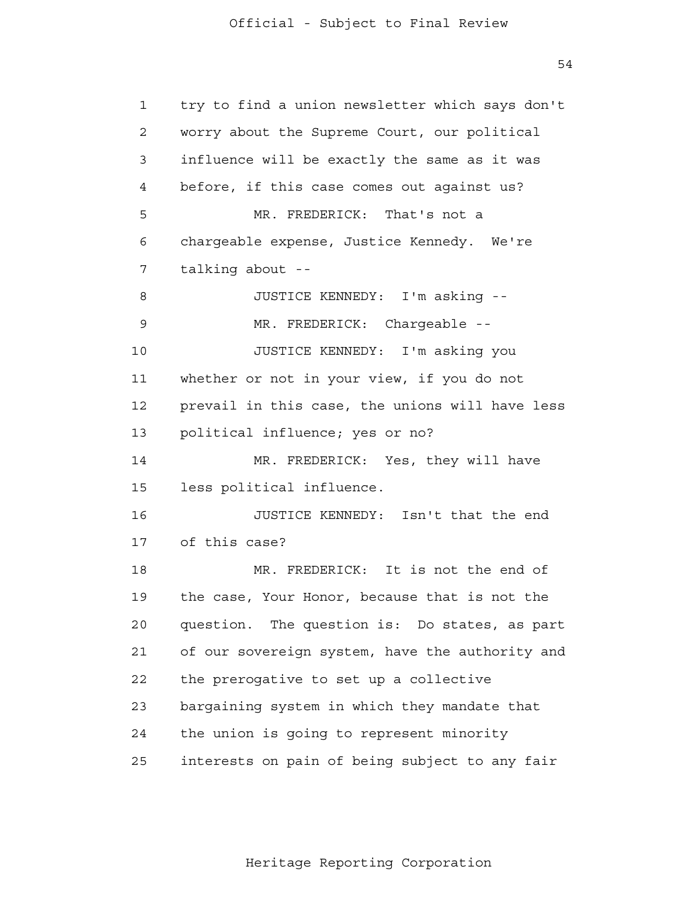54

 1 2 3 4 **5**  6 7 8 9 10 11 12 13 14 15 16 17 18 19 20 21 22 23 24 25 try to find a union newsletter which says don't worry about the Supreme Court, our political influence will be exactly the same as it was before, if this case comes out against us? MR. FREDERICK: That's not a chargeable expense, Justice Kennedy. We're talking about - JUSTICE KENNEDY: I'm asking - MR. FREDERICK: Chargeable --JUSTICE KENNEDY: I'm asking you whether or not in your view, if you do not prevail in this case, the unions will have less political influence; yes or no? MR. FREDERICK: Yes, they will have less political influence. JUSTICE KENNEDY: Isn't that the end of this case? MR. FREDERICK: It is not the end of the case, Your Honor, because that is not the question. The question is: Do states, as part of our sovereign system, have the authority and the prerogative to set up a collective bargaining system in which they mandate that the union is going to represent minority interests on pain of being subject to any fair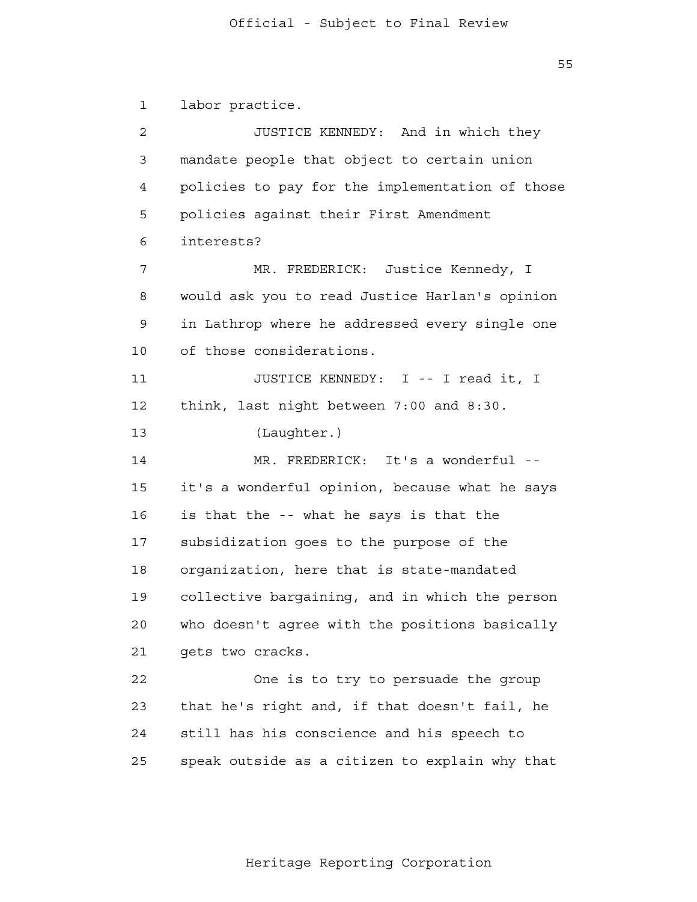$55$ 

 1 2 3 4 **5**  6 7 8 9 10 11 12 13 14 15 16 17 18 19 20 21 22 23 24 25 labor practice. JUSTICE KENNEDY: And in which they mandate people that object to certain union policies to pay for the implementation of those policies against their First Amendment interests? MR. FREDERICK: Justice Kennedy, I would ask you to read Justice Harlan's opinion in Lathrop where he addressed every single one of those considerations. JUSTICE KENNEDY: I -- I read it, I think, last night between 7:00 and 8:30. (Laughter.) MR. FREDERICK: It's a wonderful -it's a wonderful opinion, because what he says is that the -- what he says is that the subsidization goes to the purpose of the organization, here that is state-mandated collective bargaining, and in which the person who doesn't agree with the positions basically gets two cracks. One is to try to persuade the group that he's right and, if that doesn't fail, he still has his conscience and his speech to speak outside as a citizen to explain why that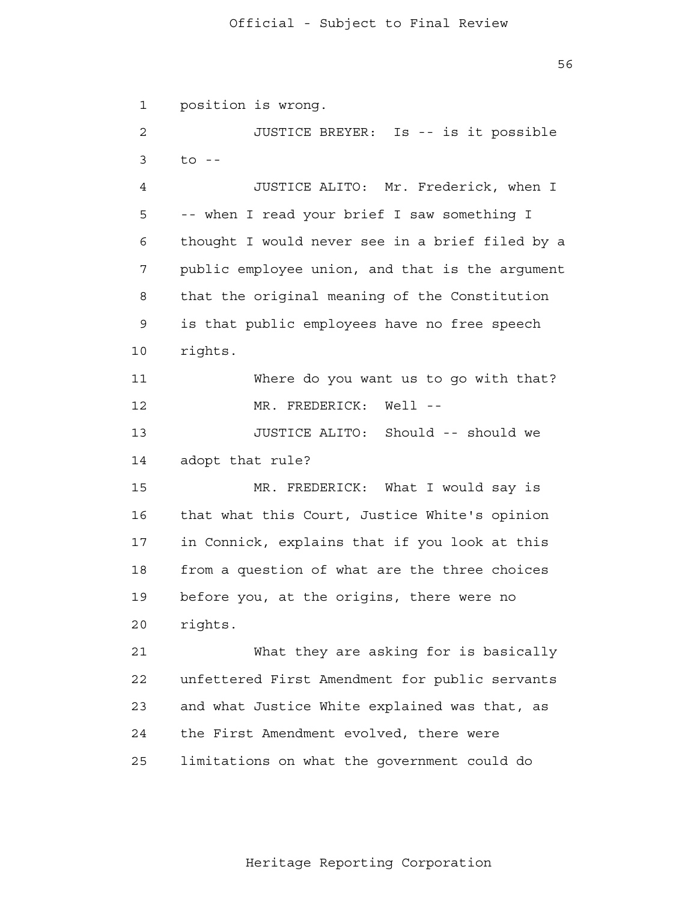1 2 3 4 **5**  6 7 8 9 10 11 12 13 14 15 16 17 18 19 20 21 22 23 24 25 position is wrong. JUSTICE BREYER: Is -- is it possible  $t \circ -$ JUSTICE ALITO: Mr. Frederick, when I -- when I read your brief I saw something I thought I would never see in a brief filed by a public employee union, and that is the argument that the original meaning of the Constitution is that public employees have no free speech rights. Where do you want us to go with that? MR. FREDERICK: Well --JUSTICE ALITO: Should -- should we adopt that rule? MR. FREDERICK: What I would say is that what this Court, Justice White's opinion in Connick, explains that if you look at this from a question of what are the three choices before you, at the origins, there were no rights. What they are asking for is basically unfettered First Amendment for public servants and what Justice White explained was that, as the First Amendment evolved, there were limitations on what the government could do

Heritage Reporting Corporation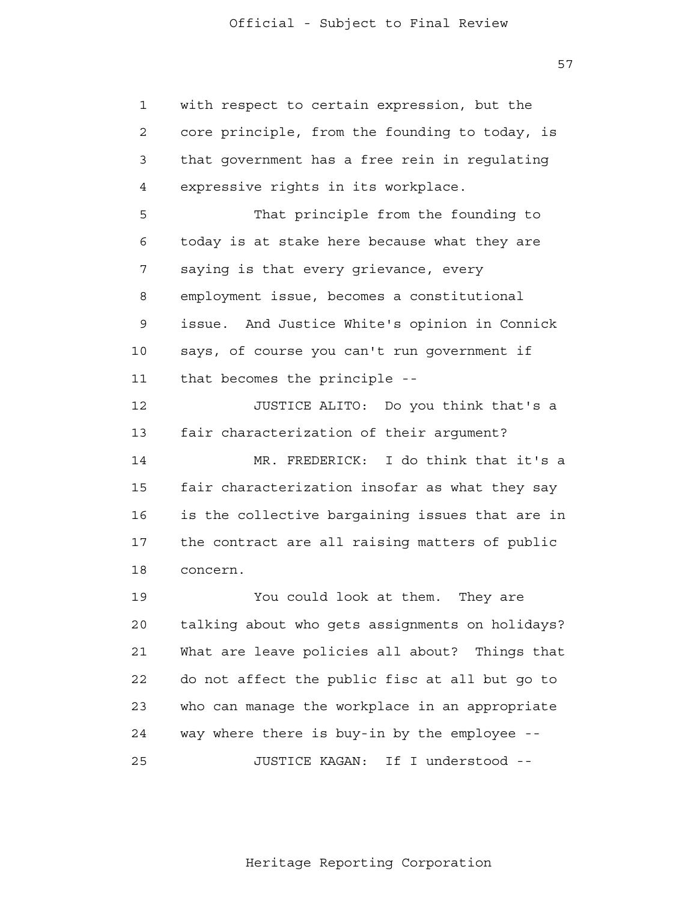57

 1 2 3 4 **5**  6 7 8 9 10 11 12 13 14 15 16 17 18 19 20 21 **22**  23 24 25 with respect to certain expression, but the core principle, from the founding to today, is that government has a free rein in regulating expressive rights in its workplace. That principle from the founding to today is at stake here because what they are saying is that every grievance, every employment issue, becomes a constitutional issue. And Justice White's opinion in Connick says, of course you can't run government if that becomes the principle - JUSTICE ALITO: Do you think that's a fair characterization of their argument? MR. FREDERICK: I do think that it's a fair characterization insofar as what they say is the collective bargaining issues that are in the contract are all raising matters of public concern. You could look at them. They are talking about who gets assignments on holidays? What are leave policies all about? Things that do not affect the public fisc at all but go to who can manage the workplace in an appropriate way where there is buy-in by the employee - JUSTICE KAGAN: If I understood -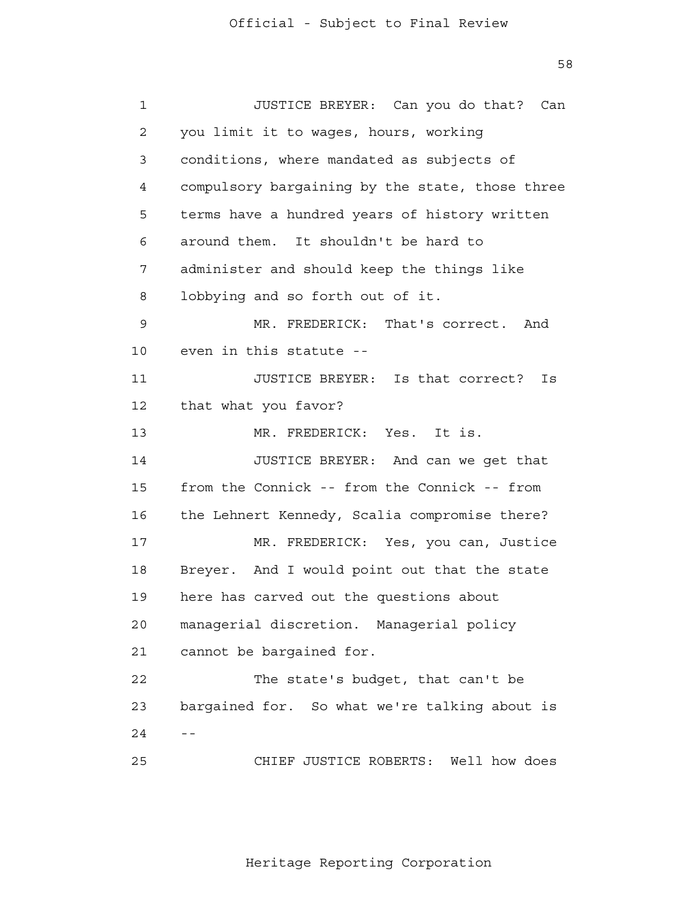58

 1 2 3 4 **5**  6 7 8 9 10 11 12 13 14 15 16 17 18 19 20 21 22 23  $24 - -$  25 JUSTICE BREYER: Can you do that? Can you limit it to wages, hours, working conditions, where mandated as subjects of compulsory bargaining by the state, those three terms have a hundred years of history written around them. It shouldn't be hard to administer and should keep the things like lobbying and so forth out of it. MR. FREDERICK: That's correct. And even in this statute - JUSTICE BREYER: Is that correct? Is that what you favor? MR. FREDERICK: Yes. It is. JUSTICE BREYER: And can we get that from the Connick -- from the Connick -- from the Lehnert Kennedy, Scalia compromise there? MR. FREDERICK: Yes, you can, Justice Breyer. And I would point out that the state here has carved out the questions about managerial discretion. Managerial policy cannot be bargained for. The state's budget, that can't be bargained for. So what we're talking about is CHIEF JUSTICE ROBERTS: Well how does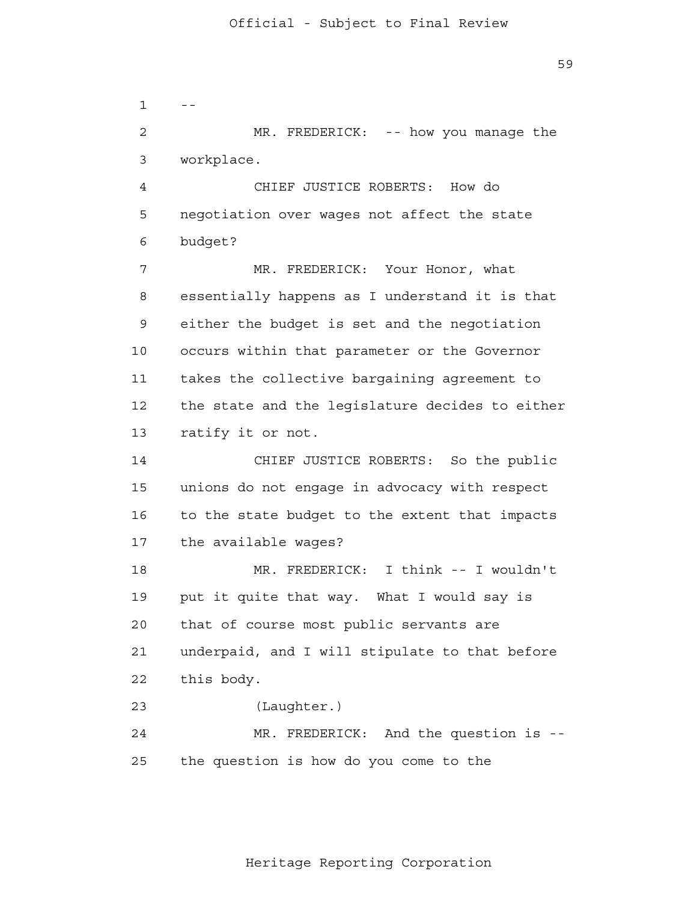$1 - -$  2 3 4 **5**  6 7 8 9 10 11 12 13 14 15 16 17 18 19 20 21 22 23 24 25 MR. FREDERICK: -- how you manage the workplace. CHIEF JUSTICE ROBERTS: How do negotiation over wages not affect the state budget? MR. FREDERICK: Your Honor, what essentially happens as I understand it is that either the budget is set and the negotiation occurs within that parameter or the Governor takes the collective bargaining agreement to the state and the legislature decides to either ratify it or not. CHIEF JUSTICE ROBERTS: So the public unions do not engage in advocacy with respect to the state budget to the extent that impacts the available wages? MR. FREDERICK: I think -- I wouldn't put it quite that way. What I would say is that of course most public servants are underpaid, and I will stipulate to that before this body. (Laughter.) MR. FREDERICK: And the question is -the question is how do you come to the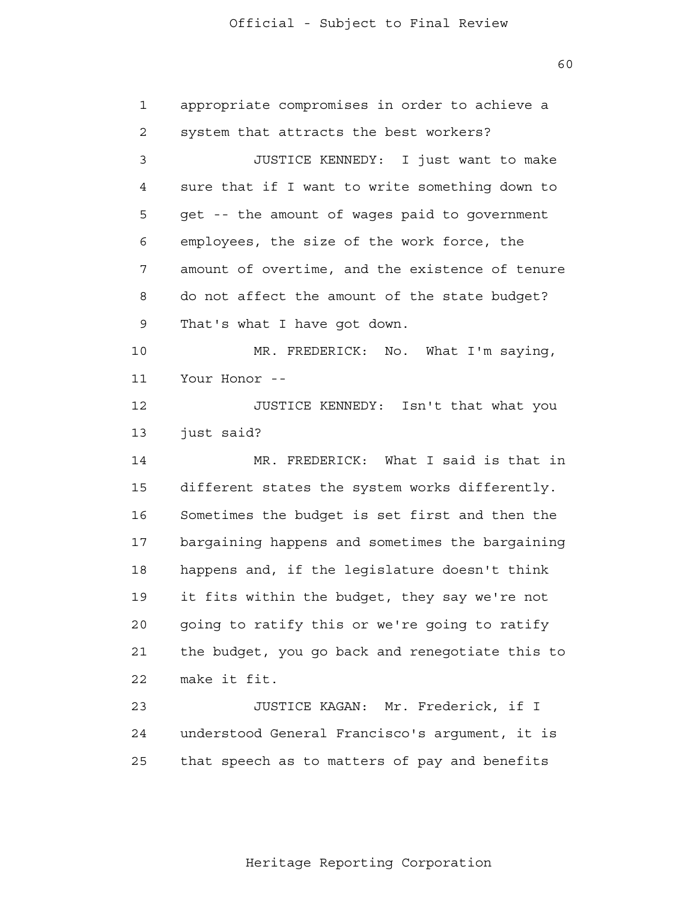60

| $\mathbf{1}$ | appropriate compromises in order to achieve a   |
|--------------|-------------------------------------------------|
| 2            | system that attracts the best workers?          |
| 3            | JUSTICE KENNEDY: I just want to make            |
| 4            | sure that if I want to write something down to  |
| 5            | get -- the amount of wages paid to government   |
| 6            | employees, the size of the work force, the      |
| 7            | amount of overtime, and the existence of tenure |
| 8            | do not affect the amount of the state budget?   |
| 9            | That's what I have got down.                    |
| 10           | MR. FREDERICK: No. What I'm saying,             |
| 11           | Your Honor --                                   |
| 12           | JUSTICE KENNEDY: Isn't that what you            |
| 13           | just said?                                      |
| 14           | MR. FREDERICK: What I said is that in           |
| 15           | different states the system works differently.  |
| 16           | Sometimes the budget is set first and then the  |
| 17           | bargaining happens and sometimes the bargaining |
| 18           | happens and, if the legislature doesn't think   |
| 19           | it fits within the budget, they say we're not   |
| 20           | going to ratify this or we're going to ratify   |
| 21           | the budget, you go back and renegotiate this to |
| 22           | make it fit.                                    |
| 23           | JUSTICE KAGAN: Mr. Frederick, if I              |
| 24           | understood General Francisco's argument, it is  |
| 25           | that speech as to matters of pay and benefits   |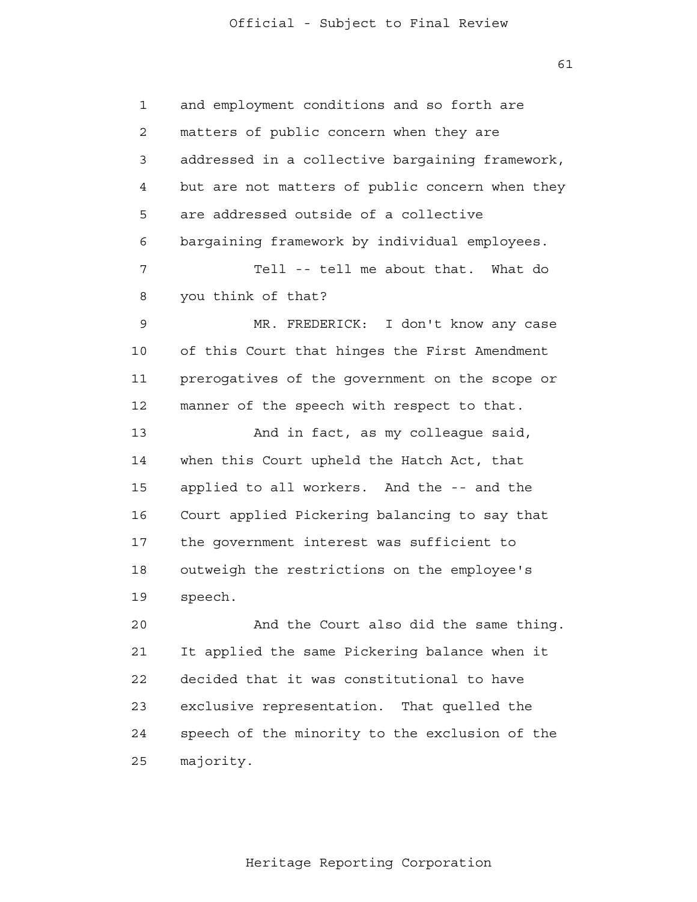1 2 3 4 **5**  6 7 8 9 10 11 12 13 14 15 16 17 18 19 20 21 22 23 and employment conditions and so forth are matters of public concern when they are addressed in a collective bargaining framework, but are not matters of public concern when they are addressed outside of a collective bargaining framework by individual employees. Tell -- tell me about that. What do you think of that? MR. FREDERICK: I don't know any case of this Court that hinges the First Amendment prerogatives of the government on the scope or manner of the speech with respect to that. And in fact, as my colleague said, when this Court upheld the Hatch Act, that applied to all workers. And the -- and the Court applied Pickering balancing to say that the government interest was sufficient to outweigh the restrictions on the employee's speech. And the Court also did the same thing. It applied the same Pickering balance when it decided that it was constitutional to have exclusive representation. That quelled the

> 25 majority.

24

Heritage Reporting Corporation

speech of the minority to the exclusion of the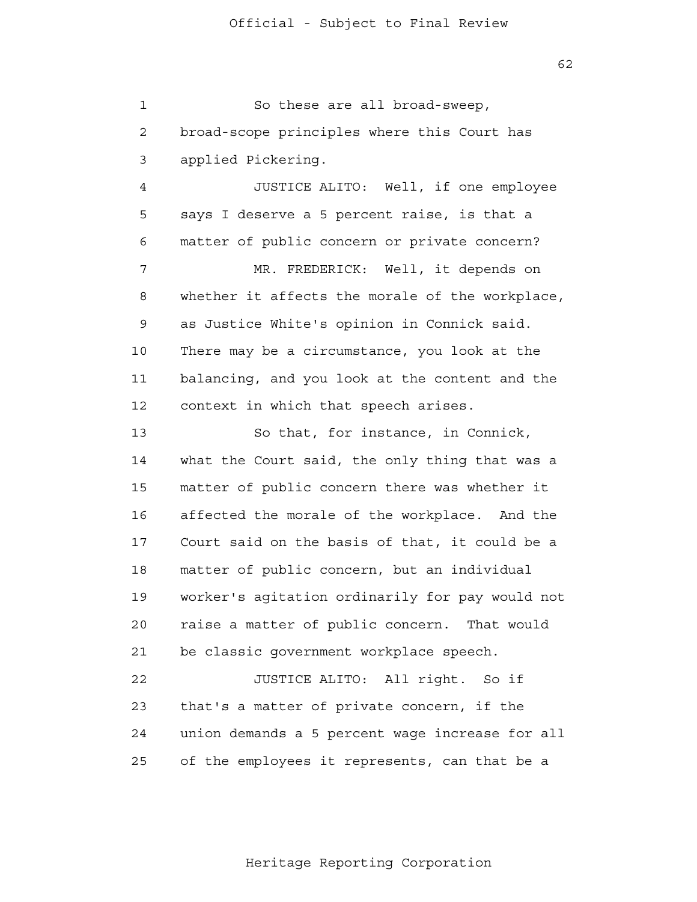1 2 3 So these are all broad-sweep, broad-scope principles where this Court has applied Pickering.

 4 **5**  6 7 8 9 10 11 12 JUSTICE ALITO: Well, if one employee says I deserve a 5 percent raise, is that a matter of public concern or private concern? MR. FREDERICK: Well, it depends on whether it affects the morale of the workplace, as Justice White's opinion in Connick said. There may be a circumstance, you look at the balancing, and you look at the content and the context in which that speech arises.

 13 14 15 16 17 18 19 20 21 22 So that, for instance, in Connick, what the Court said, the only thing that was a matter of public concern there was whether it affected the morale of the workplace. And the Court said on the basis of that, it could be a matter of public concern, but an individual worker's agitation ordinarily for pay would not raise a matter of public concern. That would be classic government workplace speech. JUSTICE ALITO: All right. So if

 23 24 25 that's a matter of private concern, if the union demands a 5 percent wage increase for all of the employees it represents, can that be a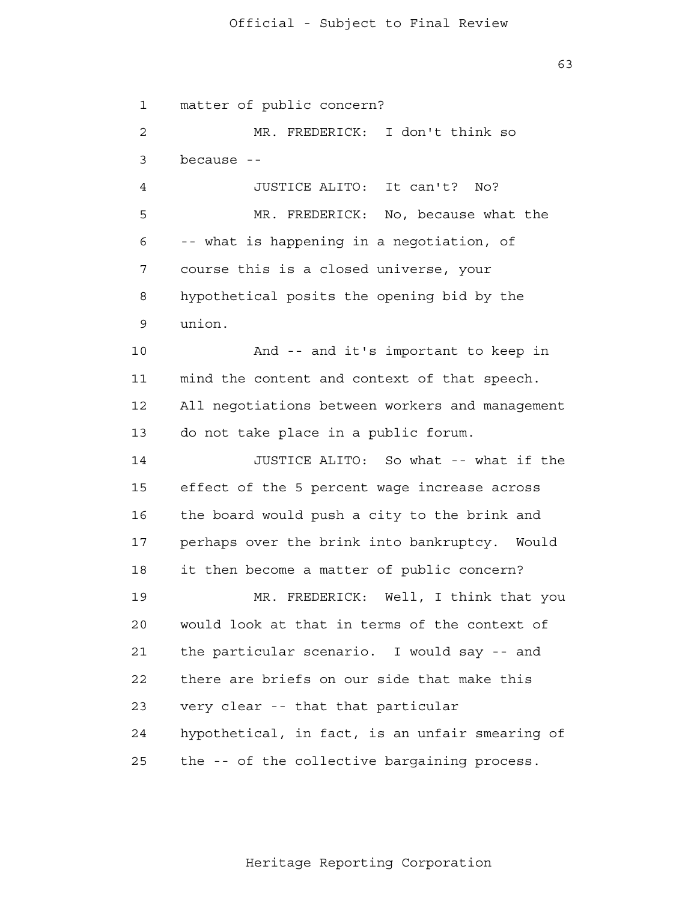1 2 3 4 **5**  6 7 8 9 10 11 12 13 14 15 16 17 18 19 20 21 22 23 24 25 matter of public concern? MR. FREDERICK: I don't think so because - JUSTICE ALITO: It can't? No? MR. FREDERICK: No, because what the -- what is happening in a negotiation, of course this is a closed universe, your hypothetical posits the opening bid by the union. And -- and it's important to keep in mind the content and context of that speech. All negotiations between workers and management do not take place in a public forum. JUSTICE ALITO: So what -- what if the effect of the 5 percent wage increase across the board would push a city to the brink and perhaps over the brink into bankruptcy. Would it then become a matter of public concern? MR. FREDERICK: Well, I think that you would look at that in terms of the context of the particular scenario. I would say -- and there are briefs on our side that make this very clear -- that that particular hypothetical, in fact, is an unfair smearing of the -- of the collective bargaining process.

63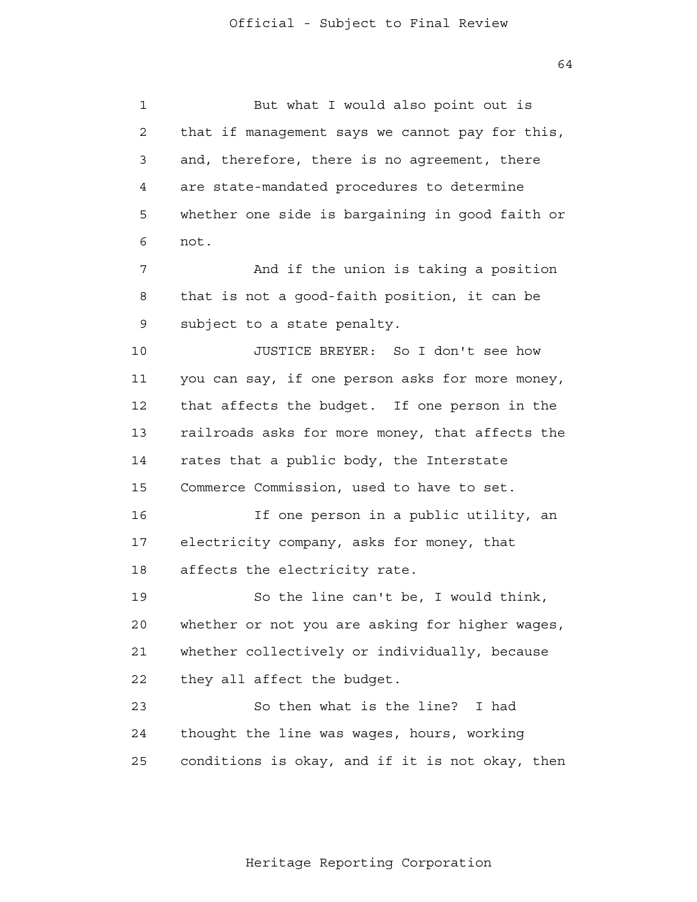1 2 3 4 **5**  6 7 8 9 10 11 12 13 14 15 16 17 18 19 20 21 **22**  23 24 25 But what I would also point out is that if management says we cannot pay for this, and, therefore, there is no agreement, there are state-mandated procedures to determine whether one side is bargaining in good faith or not. And if the union is taking a position that is not a good-faith position, it can be subject to a state penalty. JUSTICE BREYER: So I don't see how you can say, if one person asks for more money, that affects the budget. If one person in the railroads asks for more money, that affects the rates that a public body, the Interstate Commerce Commission, used to have to set. If one person in a public utility, an electricity company, asks for money, that affects the electricity rate. So the line can't be, I would think, whether or not you are asking for higher wages, whether collectively or individually, because they all affect the budget. So then what is the line? I had thought the line was wages, hours, working conditions is okay, and if it is not okay, then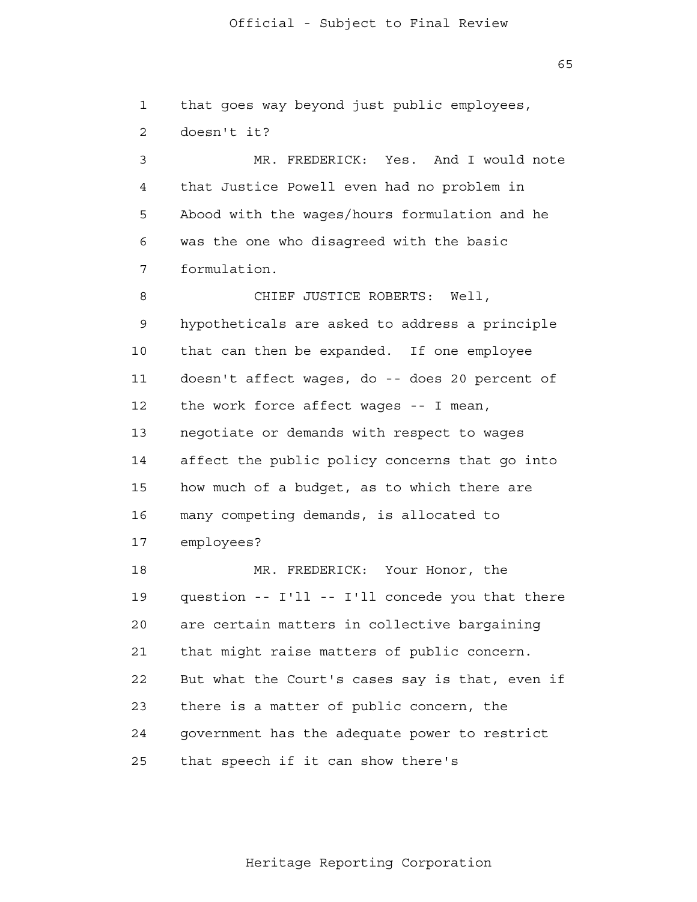$65$ 

 1 2 3 4 **5**  6 7 8 9 10 11 12 13 14 15 16 17 18 19 20 21 **22**  23 24 25 that goes way beyond just public employees, doesn't it? MR. FREDERICK: Yes. And I would note that Justice Powell even had no problem in Abood with the wages/hours formulation and he was the one who disagreed with the basic formulation. CHIEF JUSTICE ROBERTS: Well, hypotheticals are asked to address a principle that can then be expanded. If one employee doesn't affect wages, do -- does 20 percent of the work force affect wages -- I mean, negotiate or demands with respect to wages affect the public policy concerns that go into how much of a budget, as to which there are many competing demands, is allocated to employees? MR. FREDERICK: Your Honor, the question -- I'll -- I'll concede you that there are certain matters in collective bargaining that might raise matters of public concern. But what the Court's cases say is that, even if there is a matter of public concern, the government has the adequate power to restrict that speech if it can show there's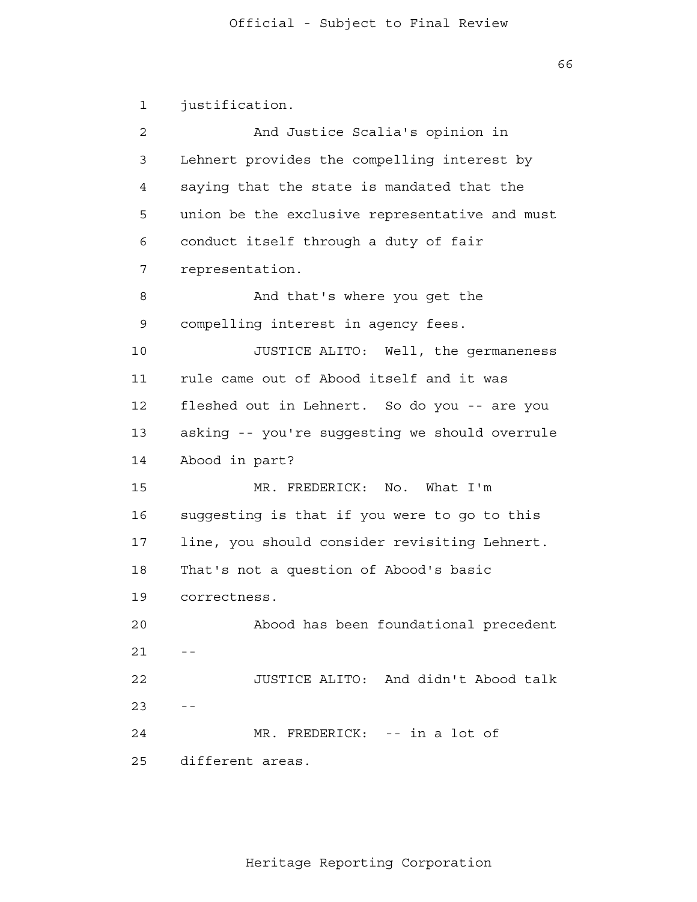1 2 3 4 **5**  6 7 8 9 10 11 12 13 14 15 16 17 18 19 20  $21$  -- 22  $23$  -- 24 25 justification. And Justice Scalia's opinion in Lehnert provides the compelling interest by saying that the state is mandated that the union be the exclusive representative and must conduct itself through a duty of fair representation. And that's where you get the compelling interest in agency fees. JUSTICE ALITO: Well, the germaneness rule came out of Abood itself and it was fleshed out in Lehnert. So do you -- are you asking -- you're suggesting we should overrule Abood in part? MR. FREDERICK: No. What I'm suggesting is that if you were to go to this line, you should consider revisiting Lehnert. That's not a question of Abood's basic correctness. Abood has been foundational precedent JUSTICE ALITO: And didn't Abood talk MR. FREDERICK: -- in a lot of different areas.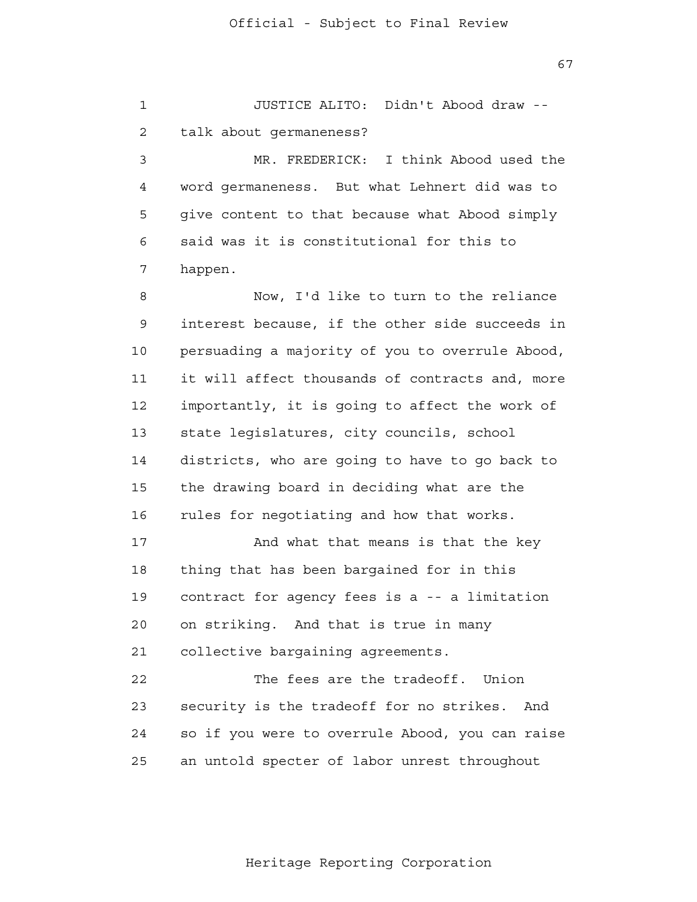1 2 3 4 **5**  6 7 8 9 10 11 12 13 14 15 16 17 18 19 20 21 22 23 24 25 JUSTICE ALITO: Didn't Abood draw talk about germaneness? MR. FREDERICK: I think Abood used the word germaneness. But what Lehnert did was to give content to that because what Abood simply said was it is constitutional for this to happen. Now, I'd like to turn to the reliance interest because, if the other side succeeds in persuading a majority of you to overrule Abood, it will affect thousands of contracts and, more importantly, it is going to affect the work of state legislatures, city councils, school districts, who are going to have to go back to the drawing board in deciding what are the rules for negotiating and how that works. And what that means is that the key thing that has been bargained for in this contract for agency fees is a -- a limitation on striking. And that is true in many collective bargaining agreements. The fees are the tradeoff. Union security is the tradeoff for no strikes. And so if you were to overrule Abood, you can raise an untold specter of labor unrest throughout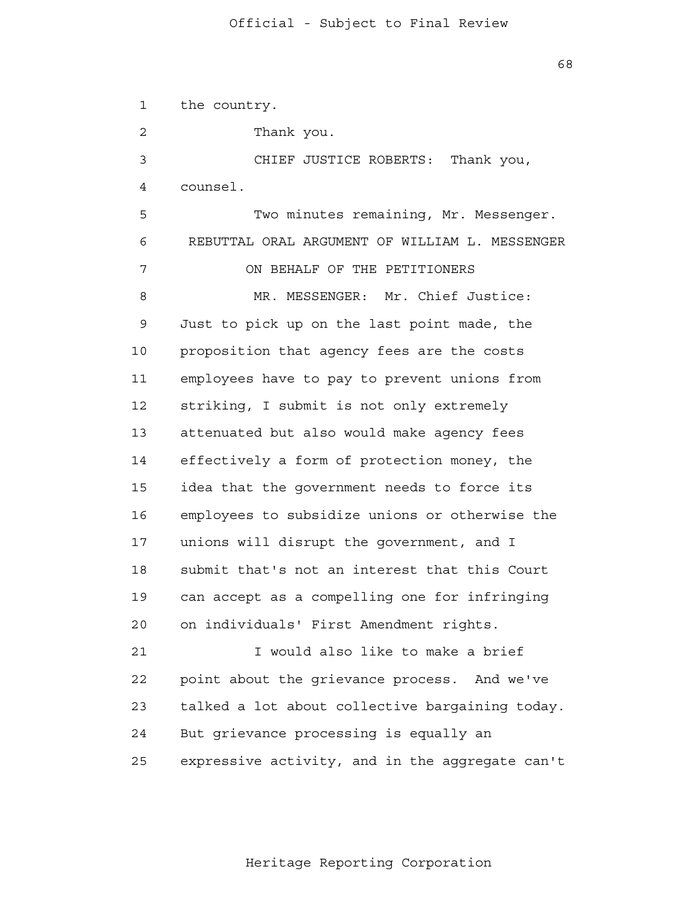1 2 3 4 **5**  6 7 8 9 10 11 12 13 14 15 16 17 18 19 20 21 **22**  23 24 25 the country. Thank you. CHIEF JUSTICE ROBERTS: Thank you, counsel. Two minutes remaining, Mr. Messenger. REBUTTAL ORAL ARGUMENT OF WILLIAM L. MESSENGER ON BEHALF OF THE PETITIONERS MR. MESSENGER: Mr. Chief Justice: Just to pick up on the last point made, the proposition that agency fees are the costs employees have to pay to prevent unions from striking, I submit is not only extremely attenuated but also would make agency fees effectively a form of protection money, the idea that the government needs to force its employees to subsidize unions or otherwise the unions will disrupt the government, and I submit that's not an interest that this Court can accept as a compelling one for infringing on individuals' First Amendment rights. I would also like to make a brief point about the grievance process. And we've talked a lot about collective bargaining today. But grievance processing is equally an expressive activity, and in the aggregate can't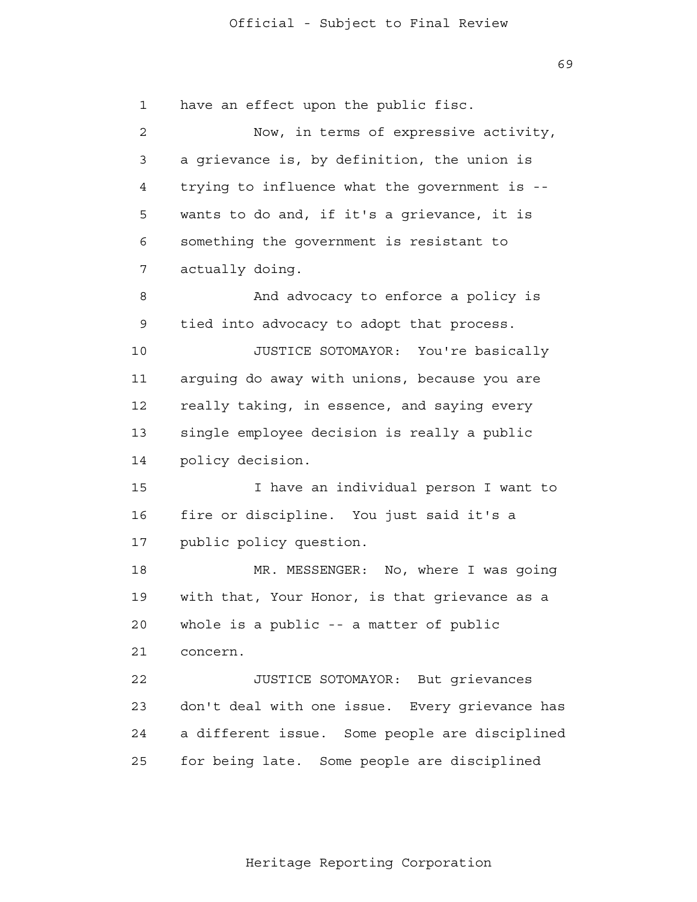1 2 3 4 **5**  6 7 8 9 10 11 12 13 14 15 16 17 18 19 20 21 22 23 24 25 have an effect upon the public fisc. Now, in terms of expressive activity, a grievance is, by definition, the union is trying to influence what the government is wants to do and, if it's a grievance, it is something the government is resistant to actually doing. And advocacy to enforce a policy is tied into advocacy to adopt that process. JUSTICE SOTOMAYOR: You're basically arguing do away with unions, because you are really taking, in essence, and saying every single employee decision is really a public policy decision. I have an individual person I want to fire or discipline. You just said it's a public policy question. MR. MESSENGER: No, where I was going with that, Your Honor, is that grievance as a whole is a public -- a matter of public concern. JUSTICE SOTOMAYOR: But grievances don't deal with one issue. Every grievance has a different issue. Some people are disciplined for being late. Some people are disciplined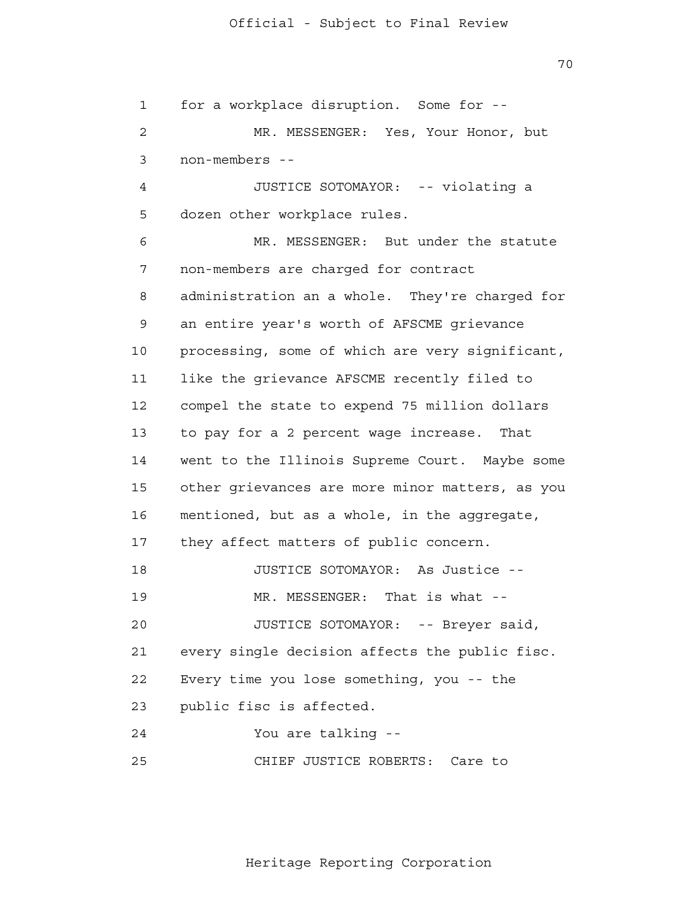1 2 3 4 **5**  6 7 8 9 10 11 12 13 14 15 16 17 18 19 20 21 22 23 24 25 for a workplace disruption. Some for - MR. MESSENGER: Yes, Your Honor, but non-members - JUSTICE SOTOMAYOR: -- violating a dozen other workplace rules. MR. MESSENGER: But under the statute non-members are charged for contract administration an a whole. They're charged for an entire year's worth of AFSCME grievance processing, some of which are very significant, like the grievance AFSCME recently filed to compel the state to expend 75 million dollars to pay for a 2 percent wage increase. That went to the Illinois Supreme Court. Maybe some other grievances are more minor matters, as you mentioned, but as a whole, in the aggregate, they affect matters of public concern. JUSTICE SOTOMAYOR: As Justice - MR. MESSENGER: That is what --JUSTICE SOTOMAYOR: -- Breyer said, every single decision affects the public fisc. Every time you lose something, you -- the public fisc is affected. You are talking - CHIEF JUSTICE ROBERTS: Care to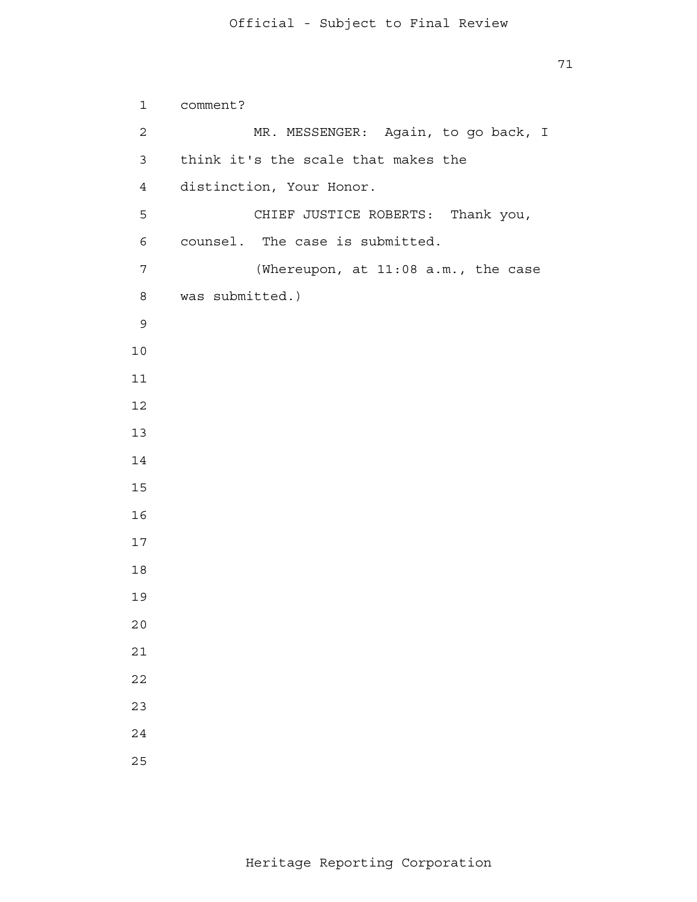```
 
comment?
 1 
 2 
 3 
            4 
5
            6 
            7 
            8 
 9
           10
           11
           12
           13
           14
           15
           16
           17
           18
           19
           20
           21
           22
           23
           24
           25
                        MR. MESSENGER: Again, to go back, I
                think it's the scale that makes the
                distinction, Your Honor.
                        CHIEF JUSTICE ROBERTS: Thank you,
               counsel. The case is submitted.
                        (Whereupon, at 11:08 a.m., the case
               was submitted.)
```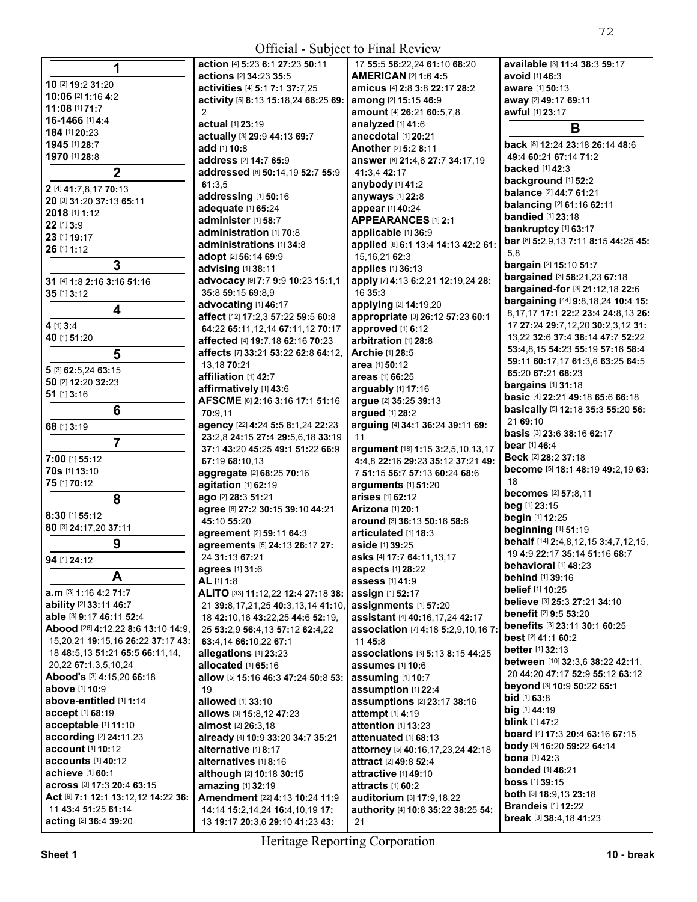**All Contracts** 

|                                          | action [4] 5:23 6:1 27:23 50:11           | 17 55:5 56:22,24 61:10 68:20                 | available [3] 11:4 38:3 59:17                                          |
|------------------------------------------|-------------------------------------------|----------------------------------------------|------------------------------------------------------------------------|
|                                          | actions [2] 34:23 35:5                    | <b>AMERICAN [2] 1:6 4:5</b>                  | avoid [1] 46:3                                                         |
| 10 [2] 19:2 31:20                        | activities [4] 5:1 7:1 37:7,25            | amicus [4] 2:8 3:8 22:17 28:2                | aware [1] 50:13                                                        |
| 10:06 [2] 1:16 4:2                       | activity [5] 8:13 15:18,24 68:25 69:      | among [2] 15:15 46:9                         | away [2] 49:17 69:11                                                   |
| 11:08 [1] 71:7                           | $\mathcal{P}$                             | amount [4] 26:21 60:5,7,8                    | awful [1] 23:17                                                        |
| 16-1466 [1] 4:4                          | actual [1] 23:19                          | analyzed [1] 41:6                            | B                                                                      |
| 184 [1] 20:23                            | actually [3] 29:9 44:13 69:7              | anecdotal [1] 20:21                          |                                                                        |
| 1945 [1] 28:7                            | add [1] 10:8                              | Another [2] 5:2 8:11                         | <b>back</b> [8] <b>12:</b> 24 <b>23:</b> 18 <b>26:</b> 14 <b>48:</b> 6 |
| 1970 [1] 28:8                            | address [2] 14:7 65:9                     | answer [8] 21:4,6 27:7 34:17,19              | 49:4 60:21 67:14 71:2                                                  |
| $\mathbf{2}$                             | addressed [6] 50:14,19 52:7 55:9          | 41:3.4 42:17                                 | <b>backed</b> [1] <b>42:</b> 3                                         |
| 2 [4] 41:7,8,17 70:13                    | 61:3.5                                    | anybody [1] 41:2                             | background [1] 52:2                                                    |
| 20 [3] 31:20 37:13 65:11                 | addressing [1] 50:16                      | anyways [1] 22:8                             | balance [2] 44:7 61:21                                                 |
| 2018 [1] 1:12                            | adequate [1] 65:24                        | appear [1] 40:24                             | <b>balancing [2] 61:16 62:11</b>                                       |
| 22 [1] 3:9                               | administer [1] 58:7                       | APPEARANCES [1] 2:1                          | <b>bandied</b> [1] 23:18                                               |
| 23 [1] 19:17                             | administration [1] 70:8                   | applicable [1] 36:9                          | bankruptcy [1] 63:17                                                   |
| 26 [1] 1:12                              | administrations [1] 34:8                  | applied [8] 6:1 13:4 14:13 42:2 61:          | bar [8] 5:2,9,13 7:11 8:15 44:25 45:                                   |
|                                          | adopt [2] 56:14 69:9                      | 15, 16, 21 62: 3                             | 5,8                                                                    |
| 3                                        | advising [1] 38:11                        | applies [1] 36:13                            | bargain [2] 15:10 51:7                                                 |
| 31 [4] 1:8 2:16 3:16 51:16               | advocacy [9] 7:7 9:9 10:23 15:1,1         | apply [7] 4:13 6:2,21 12:19,24 28:           | bargained [3] 58:21,23 67:18                                           |
| 35 [1] 3:12                              | 35:8 59:15 69:8,9                         | 16 35:3                                      | bargained-for [3] 21:12,18 22:6                                        |
| 4                                        | advocating [1] 46:17                      | applying [2] 14:19,20                        | bargaining [44] 9:8,18,24 10:4 15:                                     |
|                                          | affect [12] 17:2,3 57:22 59:5 60:8        | appropriate [3] 26:12 57:23 60:1             | 8, 17, 17 17:1 22:2 23:4 24:8, 13 26:                                  |
| 4 [1] 3:4                                | 64:22 65:11,12,14 67:11,12 70:17          | approved [1] 6:12                            | 17 27:24 29:7,12,20 30:2,3,12 31:                                      |
| 40 [1] 51:20                             | affected [4] 19:7,18 62:16 70:23          | arbitration [1] 28:8                         | 13,22 32:6 37:4 38:14 47:7 52:22                                       |
| 5                                        | affects [7] 33:21 53:22 62:8 64:12,       | Archie [1] 28:5                              | 53:4,8,15 54:23 55:19 57:16 58:4                                       |
|                                          | 13,18 70:21                               | area [1] 50:12                               | 59:11 60:17,17 61:3,6 63:25 64:5                                       |
| 5 [3] 62:5,24 63:15                      | affiliation [1] 42:7                      | areas [1] 66:25                              | 65:20 67:21 68:23                                                      |
| 50 [2] 12:20 32:23                       | affirmatively [1] 43:6                    | arguably [1] 17:16                           | <b>bargains</b> [1] 31:18                                              |
| $51$ [1] 3:16                            | AFSCME [6] 2:16 3:16 17:1 51:16           | argue [2] 35:25 39:13                        | basic [4] 22:21 49:18 65:6 66:18                                       |
| 6                                        | 70:9,11                                   | argued [1] 28:2                              | basically [5] 12:18 35:3 55:20 56:                                     |
| 68 [1] 3:19                              | agency [22] 4:24 5:5 8:1,24 22:23         | arguing [4] 34:1 36:24 39:11 69:             | 21 69:10                                                               |
| 7                                        | 23:2,8 24:15 27:4 29:5,6,18 33:19         | 11                                           | basis [3] 23:6 38:16 62:17                                             |
|                                          | 37:1 43:20 45:25 49:1 51:22 66:9          | argument [18] 1:15 3:2,5,10,13,17            | <b>bear</b> [1] 46:4                                                   |
| 7:00 [1] 55:12                           | 67:19 68:10.13                            | 4:4,8 22:16 29:23 35:12 37:21 49:            | Beck [2] 28:2 37:18                                                    |
| 70s [1] 13:10                            | aggregate [2] 68:25 70:16                 | 7 51:15 56:7 57:13 60:24 68:6                | become [5] 18:1 48:19 49:2,19 63:                                      |
| 75 [1] 70:12                             | agitation [1] 62:19                       | arguments $[1]$ 51:20                        | 18                                                                     |
| 8                                        | ago [2] 28:3 51:21                        | arises [1] 62:12                             | <b>becomes</b> [2] 57:8,11                                             |
| 8:30 [1] 55:12                           | agree [6] 27:2 30:15 39:10 44:21          | Arizona [1] 20:1                             | beg [1] 23:15                                                          |
| 80 [3] 24:17,20 37:11                    | 45:10 55:20                               | around [3] 36:13 50:16 58:6                  | begin [1] 12:25                                                        |
|                                          | agreement [2] 59:11 64:3                  | articulated [1] 18:3                         | beginning [1] 51:19                                                    |
| 9                                        | agreements [5] 24:13 26:17 27:            | aside [1] 39:25                              | behalf [14] 2:4,8,12,15 3:4,7,12,15,                                   |
| 94 [1] 24:12                             | 24 31:13 67:21                            | asks [4] 17:7 64:11,13,17                    | 19 4:9 22:17 35:14 51:16 68:7                                          |
|                                          | agrees [1] 31:6                           | aspects [1] 28:22                            | <b>behavioral</b> [1] 48:23                                            |
| A                                        | AL [1] 1:8                                | <b>assess</b> [1] 41:9                       | <b>behind</b> [1] <b>39:</b> 16                                        |
| a.m [3] 1:16 4:2 71:7                    | ALITO [33] 11:12,22 12:4 27:18 38:        | assign [1] 52:17                             | belief [1] 10:25                                                       |
| ability [2] 33:11 46:7                   | 21 39:8, 17, 21, 25 40: 3, 13, 14 41: 10, | assignments [1] 57:20                        | believe [3] 25:3 27:21 34:10                                           |
| <b>able</b> [3] <b>9:17 46:11 52:4</b>   | 18 42:10,16 43:22,25 44:6 52:19,          | assistant [4] 40:16,17,24 42:17              | <b>benefit</b> [2] <b>9:5 53:2</b> 0                                   |
| Abood [26] 4:12,22 8:6 13:10 14:9,       | 25 53:2,9 56:4,13 57:12 62:4,22           | association [7] 4:18 5:2,9,10,16 7:          | <b>benefits</b> [3] 23:11 30:1 60:25                                   |
| 15, 20, 21 19:15, 16 26: 22 37:17 43:    | 63:4,14 66:10,22 67:1                     | 11 45:8                                      | <b>best</b> [2] 41:1 60:2                                              |
| 18 48:5,13 51:21 65:5 66:11,14,          | allegations [1] 23:23                     | associations [3] 5:13 8:15 44:25             | <b>better</b> [1] <b>32:13</b>                                         |
| 20,22 67:1,3,5,10,24                     | allocated [1] 65:16                       | <b>assumes</b> [1] 10:6                      | between [10] 32:3,6 38:22 42:11,                                       |
| Abood's [3] 4:15,20 66:18                | allow [5] 15:16 46:3 47:24 50:8 53:       | assuming [1] 10:7                            | 20 44:20 47:17 52:9 55:12 63:12                                        |
| above [1] 10:9                           | 19                                        | assumption [1] 22:4                          | beyond [3] 10:9 50:22 65:1                                             |
| above-entitled [1] 1:14                  | allowed [1] 33:10                         | assumptions [2] 23:17 38:16                  | <b>bid</b> [1] <b>63:</b> 8                                            |
| accept [1] 68:19                         | allows [3] 15:8,12 47:23                  | attempt [1] 4:19                             | <b>big</b> [1] <b>44:19</b>                                            |
| acceptable [1] 11:10                     | <b>almost</b> [2] <b>26:</b> 3,18         | attention [1] 13:23                          | <b>blink</b> [1] <b>47:</b> 2                                          |
| according [2] 24:11,23                   | already [4] 10:9 33:20 34:7 35:21         | attenuated [1] 68:13                         | board [4] 17:3 20:4 63:16 67:15                                        |
| <b>account</b> [1] <b>10:12</b>          | alternative [1] 8:17                      | attorney [5] 40:16,17,23,24 42:18            | body [3] 16:20 59:22 64:14                                             |
| accounts $[1]$ 40:12                     | alternatives [1] 8:16                     | <b>attract</b> [2] <b>49:</b> 8 <b>52:</b> 4 | <b>bona</b> [1] <b>42:</b> 3                                           |
| <b>achieve</b> [1] <b>60:1</b>           | although [2] 10:18 30:15                  | <b>attractive</b> [1] <b>49:</b> 10          | <b>bonded</b> [1] 46:21                                                |
| <b>across</b> [3] <b>17:3 20:4 63:15</b> | amazing [1] 32:19                         | attracts [1] 60:2                            | <b>boss</b> [1] <b>39:</b> 15                                          |
| Act [9] 7:1 12:1 13:12,12 14:22 36:      | Amendment [22] 4:13 10:24 11:9            | auditorium [3] 17:9,18,22                    | both [3] 18:9,13 23:18                                                 |
| 11 43:4 51:25 61:14                      | 14:14 15:2,14,24 16:4,10,19 17:           | authority [4] 10:8 35:22 38:25 54:           | <b>Brandeis</b> [1] <b>12:</b> 22                                      |
| acting [2] 36:4 39:20                    | 13 19:17 20:3,6 29:10 41:23 43:           | 21                                           | break [3] 38:4,18 41:23                                                |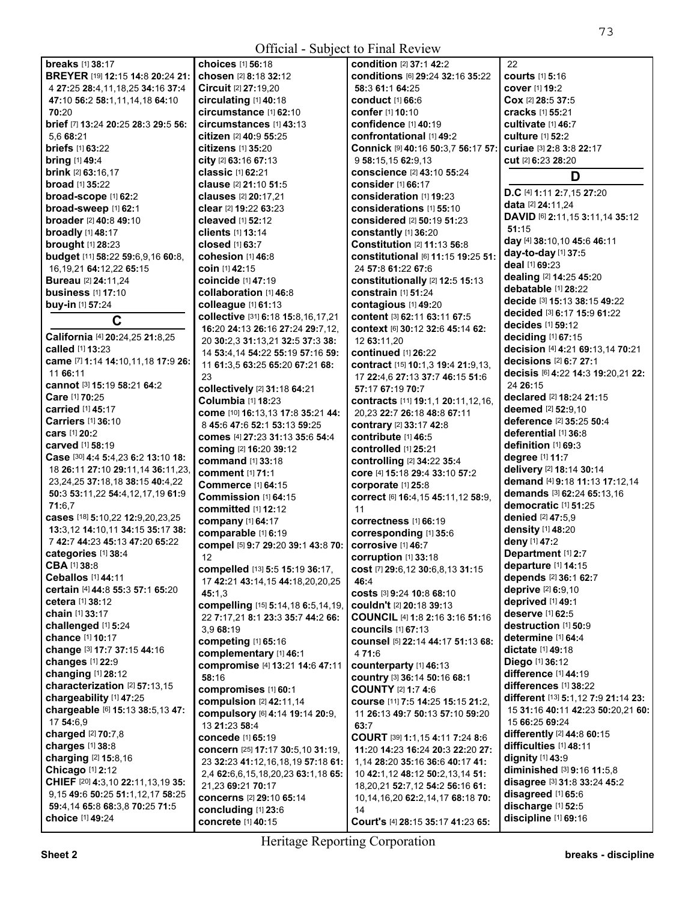| <b>Official - Subject to Final Review</b>      |                                                    |                                                              |                                          |  |
|------------------------------------------------|----------------------------------------------------|--------------------------------------------------------------|------------------------------------------|--|
| <b>breaks</b> [1] 38:17                        | choices [1] 56:18                                  | condition [2] 37:1 42:2                                      | 22                                       |  |
| BREYER [19] 12:15 14:8 20:24 21:               | chosen [2] 8:18 32:12                              | conditions [6] 29:24 32:16 35:22                             | <b>courts</b> [1] 5:16                   |  |
| 4 27:25 28:4,11,18,25 34:16 37:4               | Circuit [2] 27:19,20                               | 58:3 61:1 64:25                                              | <b>cover</b> [1] 19:2                    |  |
| 47:10 56:2 58:1,11,14,18 64:10                 | circulating [1] 40:18                              | <b>conduct</b> [1] <b>66:</b> 6                              | Cox [2] 28:5 37:5                        |  |
| 70:20                                          | circumstance [1] 62:10                             | confer [1] 10:10                                             | <b>cracks</b> [1] 55:21                  |  |
| brief [7] 13:24 20:25 28:3 29:5 56:            | circumstances [1] 43:13                            | confidence [1] 40:19                                         | cultivate $[1]$ 46:7                     |  |
| 5.6 68:21                                      | citizen [2] 40:9 55:25                             | confrontational [1] 49:2                                     | <b>culture</b> [1] 52:2                  |  |
| <b>briefs</b> [1] 63:22                        | <b>citizens</b> [1] 35:20                          | Connick [9] 40:16 50:3,7 56:17 57:                           | curiae [3] 2:8 3:8 22:17                 |  |
| <b>bring</b> [1] 49:4                          | city [2] 63:16 67:13                               | 9 58:15,15 62:9,13                                           | <b>cut</b> [2] 6:23 28:20                |  |
| <b>brink</b> [2] <b>63:16,17</b>               | classic [1] 62:21                                  | conscience [2] 43:10 55:24                                   | D                                        |  |
| <b>broad</b> [1] 35:22                         | clause [2] 21:10 51:5                              | consider [1] 66:17                                           | D.C [4] 1:11 2:7,15 27:20                |  |
| broad-scope [1] 62:2                           | clauses [2] 20:17,21                               | consideration [1] 19:23                                      | data [2] 24:11,24                        |  |
| broad-sweep [1] 62:1                           | clear [2] 19:22 63:23                              | considerations [1] 55:10                                     | DAVID [6] 2:11,15 3:11,14 35:12          |  |
| <b>broader</b> [2] 40:8 49:10                  | <b>cleaved</b> [1] <b>52:12</b>                    | considered [2] 50:19 51:23                                   | 51:15                                    |  |
| broadly [1] 48:17<br><b>brought</b> [1] 28:23  | <b>clients</b> [1] 13:14<br><b>closed</b> [1] 63:7 | constantly [1] 36:20<br>Constitution [2] 11:13 56:8          | day [4] 38:10,10 45:6 46:11              |  |
| budget [11] 58:22 59:6,9,16 60:8,              | cohesion $[1]$ 46:8                                | constitutional [6] 11:15 19:25 51:                           | day-to-day [1] 37:5                      |  |
| 16, 19, 21 64: 12, 22 65: 15                   | coin [1] 42:15                                     | 24 57:8 61:22 67:6                                           | deal [1] 69:23                           |  |
| <b>Bureau</b> [2] 24:11,24                     | coincide [1] 47:19                                 | constitutionally [2] 12:5 15:13                              | dealing [2] 14:25 45:20                  |  |
| <b>business</b> [1] 17:10                      | collaboration [1] 46:8                             | constrain [1] 51:24                                          | debatable [1] 28:22                      |  |
| buy-in [1] 57:24                               | colleague [1] 61:13                                | contagious [1] 49:20                                         | decide [3] 15:13 38:15 49:22             |  |
| C                                              | collective [31] 6:18 15:8,16,17,21                 | content [3] 62:11 63:11 67:5                                 | decided [3] 6:17 15:9 61:22              |  |
|                                                | 16:20 24:13 26:16 27:24 29:7,12,                   | context [6] 30:12 32:6 45:14 62:                             | decides [1] 59:12                        |  |
| California [4] 20:24,25 21:8,25                | 20 30:2.3 31:13.21 32:5 37:3 38:                   | 12 63:11,20                                                  | deciding [1] 67:15                       |  |
| called [1] 13:23                               | 14 53:4,14 54:22 55:19 57:16 59:                   | <b>continued</b> [1] 26:22                                   | decision [4] 4:21 69:13,14 70:21         |  |
| came [7] 1:14 14:10,11,18 17:9 26:             | 11 61:3,5 63:25 65:20 67:21 68:                    | contract [15] 10:1,3 19:4 21:9,13,                           | decisions [2] 6:7 27:1                   |  |
| 11 66:11                                       | 23                                                 | 17 22:4,6 27:13 37:7 46:15 51:6                              | decisis [6] 4:22 14:3 19:20,21 22:       |  |
| <b>cannot</b> [3] <b>15:19 58:21 64:2</b>      | collectively [2] 31:18 64:21                       | 57:17 67:19 70:7                                             | 24 26:15<br>declared [2] 18:24 21:15     |  |
| Care [1] 70:25<br><b>carried</b> [1] 45:17     | <b>Columbia [1] 18:23</b>                          | contracts [11] 19:1,1 20:11,12,16,                           | deemed [2] 52:9,10                       |  |
| <b>Carriers</b> [1] 36:10                      | come [10] 16:13,13 17:8 35:21 44:                  | 20,23 22:7 26:18 48:8 67:11                                  | deference [2] 35:25 50:4                 |  |
| cars [1] 20:2                                  | 8 45:6 47:6 52:1 53:13 59:25                       | contrary [2] 33:17 42:8                                      | deferential [1] 36:8                     |  |
| <b>carved</b> [1] 58:19                        | comes [4] 27:23 31:13 35:6 54:4                    | contribute [1] 46:5                                          | definition [1] 69:3                      |  |
| Case [30] 4:4 5:4,23 6:2 13:10 18:             | coming [2] 16:20 39:12                             | controlled [1] 25:21                                         | degree [1] 11:7                          |  |
| 18 26:11 27:10 29:11,14 36:11,23,              | command [1] 33:18<br>comment [1] 71:1              | controlling [2] 34:22 35:4<br>core [4] 15:18 29:4 33:10 57:2 | delivery [2] 18:14 30:14                 |  |
| 23, 24, 25 37: 18, 18 38: 15 40: 4, 22         | <b>Commerce</b> [1] 64:15                          | corporate [1] 25:8                                           | demand [4] 9:18 11:13 17:12,14           |  |
| 50:3 53:11,22 54:4,12,17,19 61:9               | Commission [1] 64:15                               | correct [6] 16:4, 15 45:11, 12 58:9,                         | demands [3] 62:24 65:13.16               |  |
| 71:6,7                                         | <b>committed</b> [1] <b>12:</b> 12                 | 11                                                           | democratic [1] 51:25                     |  |
| cases [18] 5:10,22 12:9,20,23,25               | company [1] 64:17                                  | COrrectness [1] 66:19                                        | <b>denied</b> [2] 47:5.9                 |  |
| 13:3,12 14:10,11 34:15 35:17 38:               | comparable [1] 6:19                                | corresponding [1] 35:6                                       | density [1] 48:20                        |  |
| 7 42:7 44:23 45:13 47:20 65:22                 | compel [5] 9:7 29:20 39:1 43:8 70:                 | corrosive [1] 46:7                                           | deny [1] 47:2                            |  |
| categories [1] 38:4                            | 12                                                 | corruption $[1]$ 33:18                                       | Department [1] 2:7                       |  |
| CBA [1] 38:8                                   | compelled [13] 5:5 15:19 36:17,                    | cost [7] 29:6,12 30:6,8,13 31:15                             | departure [1] 14:15                      |  |
| Ceballos [1] 44:11                             | 17 42:21 43:14,15 44:18,20,20,25                   | 46:4                                                         | depends [2] 36:1 62:7                    |  |
| certain [4] 44:8 55:3 57:1 65:20               | 45:1,3                                             | COStS [3] 9:24 10:8 68:10                                    | deprive [2] 6:9,10                       |  |
| cetera [1] 38:12                               | compelling [15] 5:14,18 6:5,14,19,                 | couldn't [2] 20:18 39:13                                     | deprived [1] 49:1                        |  |
| <b>chain</b> [1] <b>33:17</b>                  | 22 7:17,21 8:1 23:3 35:7 44:2 66:                  | COUNCIL [4] 1:8 2:16 3:16 51:16                              | deserve [1] 62:5<br>destruction [1] 50:9 |  |
| challenged [1] 5:24<br><b>chance</b> [1] 10:17 | 3.9 68:19                                          | <b>councils</b> [1] 67:13                                    | determine [1] 64:4                       |  |
| change [3] 17:7 37:15 44:16                    | competing [1] 65:16                                | counsel [5] 22:14 44:17 51:13 68:                            | dictate [1] 49:18                        |  |
| changes [1] 22:9                               | complementary [1] 46:1                             | 4 71:6                                                       | <b>Diego</b> [1] 36:12                   |  |
| changing $[1]$ 28:12                           | compromise [4] 13:21 14:6 47:11                    | counterparty [1] 46:13                                       | difference [1] 44:19                     |  |
| characterization [2] 57:13,15                  | 58:16                                              | country [3] 36:14 50:16 68:1<br><b>COUNTY [2] 1:7 4:6</b>    | differences [1] 38:22                    |  |
| chargeability [1] 47:25                        | compromises [1] 60:1<br>compulsion [2] 42:11,14    | course [11] 7:5 14:25 15:15 21:2.                            | different [13] 5:1,12 7:9 21:14 23:      |  |
| chargeable [6] 15:13 38:5,13 47:               | compulsory [6] 4:14 19:14 20:9,                    | 11 26:13 49:7 50:13 57:10 59:20                              | 15 31:16 40:11 42:23 50:20,21 60:        |  |
| 17 54:6.9                                      | 13 21:23 58:4                                      | 63:7                                                         | 15 66:25 69:24                           |  |
| charged [2] 70:7,8                             | concede [1] 65:19                                  | COURT [39] 1:1,15 4:11 7:24 8:6                              | differently [2] 44:8 60:15               |  |
| charges $[1]$ 38:8                             | concern [25] 17:17 30:5,10 31:19,                  | 11:20 14:23 16:24 20:3 22:20 27:                             | difficulties [1] 48:11                   |  |
| charging [2] 15:8,16                           | 23 32:23 41:12,16,18,19 57:18 61:                  | 1,14 28:20 35:16 36:6 40:17 41:                              | dignity [1] 43:9                         |  |
| Chicago [1] 2:12                               | 2,4 62:6,6,15,18,20,23 63:1,18 65:                 | 10 42:1,12 48:12 50:2,13,14 51:                              | diminished [3] 9:16 11:5,8               |  |
| CHIEF [20] 4:3,10 22:11,13,19 35:              | 21,23 69:21 70:17                                  | 18, 20, 21 52: 7, 12 54: 2 56: 16 61:                        | disagree [3] 31:8 33:24 45:2             |  |
| 9,15 49:6 50:25 51:1,12,17 58:25               | <b>concerns</b> [2] 29:10 65:14                    | 10,14,16,20 62:2,14,17 68:18 70:                             | disagreed [1] 65:6                       |  |
| 59:4,14 65:8 68:3,8 70:25 71:5                 | concluding [1] 23:6                                | 14                                                           | discharge [1] 52:5                       |  |
| choice [1] 49:24                               | concrete [1] 40:15                                 | Court's [4] 28:15 35:17 41:23 65:                            | discipline [1] 69:16                     |  |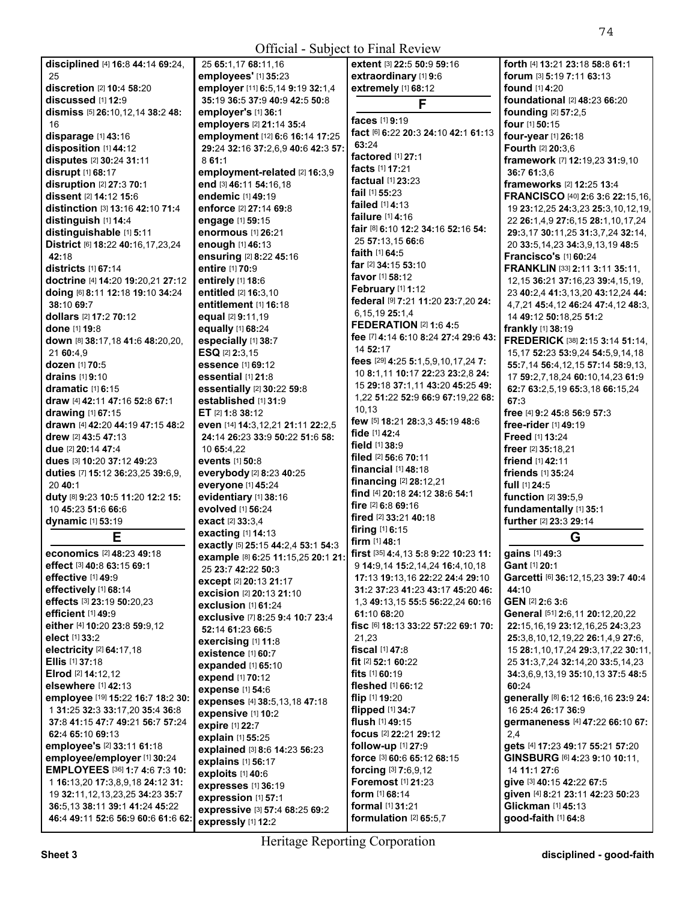| <b>Official - Subject to Final Review</b>                           |                                                      |                                                    |                                                           |  |
|---------------------------------------------------------------------|------------------------------------------------------|----------------------------------------------------|-----------------------------------------------------------|--|
| disciplined [4] 16:8 44:14 69:24,                                   | 25 65:1,17 68:11,16                                  | extent [3] 22:5 50:9 59:16                         | forth [4] 13:21 23:18 58:8 61:1                           |  |
| 25                                                                  | employees' [1] 35:23                                 | extraordinary [1] 9:6                              | forum [3] 5:19 7:11 63:13                                 |  |
| discretion [2] 10:4 58:20                                           | employer [11] 6:5,14 9:19 32:1,4                     | extremely [1] 68:12                                | <b>found</b> [1] <b>4:20</b>                              |  |
| discussed [1] 12:9                                                  | 35:19 36:5 37:9 40:9 42:5 50:8                       | F                                                  | <b>foundational</b> [2] 48:23 66:20                       |  |
| dismiss [5] 26:10,12,14 38:2 48:                                    | employer's [1] 36:1                                  |                                                    | founding [2] 57:2,5                                       |  |
| 16                                                                  | employers [2] 21:14 35:4                             | faces [1] 9:19                                     | four [1] 50:15                                            |  |
| disparage [1] 43:16                                                 | employment [12] 6:6 16:14 17:25                      | fact [6] 6:22 20:3 24:10 42:1 61:13                | four-year [1] 26:18                                       |  |
| disposition [1] 44:12                                               | 29:24 32:16 37:2,6,9 40:6 42:3 57:                   | 63:24                                              | <b>Fourth [2] 20:3.6</b>                                  |  |
| disputes [2] 30:24 31:11                                            | 8 61:1                                               | factored [1] 27:1                                  | framework [7] 12:19,23 31:9,10                            |  |
| disrupt [1] 68:17                                                   | employment-related [2] 16:3,9                        | <b>facts</b> [1] <b>17:21</b>                      | 36:7 61:3,6                                               |  |
| disruption [2] 27:3 70:1                                            | end [3] 46:11 54:16,18                               | <b>factual</b> [1] <b>23:23</b>                    | frameworks [2] 12:25 13:4                                 |  |
| dissent [2] 14:12 15:6                                              | endemic [1] 49:19                                    | fail [1] 55:23                                     | FRANCISCO [40] 2:6 3:6 22:15,16,                          |  |
| distinction [3] 13:16 42:10 71:4                                    | enforce [2] 27:14 69:8                               | failed [1] 4:13                                    | 19 23:12,25 24:3,23 25:3,10,12,19,                        |  |
| distinguish [1] 14:4                                                | engage [1] 59:15                                     | <b>failure</b> [1] <b>4:16</b>                     | 22 26:1,4,9 27:6,15 28:1,10,17,24                         |  |
| distinguishable [1] 5:11                                            | enormous [1] 26:21                                   | fair [8] 6:10 12:2 34:16 52:16 54:                 | 29:3,17 30:11,25 31:3,7,24 32:14,                         |  |
| District [6] 18:22 40:16,17,23,24                                   | <b>enough [1] 46:13</b>                              | 25 57:13,15 66:6                                   | 20 33:5, 14, 23 34:3, 9, 13, 19 48:5                      |  |
| 42:18                                                               | ensuring [2] 8:22 45:16                              | faith [1] 64:5                                     | Francisco's [1] 60:24                                     |  |
| <b>districts</b> [1] 67:14                                          | entire [1] 70:9                                      | <b>far</b> [2] <b>34:15 53:10</b>                  | FRANKLIN [33] 2:11 3:11 35:11,                            |  |
| doctrine [4] 14:20 19:20,21 27:12                                   | entirely [1] 18:6                                    | <b>favor</b> [1] <b>58:12</b>                      | 12, 15 36: 21 37: 16, 23 39: 4, 15, 19,                   |  |
| doing [6] 8:11 12:18 19:10 34:24                                    | entitled [2] 16:3,10                                 | February [1] 1:12                                  | 23 40:2,4 41:3,13,20 43:12,24 44:                         |  |
| 38:10 69:7                                                          | entitlement [1] 16:18                                | federal [9] 7:21 11:20 23:7,20 24:                 | 4,7,21 45:4,12 46:24 47:4,12 48:3,                        |  |
| dollars [2] 17:2 70:12                                              | equal [2] 9:11,19                                    | 6,15,19 25:1,4<br><b>FEDERATION [2] 1:6 4:5</b>    | 14 49:12 50:18,25 51:2                                    |  |
| done [1] 19:8                                                       | equally [1] 68:24                                    | fee [7] 4:14 6:10 8:24 27:4 29:6 43:               | frankly [1] 38:19                                         |  |
| down [8] 38:17,18 41:6 48:20,20,                                    | especially [1] 38:7                                  | 14 52:17                                           | FREDERICK [38] 2:15 3:14 51:14,                           |  |
| 21 60:4,9                                                           | ESQ [2] 2:3,15                                       | fees [29] 4:25 5:1,5,9,10,17,24 7:                 | 15,17 52:23 53:9,24 54:5,9,14,18                          |  |
| <b>dozen</b> [1] 70:5                                               | essence [1] 69:12                                    | 10 8:1,11 10:17 22:23 23:2,8 24:                   | 55:7,14 56:4,12,15 57:14 58:9,13,                         |  |
| drains [1] 9:10                                                     | essential [1] 21:8                                   | 15 29:18 37:1,11 43:20 45:25 49:                   | 17 59:2,7,18,24 60:10,14,23 61:9                          |  |
| dramatic [1] 6:15                                                   | essentially [2] 30:22 59:8                           | 1,22 51:22 52:9 66:9 67:19,22 68:                  | 62:7 63:2,5,19 65:3,18 66:15,24                           |  |
| draw [4] 42:11 47:16 52:8 67:1                                      | established [1] 31:9                                 | 10,13                                              | 67:3                                                      |  |
| drawing [1] 67:15                                                   | ET $[2]$ 1:8 38:12                                   | few [5] 18:21 28:3,3 45:19 48:6                    | free [4] 9:2 45:8 56:9 57:3                               |  |
| drawn [4] 42:20 44:19 47:15 48:2                                    | even [14] 14:3,12,21 21:11 22:2,5                    | fide [1] 42:4                                      | free-rider [1] 49:19                                      |  |
| drew [2] 43:5 47:13                                                 | 24:14 26:23 33:9 50:22 51:6 58:                      | field [1] 38:9                                     | Freed [1] 13:24<br>freer [2] 35:18,21                     |  |
| due [2] 20:14 47:4<br>dues [3] 10:20 37:12 49:23                    | 10 65:4,22<br>events [1] 50:8                        | filed [2] 56:6 70:11                               | friend [1] 42:11                                          |  |
| duties [7] 15:12 36:23,25 39:6,9,                                   | everybody [2] 8:23 40:25                             | financial [1] 48:18                                | friends [1] 35:24                                         |  |
| 20 40:1                                                             | everyone [1] 45:24                                   | financing [2] 28:12,21                             | full [1] 24:5                                             |  |
| duty [8] 9:23 10:5 11:20 12:2 15:                                   | evidentiary [1] 38:16                                | find [4] 20:18 24:12 38:6 54:1                     | function [2] 39:5,9                                       |  |
| 10 45:23 51:6 66:6                                                  | evolved [1] 56:24                                    | fire [2] 6:8 69:16                                 | fundamentally [1] 35:1                                    |  |
| dynamic [1] 53:19                                                   | exact [2] 33:3,4                                     | fired [2] 33:21 40:18                              | further [2] 23:3 29:14                                    |  |
|                                                                     | exacting [1] 14:13                                   | firing [1] 6:15                                    |                                                           |  |
| Е                                                                   | exactly [5] 25:15 44:2,4 53:1 54:3                   | firm $[1]$ 48:1                                    | G                                                         |  |
| economics [2] 48:23 49:18                                           | example [8] 6:25 11:15,25 20:1 21:                   | <b>first</b> [35] <b>4:4,13 5:8 9:22 10:23 11:</b> | gains [1] 49:3                                            |  |
| effect [3] 40:8 63:15 69:1                                          | 25 23:7 42:22 50:3                                   | 9 14:9.14 15:2.14.24 16:4.10.18                    | Gant [1] 20:1                                             |  |
| effective [1] 49:9                                                  | except [2] 20:13 21:17                               | 17:13 19:13,16 22:22 24:4 29:10                    | Garcetti [6] 36:12,15,23 39:7 40:4                        |  |
| effectively [1] 68:14                                               | <b>excision</b> [2] <b>20:</b> 13 <b>21:</b> 10      | 31:2 37:23 41:23 43:17 45:20 46:                   | 44:10                                                     |  |
| effects [3] 23:19 50:20,23                                          | exclusion [1] 61:24                                  | 1,3 49:13,15 55:5 56:22,24 60:16                   | GEN [2] 2:6 3:6                                           |  |
| <b>efficient</b> [1] 49:9                                           | exclusive [7] 8:25 9:4 10:7 23:4                     | 61:10 68:20                                        | General [51] 2:6,11 20:12,20,22                           |  |
| either [4] 10:20 23:8 59:9.12                                       | 52:14 61:23 66:5                                     | <b>fisc</b> [6] <b>18:13 33:22 57:22 69:1 70:</b>  | 22:15,16,19 23:12,16,25 24:3,23                           |  |
| elect [1] 33:2                                                      | exercising [1] 11:8                                  | 21,23                                              | 25:3,8,10,12,19,22 26:1,4,9 27:6,                         |  |
| electricity [2] 64:17,18                                            | existence [1] 60:7                                   | fiscal [1] 47:8                                    | 15 28:1,10,17,24 29:3,17,22 30:11,                        |  |
| Ellis [1] 37:18                                                     | expanded [1] 65:10                                   | fit $[2]$ 52:1 60:22                               | 25 31:3,7,24 32:14,20 33:5,14,23                          |  |
| Elrod [2] 14:12.12                                                  | expend [1] 70:12                                     | fits $[1]$ 60:19                                   | 34:3,6,9,13,19 35:10,13 37:5 48:5                         |  |
| elsewhere [1] 42:13                                                 | expense [1] 54:6                                     | fleshed [1] 66:12                                  | 60:24                                                     |  |
| employee [19] 15:22 16:7 18:2 30:                                   | expenses [4] 38:5,13,18 47:18                        | flip [1] 19:20                                     | generally [8] 6:12 16:6,16 23:9 24:<br>16 25:4 26:17 36:9 |  |
| 1 31:25 32:3 33:17,20 35:4 36:8<br>37:8 41:15 47:7 49:21 56:7 57:24 | expensive [1] 10:2                                   | flipped [1] 34:7<br>flush [1] 49:15                |                                                           |  |
|                                                                     | expire [1] 22:7                                      | focus [2] 22:21 29:12                              | germaneness [4] 47:22 66:10 67:                           |  |
| 62:4 65:10 69:13<br>employee's [2] 33:11 61:18                      | explain [1] 55:25                                    | follow-up [1] 27:9                                 | 2.4<br>gets [4] 17:23 49:17 55:21 57:20                   |  |
| employee/employer [1] 30:24                                         | explained [3] 8:6 14:23 56:23                        | force [3] 60:6 65:12 68:15                         | GINSBURG [6] 4:23 9:10 10:11,                             |  |
| EMPLOYEES [36] 1:7 4:6 7:3 10:                                      | explains [1] 56:17                                   | forcing [3] 7:6,9,12                               | 14 11:1 27:6                                              |  |
| 1 16:13,20 17:3,8,9,18 24:12 31:                                    | exploits [1] 40:6                                    | Foremost [1] 21:23                                 | give [3] 40:15 42:22 67:5                                 |  |
| 19 32:11, 12, 13, 23, 25 34: 23 35: 7                               | expresses [1] 36:19                                  | form [1] 68:14                                     | given [4] 8:21 23:11 42:23 50:23                          |  |
| 36:5,13 38:11 39:1 41:24 45:22                                      | expression [1] 57:1                                  | formal [1] 31:21                                   | Glickman [1] 45:13                                        |  |
| 46:4 49:11 52:6 56:9 60:6 61:6 62:                                  | expressive [3] 57:4 68:25 69:2<br>expressly [1] 12:2 | formulation [2] 65:5,7                             | good-faith [1] 64:8                                       |  |
|                                                                     |                                                      |                                                    |                                                           |  |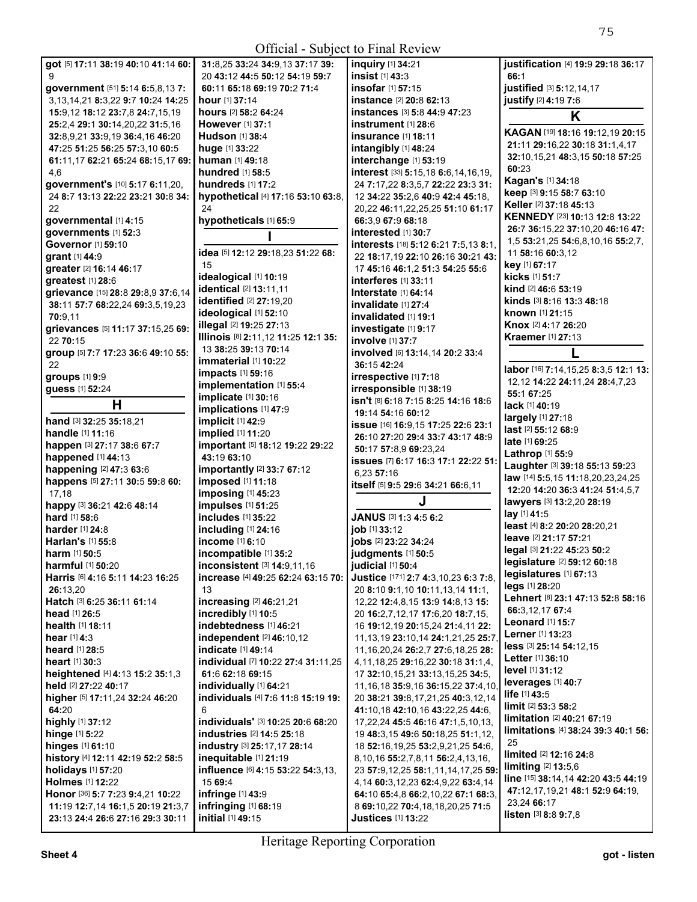## Official - Subject to Final Review

| Official - Subject to Final Review        |                                            |                                             |                                                            |
|-------------------------------------------|--------------------------------------------|---------------------------------------------|------------------------------------------------------------|
| got [5] 17:11 38:19 40:10 41:14 60:       | 31:8,25 33:24 34:9,13 37:17 39:            | inquiry [1] 34:21                           | justification [4] 19:9 29:18 36:17                         |
| 9                                         | 20 43:12 44:5 50:12 54:19 59:7             | insist [1] 43:3                             | 66:1                                                       |
| government [51] 5:14 6:5,8,13 7:          | 60:11 65:18 69:19 70:2 71:4                | <b>insofar</b> [1] 57:15                    | justified [3] 5:12,14,17                                   |
| 3, 13, 14, 21 8: 3, 22 9: 7 10: 24 14: 25 | <b>hour</b> [1] <b>37:14</b>               | <b>instance</b> [2] <b>20:8 62:13</b>       | justify [2] 4:19 7:6                                       |
| 15:9,12 18:12 23:7,8 24:7,15,19           | hours [2] 58:2 64:24                       | instances [3] 5:8 44:9 47:23                | K                                                          |
| 25:2,4 29:1 30:14,20,22 31:5,16           | <b>However</b> [1] 37:1                    | $instrument$ [1] $28:6$                     |                                                            |
| 32:8,9,21 33:9,19 36:4,16 46:20           | <b>Hudson</b> [1] 38:4                     | <b>insurance</b> [1] <b>18:11</b>           | KAGAN [19] 18:16 19:12,19 20:15                            |
| 47:25 51:25 56:25 57:3,10 60:5            | huge [1] 33:22                             | intangibly [1] 48:24                        | 21:11 29:16,22 30:18 31:1,4,17                             |
| 61:11,17 62:21 65:24 68:15,17 69:         | human [1] 49:18                            | interchange [1] 53:19                       | 32:10,15,21 48:3,15 50:18 57:25                            |
| 4,6                                       | <b>hundred</b> [1] 58:5                    | interest [33] 5:15,18 6:6,14,16,19,         | 60:23                                                      |
| government's [10] 5:17 6:11,20,           | hundreds [1] 17:2                          | 24 7:17,22 8:3,5,7 22:22 23:3 31:           | Kagan's [1] 34:18                                          |
| 24 8:7 13:13 22:22 23:21 30:8 34:         | hypothetical [4] 17:16 53:10 63:8,         | 12 34:22 35:2.6 40:9 42:4 45:18.            | keep [3] 9:15 58:7 63:10                                   |
| 22                                        | 24                                         | 20,22 46:11,22,25,25 51:10 61:17            | Keller [2] 37:18 45:13                                     |
| governmental [1] 4:15                     | hypotheticals [1] 65:9                     | 66:3,9 67:9 68:18                           | KENNEDY [23] 10:13 12:8 13:22                              |
| governments [1] 52:3                      |                                            | interested [1] 30:7                         | 26:7 36:15,22 37:10,20 46:16 47:                           |
| Governor [1] 59:10                        |                                            | interests [18] 5:12 6:21 7:5,13 8:1,        | 1,5 53:21,25 54:6,8,10,16 55:2,7,                          |
| grant [1] 44:9                            | idea [5] 12:12 29:18,23 51:22 68:          | 22 18:17,19 22:10 26:16 30:21 43:           | 11 58:16 60:3,12                                           |
| greater [2] 16:14 46:17                   | 15                                         | 17 45:16 46:1.2 51:3 54:25 55:6             | key [1] 67:17                                              |
| qreatest [1] 28:6                         | idealogical [1] 10:19                      | interferes [1] 33:11                        | <b>kicks</b> [1] <b>51:</b> 7                              |
| grievance [15] 28:8 29:8,9 37:6,14        | identical [2] 13:11,11                     | <b>Interstate [1] 64:14</b>                 | kind [2] 46:6 53:19                                        |
| 38:11 57:7 68:22,24 69:3,5,19,23          | identified [2] 27:19,20                    | invalidate [1] 27:4                         | kinds [3] 8:16 13:3 48:18                                  |
| 70:9,11                                   | ideological [1] 52:10                      | invalidated [1] 19:1                        | known [1] 21:15                                            |
| grievances [5] 11:17 37:15,25 69:         | <b>illegal</b> [2] <b>19:25 27:13</b>      | investigate [1] 9:17                        | <b>Knox</b> [2] <b>4:17 26:2</b> 0                         |
| 22 70:15                                  | Illinois [8] 2:11,12 11:25 12:1 35:        | <b>involve</b> [1] 37:7                     | <b>Kraemer</b> [1] 27:13                                   |
| group [5] 7:7 17:23 36:6 49:10 55:        | 13 38:25 39:13 70:14                       | involved [6] 13:14,14 20:2 33:4             |                                                            |
| 22                                        | $immaterial$ $[1]$ 10:22                   | 36:15 42:24                                 | labor [16] 7:14, 15, 25 8:3, 5 12:1 13:                    |
| groups [1] 9:9                            | <b>impacts</b> [1] 59:16                   | irrespective [1] 7:18                       | 12, 12 <b>14:</b> 22 <b>24:</b> 11, 24 <b>28:</b> 4, 7, 23 |
| guess [1] 52:24                           | implementation [1] 55:4                    | irresponsible [1] 38:19                     | 55:1 67:25                                                 |
| н                                         | implicate [1] 30:16                        | isn't [8] 6:18 7:15 8:25 14:16 18:6         | lack [1] 40:19                                             |
| hand [3] 32:25 35:18,21                   | implications [1] 47:9<br>implicit [1] 42:9 | 19:14 54:16 60:12                           | largely [1] 27:18                                          |
| handle [1] 11:16                          | implied [1] 11:20                          | issue [16] 16:9, 15 17:25 22:6 23:1         | last [2] 55:12 68:9                                        |
| happen [3] 27:17 38:6 67:7                | important [5] 18:12 19:22 29:22            | 26:10 27:20 29:4 33:7 43:17 48:9            | <b>late</b> [1] <b>69:25</b>                               |
| happened [1] 44:13                        | 43:19 63:10                                | 50:17 57:8,9 69:23,24                       | Lathrop [1] 55:9                                           |
| happening [2] 47:3 63:6                   | importantly [2] 33:7 67:12                 | issues [7] 6:17 16:3 17:1 22:22 51:         | Laughter [3] 39:18 55:13 59:23                             |
| happens [5] 27:11 30:5 59:8 60:           | imposed [1] 11:18                          | 6,23 57:16                                  | law [14] 5:5,15 11:18,20,23,24,25                          |
| 17,18                                     | imposing [1] 45:23                         | itself [5] 9:5 29:6 34:21 66:6,11           | 12:20 14:20 36:3 41:24 51:4,5,7                            |
| happy [3] 36:21 42:6 48:14                | impulses [1] 51:25                         |                                             | lawyers [3] 13:2,20 28:19                                  |
| hard [1] 58:6                             | includes [1] 35:22                         | JANUS [3] 1:3 4:5 6:2                       | lay [1] 41:5                                               |
| <b>harder</b> [1] 24:8                    | including [1] 24:16                        | job [1] 33:12                               | least [4] 8:2 20:20 28:20,21                               |
| <b>Harlan's [1] 55:8</b>                  | income [1] 6:10                            | jobs [2] 23:22 34:24                        | leave [2] 21:17 57:21                                      |
| harm [1] 50:5                             | incompatible [1] 35:2                      | judgments [1] 50:5                          | legal [3] 21:22 45:23 50:2                                 |
| <b>harmful</b> [1] <b>50:2</b> 0          | inconsistent [3] 14:9,11,16                | judicial [1] 50:4                           | legislature [2] 59:12 60:18                                |
| Harris [6] 4:16 5:11 14:23 16:25          | increase [4] 49:25 62:24 63:15 70:         | Justice [171] 2:7 4:3,10,23 6:3 7:8,        | legislatures [1] 67:13                                     |
| 26:13,20                                  | 13                                         | 20 8:10 9:1,10 10:11,13,14 11:1,            | legs [1] 28:20                                             |
| Hatch [3] 6:25 36:11 61:14                | increasing [2] 46:21,21                    | 12,22 12:4,8,15 13:9 14:8,13 15:            | Lehnert [8] 23:1 47:13 52:8 58:16                          |
| <b>head</b> $[1]$ 26:5                    | incredibly [1] 10:5                        | 20 16:2,7,12,17 17:6,20 18:7,15,            | 66:3,12,17 67:4                                            |
| health [1] 18:11                          | indebtedness [1] 46:21                     | 16 19:12,19 20:15,24 21:4,11 22:            | Leonard $[1]$ 15:7                                         |
| hear [1] 4:3                              | <b>independent</b> [2] 46:10,12            | 11, 13, 19 23: 10, 14 24: 1, 21, 25 25: 7,  | Lerner [1] 13:23                                           |
| heard [1] 28:5                            | indicate [1] 49:14                         | 11, 16, 20, 24 26: 2, 7 27: 6, 18, 25 28:   | less [3] 25:14 54:12,15                                    |
| heart [1] 30:3                            | individual [7] 10:22 27:4 31:11,25         | 4, 11, 18, 25 29: 16, 22 30: 18 31: 1, 4,   | Letter [1] 36:10                                           |
| heightened [4] 4:13 15:2 35:1,3           | 61:6 62:18 69:15                           | 17 32:10, 15, 21 33:13, 15, 25 34:5,        | <b>level</b> [1] <b>31:12</b>                              |
| held [2] 27:22 40:17                      | individually [1] 64:21                     | 11, 16, 18 35: 9, 16 36: 15, 22 37: 4, 10,  | leverages $[1]$ 40:7                                       |
| higher [5] 17:11,24 32:24 46:20           | individuals [4] 7:6 11:8 15:19 19:         | 20 38:21 39:8,17,21,25 40:3,12,14           | life [1] 43:5                                              |
| 64:20                                     | 6                                          | 41:10,18 42:10,16 43:22,25 44:6,            | <b>limit</b> [2] 53:3 58:2                                 |
| highly [1] 37:12                          | individuals' [3] 10:25 20:6 68:20          | 17,22,24 45:5 46:16 47:1,5,10,13,           | <b>limitation</b> [2] 40:21 67:19                          |
| hinge [1] 5:22                            | industries [2] 14:5 25:18                  | 19 48:3,15 49:6 50:18,25 51:1,12,           | limitations [4] 38:24 39:3 40:1 56:                        |
| <b>hinges</b> [1] 61:10                   | industry [3] 25:17,17 28:14                | 18 52:16, 19, 25 53: 2, 9, 21, 25 54: 6,    | 25                                                         |
| history [4] 12:11 42:19 52:2 58:5         | inequitable [1] 21:19                      | 8, 10, 16 55: 2, 7, 8, 11 56: 2, 4, 13, 16, | limited [2] 12:16 24:8                                     |
| holidays [1] 57:20                        | influence [6] 4:15 53:22 54:3,13,          | 23 57:9,12,25 58:1,11,14,17,25 59:          | <b>limiting</b> $[2]$ 13:5,6                               |
| <b>Holmes</b> [1] 12:22                   | 15 69:4                                    | 4, 14 60: 3, 12, 23 62: 4, 9, 22 63: 4, 14  | line [15] 38:14,14 42:20 43:5 44:19                        |
| Honor [36] 5:7 7:23 9:4,21 10:22          | infringe [1] 43:9                          | 64:10 65:4,8 66:2,10,22 67:1 68:3,          | 47:12,17,19,21 48:1 52:9 64:19,                            |
| 11:19 12:7,14 16:1,5 20:19 21:3,7         | <b>infringing</b> [1] 68:19                | 8 69:10,22 70:4,18,18,20,25 71:5            | 23,24 66:17                                                |
| 23:13 24:4 26:6 27:16 29:3 30:11          | initial [1] 49:15                          | <b>Justices [1] 13:22</b>                   | <b>listen</b> $[3]$ 8:8 9:7,8                              |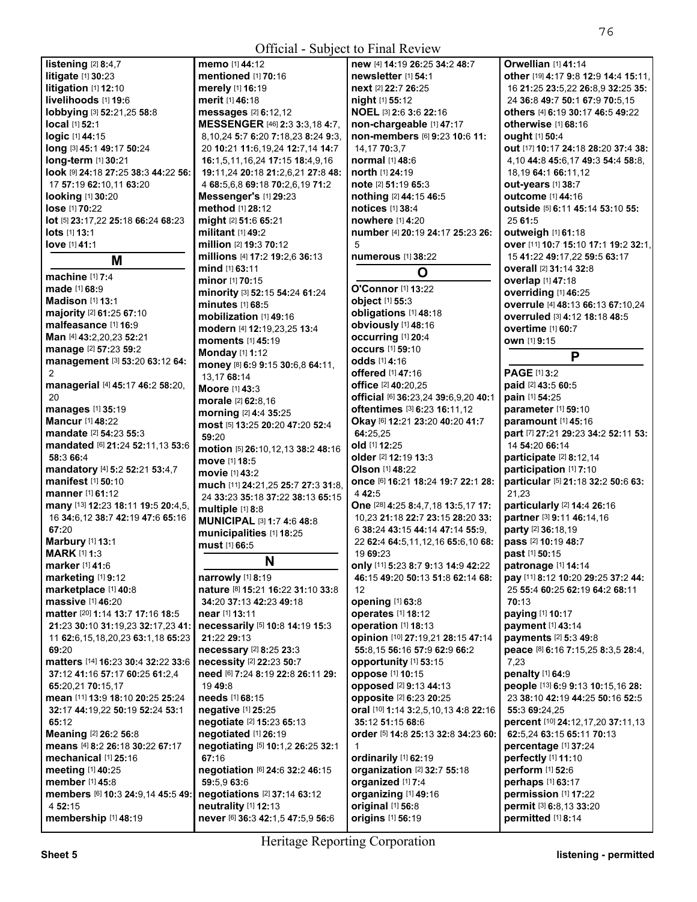| Official - Subject to Final Review               |                                                         |                                               |                                                |  |
|--------------------------------------------------|---------------------------------------------------------|-----------------------------------------------|------------------------------------------------|--|
| listening [2] 8:4,7                              | memo [1] 44:12                                          | new [4] 14:19 26:25 34:2 48:7                 | Orwellian [1] 41:14                            |  |
| litigate [1] 30:23                               | mentioned [1] 70:16                                     | newsletter [1] 54:1                           | other [19] 4:17 9:8 12:9 14:4 15:11,           |  |
| litigation [1] 12:10                             | merely [1] 16:19                                        | next [2] 22:7 26:25                           | 16 21:25 23:5,22 26:8,9 32:25 35:              |  |
| livelihoods [1] 19:6                             | merit [1] 46:18                                         | night [1] 55:12                               | 24 36:8 49:7 50:1 67:9 70:5,15                 |  |
| lobbying [3] 52:21,25 58:8                       | messages [2] 6:12,12                                    | NOEL [3] 2:6 3:6 22:16                        | others [4] 6:19 30:17 46:5 49:22               |  |
| local [1] 52:1                                   | MESSENGER [46] 2:3 3:3,18 4:7,                          | non-chargeable [1] 47:17                      | otherwise [1] 68:16                            |  |
| <b>logic</b> [1] 44:15                           | 8,10,24 5:7 6:20 7:18,23 8:24 9:3,                      | non-members [6] 9:23 10:6 11:                 | <b>ought</b> [1] 50:4                          |  |
| long [3] 45:1 49:17 50:24                        | 20 10:21 11:6,19,24 12:7,14 14:7                        | 14,17 70:3,7                                  | out [17] 10:17 24:18 28:20 37:4 38:            |  |
| <b>long-term</b> [1] <b>30:</b> 21               | 16:1,5,11,16,24 17:15 18:4,9,16                         | normal [1] 48:6                               | 4, 10 44:8 45:6, 17 49:3 54:4 58:8,            |  |
| look [9] 24:18 27:25 38:3 44:22 56:              | 19:11,24 20:18 21:2,6,21 27:8 48:                       | north [1] 24:19                               | 18,19 64:1 66:11,12                            |  |
| 17 57:19 62:10,11 63:20                          | 4 68:5,6,8 69:18 70:2,6,19 71:2                         | note [2] 51:19 65:3                           | out-years [1] 38:7                             |  |
| <b>looking</b> [1] <b>30:</b> 20                 | Messenger's [1] 29:23                                   | nothing [2] 44:15 46:5                        | outcome [1] 44:16                              |  |
| <b>lose</b> [1] 70:22                            | method [1] 28:12                                        | notices [1] 38:4                              | <b>outside</b> [5] <b>6:11 45:14 53:10 55:</b> |  |
| lot [5] 23:17,22 25:18 66:24 68:23               | might [2] 51:6 65:21                                    | nowhere [1] 4:20                              | 25 61:5                                        |  |
| lots [1] 13:1                                    | militant [1] 49:2                                       | number [4] 20:19 24:17 25:23 26:              | outweigh [1] 61:18                             |  |
| love [1] 41:1                                    | million [2] 19:3 70:12                                  | 5                                             | over [11] 10:7 15:10 17:1 19:2 32:1,           |  |
| M                                                | millions [4] 17:2 19:2,6 36:13                          | numerous [1] 38:22                            | 15 41:22 49:17,22 59:5 63:17                   |  |
| machine [1] 7:4                                  | mind [1] 63:11                                          | O                                             | overall [2] 31:14 32:8                         |  |
| <b>made</b> [1] <b>68:</b> 9                     | <b>minor</b> [1] <b>70:15</b>                           | O'Connor [1] 13:22                            | overlap [1] 47:18                              |  |
| Madison [1] 13:1                                 | minority [3] 52:15 54:24 61:24                          | object [1] 55:3                               | overriding [1] 46:25                           |  |
| <b>majority</b> [2] <b>61:</b> 25 <b>67:</b> 10  | minutes [1] 68:5                                        | obligations [1] 48:18                         | overrule [4] 48:13 66:13 67:10,24              |  |
| malfeasance [1] 16:9                             | mobilization [1] 49:16                                  | obviously [1] 48:16                           | overruled [3] 4:12 18:18 48:5                  |  |
| Man [4] 43:2,20,23 52:21                         | modern [4] 12:19,23,25 13:4                             | <b>occurring</b> [1] 20:4                     | <b>overtime</b> [1] 60:7                       |  |
| manage [2] 57:23 59:2                            | <b>moments</b> [1] 45:19                                | <b>occurs</b> [1] 59:10                       | own [1] 9:15                                   |  |
| management [3] 53:20 63:12 64:                   | Monday [1] 1:12                                         | odds [1] 4:16                                 | P                                              |  |
| 2                                                | money [8] 6:9 9:15 30:6,8 64:11,                        | offered [1] 47:16                             | PAGE [1] 3:2                                   |  |
| managerial [4] 45:17 46:2 58:20,                 | 13,17 68:14<br>Moore [1] 43:3                           | <b>office</b> [2] 40:20,25                    | paid [2] 43:5 60:5                             |  |
| 20                                               | morale [2] 62:8,16                                      | official [6] 36:23,24 39:6,9,20 40:1          | pain [1] 54:25                                 |  |
| manages [1] 35:19                                | morning [2] 4:4 35:25                                   | <b>oftentimes</b> [3] <b>6:23 16:11,12</b>    | parameter [1] 59:10                            |  |
| <b>Mancur</b> [1] 48:22                          | most [5] 13:25 20:20 47:20 52:4                         | Okay [6] 12:21 23:20 40:20 41:7               | <b>paramount</b> [1] 45:16                     |  |
| <b>mandate</b> [2] <b>54:</b> 23 <b>55:</b> 3    | 59:20                                                   | 64:25,25                                      | part [7] 27:21 29:23 34:2 52:11 53:            |  |
| mandated [6] 21:24 52:11,13 53:6                 | motion [5] 26:10,12,13 38:2 48:16                       | old [1] 12:25                                 | 14 54:20 66:14                                 |  |
| 58:3 66:4                                        | move [1] 18:5                                           | older [2] 12:19 13:3                          | participate [2] 8:12,14                        |  |
| mandatory [4] 5:2 52:21 53:4,7                   | movie [1] 43:2                                          | <b>Olson</b> [1] 48:22                        | participation [1] 7:10                         |  |
| manifest [1] 50:10                               | much [11] 24:21,25 25:7 27:3 31:8,                      | Once [6] 16:21 18:24 19:7 22:1 28:            | particular [5] 21:18 32:2 50:6 63:             |  |
| <b>manner</b> [1] 61:12                          | 24 33:23 35:18 37:22 38:13 65:15                        | 442:5                                         | 21,23                                          |  |
| many [13] 12:23 18:11 19:5 20:4,5,               | multiple [1] 8:8                                        | One [28] 4:25 8:4,7,18 13:5,17 17:            | particularly [2] 14:4 26:16                    |  |
| 16 34:6,12 38:7 42:19 47:6 65:16                 | <b>MUNICIPAL [3] 1:7 4:6 48:8</b>                       | 10,23 21:18 22:7 23:15 28:20 33:              | partner [3] 9:11 46:14,16                      |  |
| 67:20                                            | municipalities [1] 18:25                                | 6 38:24 43:15 44:14 47:14 55:9.               | party [2] 36:18,19                             |  |
| <b>Marbury</b> [1] 13:1                          | must [1] 66:5                                           | 22 62:4 64:5,11,12,16 65:6,10 68:             | pass [2] 10:19 48:7                            |  |
| <b>MARK [1] 1:3</b>                              | N                                                       | 19 69:23                                      | past [1] 50:15                                 |  |
| <b>marker</b> [1] <b>41:</b> 6                   |                                                         | only [11] 5:23 8:7 9:13 14:9 42:22            | patronage [1] 14:14                            |  |
| marketing [1] 9:12                               | narrowly [1] 8:19                                       | 46:15 49:20 50:13 51:8 62:14 68:              | pay [11] 8:12 10:20 29:25 37:2 44:             |  |
| marketplace [1] 40:8<br><b>massive</b> [1] 46:20 | nature [8] 15:21 16:22 31:10 33:8                       | 12                                            | 25 55:4 60:25 62:19 64:2 68:11                 |  |
| matter [20] 1:14 13:7 17:16 18:5                 | 34:20 37:13 42:23 49:18<br><b>near</b> [1] <b>13:11</b> | opening [1] 63:8<br><b>operates</b> [1] 18:12 | 70:13<br>paying [1] 10:17                      |  |
| 21:23 30:10 31:19,23 32:17,23 41:                | necessarily [5] 10:8 14:19 15:3                         | operation [1] 18:13                           | payment [1] 43:14                              |  |
| 11 62:6, 15, 18, 20, 23 63:1, 18 65: 23          | 21:22 29:13                                             | opinion [10] 27:19,21 28:15 47:14             | payments [2] 5:3 49:8                          |  |
| 69:20                                            | necessary [2] 8:25 23:3                                 | 55:8,15 56:16 57:9 62:9 66:2                  | peace [8] 6:16 7:15,25 8:3,5 28:4,             |  |
| matters [14] 16:23 30:4 32:22 33:6               | necessity [2] 22:23 50:7                                | opportunity [1] 53:15                         | 7,23                                           |  |
| 37:12 41:16 57:17 60:25 61:2,4                   | need [6] 7:24 8:19 22:8 26:11 29:                       | oppose [1] 10:15                              | penalty [1] 64:9                               |  |
| 65:20,21 70:15,17                                | 19 49:8                                                 | opposed [2] 9:13 44:13                        | people [13] 6:9 9:13 10:15,16 28:              |  |
| mean [11] 13:9 18:10 20:25 25:24                 | needs [1] 68:15                                         | opposite [2] 6:23 20:25                       | 23 38:10 42:19 44:25 50:16 52:5                |  |
| 32:17 44:19,22 50:19 52:24 53:1                  | <b>negative</b> [1] 25:25                               | oral [10] 1:14 3:2,5,10,13 4:8 22:16          | 55:3 69:24,25                                  |  |
| 65:12                                            | negotiate [2] 15:23 65:13                               | 35:12 51:15 68:6                              | percent [10] 24:12,17,20 37:11,13              |  |
| Meaning [2] 26:2 56:8                            | negotiated [1] 26:19                                    | order [5] 14:8 25:13 32:8 34:23 60:           | 62:5,24 63:15 65:11 70:13                      |  |
| means [4] 8:2 26:18 30:22 67:17                  | negotiating [5] 10:1,2 26:25 32:1                       | 1                                             | percentage [1] 37:24                           |  |
| mechanical [1] 25:16                             | 67:16                                                   | ordinarily [1] 62:19                          | perfectly [1] 11:10                            |  |
| <b>meeting</b> [1] 40:25                         | negotiation [6] 24:6 32:2 46:15                         | organization [2] 32:7 55:18                   | perform [1] 52:6                               |  |
| member [1] 45:8                                  | 59:5,9 63:6                                             | organized [1] 7:4                             | perhaps [1] 63:17                              |  |
| members [6] 10:3 24:9,14 45:5 49:                | negotiations [2] 37:14 63:12                            | organizing [1] 49:16                          | permission [1] 17:22                           |  |
| 4 52:15                                          | neutrality [1] 12:13                                    | original [1] 56:8                             | permit [3] 6:8,13 33:20                        |  |
| membership [1] 48:19                             | never [6] 36:3 42:1,5 47:5,9 56:6                       | origins [1] 56:19                             | permitted [1] 8:14                             |  |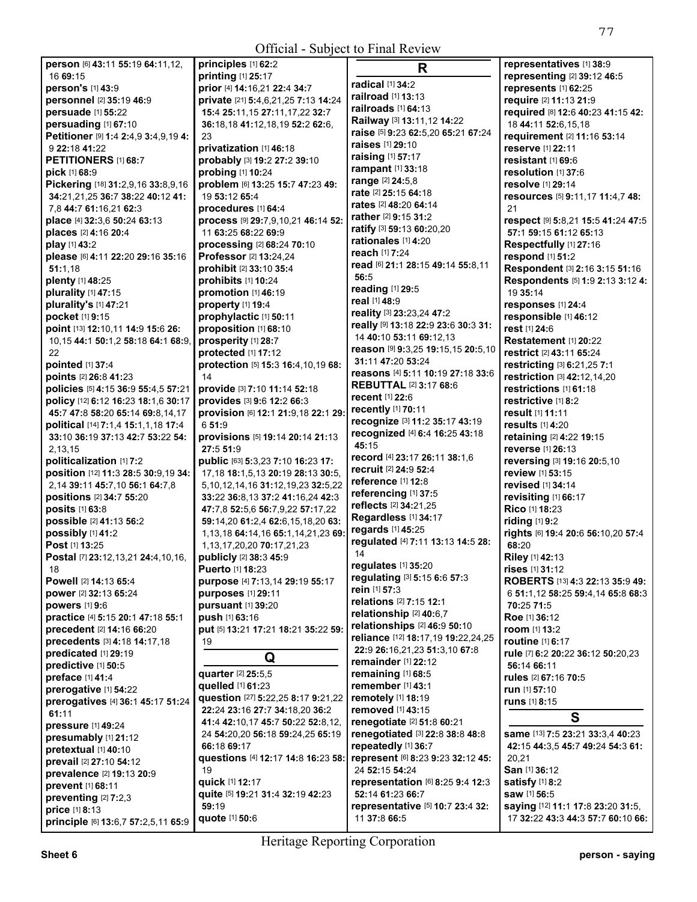| <b>Official - Subject to Final Review</b> |                                            |                                     |                                    |
|-------------------------------------------|--------------------------------------------|-------------------------------------|------------------------------------|
| person [6] 43:11 55:19 64:11,12,          | principles [1] 62:2                        | R                                   | representatives [1] 38:9           |
| 16 69:15                                  | printing [1] 25:17                         |                                     | representing [2] 39:12 46:5        |
| person's [1] 43:9                         | prior [4] 14:16,21 22:4 34:7               | radical [1] 34:2                    | represents [1] 62:25               |
| personnel [2] 35:19 46:9                  | private [21] 5:4,6,21,25 7:13 14:24        | railroad [1] 13:13                  | require [2] 11:13 21:9             |
| persuade [1] 55:22                        | 15:4 25:11, 15 27:11, 17, 22 32:7          | railroads [1] 64:13                 | required [8] 12:6 40:23 41:15 42:  |
| persuading [1] 67:10                      | 36:18,18 41:12,18,19 52:2 62:6,            | Railway [3] 13:11,12 14:22          | 18 44:11 52:6,15,18                |
| Petitioner [9] 1:4 2:4,9 3:4,9,19 4:      | 23                                         | raise [5] 9:23 62:5,20 65:21 67:24  | requirement [2] 11:16 53:14        |
| 9 22:18 41:22                             | privatization [1] 46:18                    | raises [1] 29:10                    | reserve [1] 22:11                  |
| PETITIONERS [1] 68:7                      | probably [3] 19:2 27:2 39:10               | raising [1] 57:17                   | resistant [1] 69:6                 |
| pick [1] 68:9                             | probing [1] 10:24                          | rampant [1] 33:18                   | resolution [1] 37:6                |
| Pickering [18] 31:2,9,16 33:8,9,16        | problem [6] 13:25 15:7 47:23 49:           | range [2] 24:5,8                    | resolve [1] 29:14                  |
| 34:21,21,25 36:7 38:22 40:12 41:          | 19 53:12 65:4                              | rate [2] 25:15 64:18                | resources [5] 9:11,17 11:4,7 48:   |
| 7,8 44:7 61:16,21 62:3                    | procedures [1] 64:4                        | rates [2] 48:20 64:14               | 21                                 |
|                                           | process [9] 29:7,9,10,21 46:14 52:         | rather [2] 9:15 31:2                |                                    |
| place [4] 32:3,6 50:24 63:13              |                                            | ratify [3] 59:13 60:20,20           | respect [9] 5:8,21 15:5 41:24 47:5 |
| places [2] 4:16 20:4                      | 11 63:25 68:22 69:9                        | rationales [1] 4:20                 | 57:1 59:15 61:12 65:13             |
| play [1] 43:2                             | processing [2] 68:24 70:10                 | reach [1] 7:24                      | Respectfully [1] 27:16             |
| please [6] 4:11 22:20 29:16 35:16         | Professor [2] 13:24,24                     | read [6] 21:1 28:15 49:14 55:8,11   | respond [1] 51:2                   |
| 51:1.18                                   | prohibit [2] 33:10 35:4                    | 56:5                                | Respondent [3] 2:16 3:15 51:16     |
| plenty [1] 48:25                          | prohibits [1] 10:24                        | reading [1] 29:5                    | Respondents [5] 1:9 2:13 3:12 4:   |
| plurality $[1]$ 47:15                     | promotion [1] 46:19                        | real [1] 48:9                       | 19 35:14                           |
| plurality's [1] 47:21                     | property [1] 19:4                          |                                     | responses [1] 24:4                 |
| pocket [1] 9:15                           | prophylactic [1] 50:11                     | reality [3] 23:23,24 47:2           | responsible [1] 46:12              |
| point [13] 12:10,11 14:9 15:6 26:         | proposition [1] 68:10                      | really [9] 13:18 22:9 23:6 30:3 31: | rest [1] 24:6                      |
| 10,15 44:1 50:1,2 58:18 64:1 68:9,        | prosperity [1] 28:7                        | 14 40:10 53:11 69:12,13             | Restatement [1] 20:22              |
| 22                                        | protected [1] 17:12                        | reason [9] 9:3,25 19:15,15 20:5,10  | <b>restrict</b> [2] 43:11 65:24    |
| pointed [1] 37:4                          | protection [5] 15:3 16:4,10,19 68:         | 31:11 47:20 53:24                   | restricting [3] 6:21,25 7:1        |
| points [2] 26:8 41:23                     | 14                                         | reasons [4] 5:11 10:19 27:18 33:6   | restriction [3] 42:12,14,20        |
| policies [5] 4:15 36:9 55:4,5 57:21       | provide [3] 7:10 11:14 52:18               | <b>REBUTTAL [2] 3:17 68:6</b>       | restrictions [1] 61:18             |
| policy [12] 6:12 16:23 18:1,6 30:17       | provides [3] 9:6 12:2 66:3                 | <b>recent</b> [1] 22:6              | restrictive [1] 8:2                |
| 45:7 47:8 58:20 65:14 69:8,14,17          | provision [6] 12:1 21:9,18 22:1 29:        | recently [1] 70:11                  | result [1] 11:11                   |
| political [14] 7:1,4 15:1,1,18 17:4       | 6 51:9                                     | recognize [3] 11:2 35:17 43:19      | results [1] 4:20                   |
| 33:10 36:19 37:13 42:7 53:22 54:          | provisions [5] 19:14 20:14 21:13           | recognized [4] 6:4 16:25 43:18      | retaining [2] 4:22 19:15           |
| 2,13,15                                   | 27:5 51:9                                  | 45:15                               | reverse [1] 26:13                  |
| politicalization [1] 7:2                  | public [63] 5:3,23 7:10 16:23 17:          | record [4] 23:17 26:11 38:1,6       | reversing [3] 19:16 20:5,10        |
| position [12] 11:3 28:5 30:9,19 34:       | 17, 18 18: 1, 5, 13 20: 19 28: 13 30: 5,   | recruit [2] 24:9 52:4               | review [1] 53:15                   |
| 2,14 39:11 45:7,10 56:1 64:7.8            | 5, 10, 12, 14, 16 31: 12, 19, 23 32: 5, 22 | reference [1] 12:8                  | <b>revised</b> [1] <b>34:14</b>    |
| positions [2] 34:7 55:20                  | 33:22 36:8,13 37:2 41:16,24 42:3           | referencing [1] 37:5                | revisiting [1] 66:17               |
| posits [1] 63:8                           | 47:7,8 52:5,6 56:7,9,22 57:17,22           | reflects [2] 34:21,25               | Rico [1] 18:23                     |
| possible [2] 41:13 56:2                   |                                            | Regardless [1] 34:17                | riding [1] 9:2                     |
|                                           | 59:14,20 61:2,4 62:6,15,18,20 63:          | regards [1] 45:25                   |                                    |
| possibly [1] 41:2                         | 1,13,18 64:14,16 65:1,14,21,23 69          | regulated [4] 7:11 13:13 14:5 28:   | rights [6] 19:4 20:6 56:10,20 57:4 |
| Post [1] 13:25                            | 1, 13, 17, 20, 20 70: 17, 21, 23           | 14                                  | 68:20                              |
| <b>Postal</b> [7] 23:12,13,21 24:4,10,16, | <b>publicly</b> [2] 38:3 45:9              | regulates [1] 35:20                 | <b>Riley</b> [1] 42:13             |
| 18                                        | <b>Puerto [1] 18:23</b>                    | regulating [3] 5:15 6:6 57:3        | rises [1] 31:12                    |
| Powell [2] 14:13 65:4                     | purpose [4] 7:13,14 29:19 55:17            | rein [1] 57:3                       | ROBERTS [13] 4:3 22:13 35:9 49:    |
| power [2] 32:13 65:24                     | purposes [1] 29:11                         | relations [2] 7:15 12:1             | 6 51:1,12 58:25 59:4,14 65:8 68:3  |
| powers [1] 9:6                            | <b>pursuant</b> [1] 39:20                  | relationship [2] 40:6,7             | 70:25 71:5                         |
| practice [4] 5:15 20:1 47:18 55:1         | push [1] 63:16                             | relationships [2] 46:9 50:10        | Roe [1] 36:12                      |
| precedent [2] 14:16 66:20                 | put [5] 13:21 17:21 18:21 35:22 59:        | reliance [12] 18:17,19 19:22,24,25  | room [1] 13:2                      |
| precedents [3] 4:18 14:17,18              | 19                                         | 22:9 26:16,21,23 51:3,10 67:8       | routine [1] 6:17                   |
| predicated [1] 29:19                      | Q                                          |                                     | rule [7] 6:2 20:22 36:12 50:20,23  |
| predictive [1] 50:5                       |                                            | remainder [1] 22:12                 | 56:14 66:11                        |
| preface [1] 41:4                          | quarter [2] 25:5,5                         | remaining [1] 68:5                  | rules [2] 67:16 70:5               |
| prerogative [1] 54:22                     | quelled [1] 61:23                          | remember [1] 43:1                   | run [1] 57:10                      |
| prerogatives [4] 36:1 45:17 51:24         | question [27] 5:22,25 8:17 9:21,22         | remotely [1] 18:19                  | runs [1] 8:15                      |
| 61:11                                     | 22:24 23:16 27:7 34:18,20 36:2             | removed [1] 43:15                   | S                                  |
| pressure [1] 49:24                        | 41:4 42:10,17 45:7 50:22 52:8,12,          | renegotiate [2] 51:8 60:21          |                                    |
| presumably [1] 21:12                      | 24 54:20,20 56:18 59:24,25 65:19           | renegotiated [3] 22:8 38:8 48:8     | same [13] 7:5 23:21 33:3,4 40:23   |
| pretextual [1] 40:10                      | 66:18 69:17                                | repeatedly [1] 36:7                 | 42:15 44:3,5 45:7 49:24 54:3 61:   |
| prevail [2] 27:10 54:12                   | questions [4] 12:17 14:8 16:23 58:         | represent [6] 8:23 9:23 32:12 45:   | 20,21                              |
| prevalence [2] 19:13 20:9                 | 19                                         | 24 52:15 54:24                      | San [1] 36:12                      |
| prevent [1] 68:11                         | quick [1] 12:17                            | representation [6] 8:25 9:4 12:3    | satisfy [1] 8:2                    |
| preventing [2] 7:2,3                      | quite [5] 19:21 31:4 32:19 42:23           | 52:14 61:23 66:7                    | saw [1] 56:5                       |
| price [1] 8:13                            | 59:19                                      | representative [5] 10:7 23:4 32:    | saying [12] 11:1 17:8 23:20 31:5,  |
| principle [6] 13:6,7 57:2,5,11 65:9       | quote [1] 50:6                             | 11 37:8 66:5                        | 17 32:22 43:3 44:3 57:7 60:10 66:  |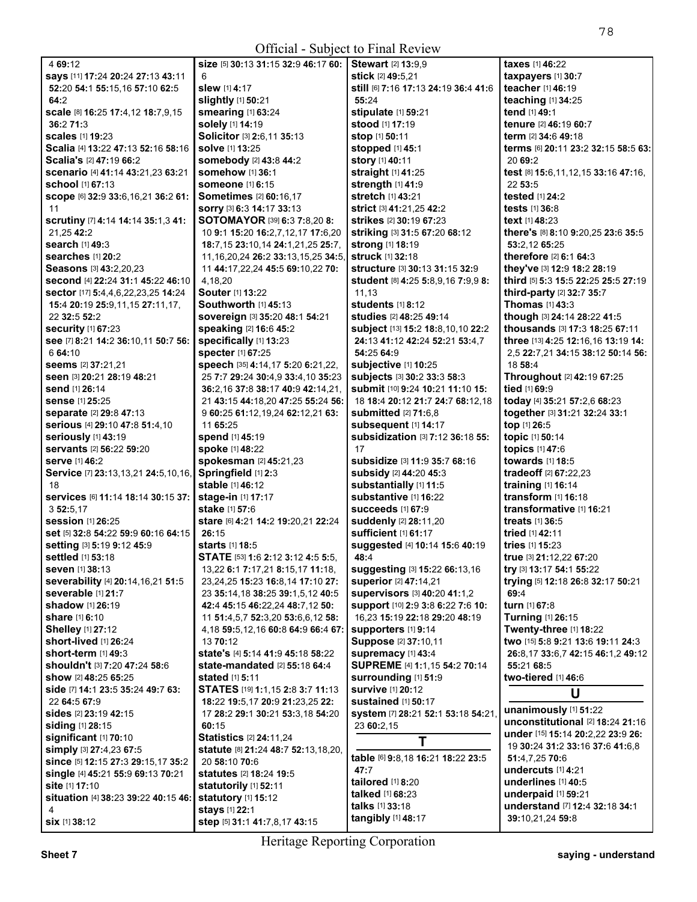| 4 69:12                                                 | size [5] 30:13 31:15 32:9 46:17 60:                      | <b>Stewart</b> [2] <b>13:</b> 9,9    | taxes [1] 46:22                          |
|---------------------------------------------------------|----------------------------------------------------------|--------------------------------------|------------------------------------------|
| says [11] 17:24 20:24 27:13 43:11                       | 6                                                        | stick [2] 49:5.21                    | taxpayers [1] 30:7                       |
| 52:20 54:1 55:15,16 57:10 62:5                          | slew [1] 4:17                                            | still [6] 7:16 17:13 24:19 36:4 41:6 | teacher [1] 46:19                        |
| 64:2                                                    | slightly [1] 50:21                                       | 55:24                                | teaching [1] 34:25                       |
| scale [8] 16:25 17:4,12 18:7,9,15                       | smearing [1] 63:24                                       | stipulate [1] 59:21                  | tend [1] 49:1                            |
| 36:2 71:3                                               | solely [1] 14:19                                         | <b>stood</b> [1] <b>17:19</b>        | tenure [2] 46:19 60:7                    |
| scales [1] 19:23                                        | Solicitor [3] 2:6,11 35:13                               | stop [1] 50:11                       | term [2] 34:6 49:18                      |
| Scalia [4] 13:22 47:13 52:16 58:16                      | solve [1] 13:25                                          | stopped [1] 45:1                     | terms [6] 20:11 23:2 32:15 58:5 63:      |
| Scalia's [2] 47:19 66:2                                 | somebody [2] 43:8 44:2                                   | story [1] 40:11                      | 20 69:2                                  |
| scenario [4] 41:14 43:21,23 63:21                       | somehow [1] 36:1                                         | straight [1] 41:25                   | test [8] 15:6, 11, 12, 15 33: 16 47: 16, |
| school [1] 67:13                                        | <b>someone</b> [1] 6:15                                  | strength [1] 41:9                    | 22 53:5                                  |
| Scope [6] 32:9 33:6, 16, 21 36:2 61:                    | <b>Sometimes</b> [2] 60:16,17                            | stretch [1] 43:21                    | tested [1] 24:2                          |
| 11                                                      | SOrry [3] 6:3 14:17 33:13                                | <b>strict</b> [3] 41:21,25 42:2      | tests [1] 36:8                           |
| scrutiny [7] 4:14 14:14 35:1,3 41:                      | SOTOMAYOR [39] 6:3 7:8,20 8:                             | strikes [2] 30:19 67:23              | text [1] 48:23                           |
| 21,25 42:2                                              | 10 9:1 15:20 16:2,7,12,17 17:6,20                        | striking [3] 31:5 67:20 68:12        | there's [8] 8:10 9:20,25 23:6 35:5       |
| search [1] 49:3                                         | 18:7,15 23:10,14 24:1,21,25 25:7,                        | strong [1] 18:19                     | 53:2,12 65:25                            |
| searches [1] 20:2                                       | 11, 16, 20, 24 26: 2 33: 13, 15, 25 34: 5,               | struck [1] 32:18                     | therefore [2] 6:1 64:3                   |
| Seasons [3] 43:2,20,23                                  | 11 44:17,22,24 45:5 69:10,22 70:                         | structure [3] 30:13 31:15 32:9       | they've [3] 12:9 18:2 28:19              |
| second [4] 22:24 31:1 45:22 46:10                       | 4.18.20                                                  | student [8] 4:25 5:8,9,16 7:9,9 8:   | third [5] 5:3 15:5 22:25 25:5 27:19      |
| sector [17] 5:4,4,6,22,23,25 14:24                      | Souter [1] 13:22                                         | 11,13                                | third-party [2] 32:7 35:7                |
| 15:4 20:19 25:9,11,15 27:11,17,                         | <b>Southworth [1] 45:13</b>                              | students [1] 8:12                    | <b>Thomas</b> [1] 43:3                   |
| 22 32:5 52:2                                            | sovereign [3] 35:20 48:1 54:21                           | studies [2] 48:25 49:14              | though [3] 24:14 28:22 41:5              |
| <b>security</b> [1] 67:23                               | speaking [2] 16:6 45:2                                   | subject [13] 15:2 18:8,10,10 22:2    | thousands [3] 17:3 18:25 67:11           |
| see [7] 8:21 14:2 36:10,11 50:7 56:                     | specifically [1] 13:23                                   | 24:13 41:12 42:24 52:21 53:4,7       | three [13] 4:25 12:16,16 13:19 14:       |
| 6 64:10                                                 | specter [1] 67:25                                        | 54:25 64:9                           | 2,5 22:7,21 34:15 38:12 50:14 56:        |
| seems [2] 37:21,21                                      | speech [35] 4:14,17 5:20 6:21,22,                        | <b>subjective [1] 10:25</b>          | 18 58:4                                  |
| seen [3] 20:21 28:19 48:21                              | 25 7:7 29:24 30:4,9 33:4,10 35:23                        | subjects [3] 30:2 33:3 58:3          | Throughout [2] 42:19 67:25               |
| send [1] 26:14                                          | 36:2,16 37:8 38:17 40:9 42:14,21,                        | submit [10] 9:24 10:21 11:10 15:     | tied [1] 69:9                            |
| sense [1] 25:25                                         | 21 43:15 44:18,20 47:25 55:24 56:                        | 18 18:4 20:12 21:7 24:7 68:12,18     | today [4] 35:21 57:2,6 68:23             |
| separate [2] 29:8 47:13                                 | 9 60:25 61:12,19,24 62:12,21 63:                         | <b>submitted</b> [2] 71:6,8          | together [3] 31:21 32:24 33:1            |
| Serious [4] 29:10 47:8 51:4,10                          | 11 65:25                                                 | subsequent [1] 14:17                 | top [1] 26:5                             |
| seriously [1] 43:19                                     | spend [1] 45:19                                          | subsidization [3] 7:12 36:18 55:     | topic [1] 50:14                          |
| servants [2] 56:22 59:20                                | spoke [1] 48:22                                          | 17                                   | topics [1] 47:6                          |
| <b>serve [1] 46:2</b>                                   | spokesman [2] 45:21,23                                   | subsidize [3] 11:9 35:7 68:16        | towards [1] 18:5                         |
| Service [7] 23:13,13,21 24:5,10,16, Springfield [1] 2:3 |                                                          | subsidy [2] 44:20 45:3               | tradeoff <sup>[2]</sup> 67:22,23         |
| 18                                                      | stable [1] 46:12                                         | substantially [1] 11:5               | training [1] 16:14                       |
| Services [6] 11:14 18:14 30:15 37:                      | stage-in [1] 17:17                                       | substantive [1] 16:22                | transform [1] 16:18                      |
| 3 52:5,17                                               | stake [1] 57:6                                           | <b>succeeds</b> [1] 67:9             | transformative [1] 16:21                 |
| <b>session</b> [1] 26:25                                | stare [6] 4:21 14:2 19:20,21 22:24                       | suddenly [2] 28:11,20                | <b>treats</b> [1] 36:5                   |
| set [5] 32:8 54:22 59:9 60:16 64:15                     | 26:15                                                    | sufficient [1] 61:17                 | tried [1] 42:11                          |
| setting [3] 5:19 9:12 45:9                              | <b>starts</b> [1] <b>18:5</b>                            | suggested [4] 10:14 15:6 40:19       | tries $[1]$ 15:23                        |
| settled [1] 53:18                                       | STATE [53] 1:6 2:12 3:12 4:5 5:5,                        | 48:4                                 | true [3] 21:12,22 67:20                  |
| <b>seven</b> [1] 38:13                                  | 13,22 <b>6:1 7:</b> 17,21 <b>8:</b> 15,17 <b>11:</b> 18, | suggesting [3] 15:22 66:13,16        | try [3] 13:17 54:1 55:22                 |
| severability [4] 20:14, 16, 21 51:5                     | 23, 24, 25 15: 23 16: 8, 14 17: 10 27:                   | superior [2] 47:14,21                | trying [5] 12:18 26:8 32:17 50:21        |
| severable [1] 21:7                                      | 23 35:14,18 38:25 39:1,5,12 40:5                         | supervisors [3] 40:20 41:1,2         | 69:4                                     |
| shadow [1] 26:19                                        | 42:4 45:15 46:22,24 48:7,12 50:                          | support [10] 2:9 3:8 6:22 7:6 10:    | turn [1] 67:8                            |
| share [1] 6:10                                          | 11 51:4,5,7 52:3,20 53:6,6,12 58:                        | 16,23 15:19 22:18 29:20 48:19        | Turning [1] 26:15                        |
| <b>Shelley</b> [1] 27:12                                | 4,18 59:5,12,16 60:8 64:9 66:4 67:                       | supporters [1] 9:14                  | Twenty-three [1] 18:22                   |
| short-lived [1] 26:24                                   | 13 70:12                                                 | Suppose [2] 37:10,11                 | two [15] 5:8 9:21 13:6 19:11 24:3        |
| short-term $[1]$ 49:3                                   | state's [4] 5:14 41:9 45:18 58:22                        | Supremacy [1] 43:4                   | 26:8,17 33:6,7 42:15 46:1,2 49:12        |
| shouldn't [3] 7:20 47:24 58:6                           | state-mandated [2] 55:18 64:4                            | SUPREME [4] 1:1,15 54:2 70:14        | 55:21 68:5                               |
| show [2] 48:25 65:25                                    | stated [1] 5:11                                          | surrounding [1] 51:9                 | two-tiered [1] 46:6                      |
| side [7] 14:1 23:5 35:24 49:7 63:                       | STATES [19] 1:1,15 2:8 3:7 11:13                         | <b>survive [1] 20:12</b>             | U                                        |
| 22 64:5 67:9                                            | 18:22 19:5,17 20:9 21:23,25 22:                          | <b>sustained</b> [1] 50:17           |                                          |
| sides [2] 23:19 42:15                                   | 17 28:2 29:1 30:21 53:3,18 54:20                         | system [7] 28:21 52:1 53:18 54:21,   | unanimously [1] 51:22                    |
| siding [1] 28:15                                        | 60:15                                                    | 23 60:2,15                           | unconstitutional [2] 18:24 21:16         |
| significant [1] 70:10                                   | <b>Statistics [2] 24:11,24</b>                           | Τ                                    | under [15] 15:14 20:2,22 23:9 26:        |
| simply [3] 27:4,23 67:5                                 | statute [8] 21:24 48:7 52:13,18,20,                      |                                      | 19 30:24 31:2 33:16 37:6 41:6,8          |
| since [5] 12:15 27:3 29:15,17 35:2                      | 20 58:10 70:6                                            | table [6] 9:8,18 16:21 18:22 23:5    | 51:4,7,25 70:6                           |
| single [4] 45:21 55:9 69:13 70:21                       | statutes [2] 18:24 19:5                                  | 47:7                                 | undercuts $[1]$ 4:21                     |
| site [1] 17:10                                          | statutorily [1] 52:11                                    | tailored [1] 8:20                    | underlines [1] 40:5                      |
| situation [4] 38:23 39:22 40:15 46: statutory [1] 15:12 |                                                          | talked [1] 68:23                     | underpaid [1] 59:21                      |
| 4                                                       | stays [1] 22:1                                           | talks [1] 33:18                      | understand [7] 12:4 32:18 34:1           |
| SİX [1] 38:12                                           | step [5] 31:1 41:7,8,17 43:15                            | tangibly [1] 48:17                   | 39:10,21,24 59:8                         |